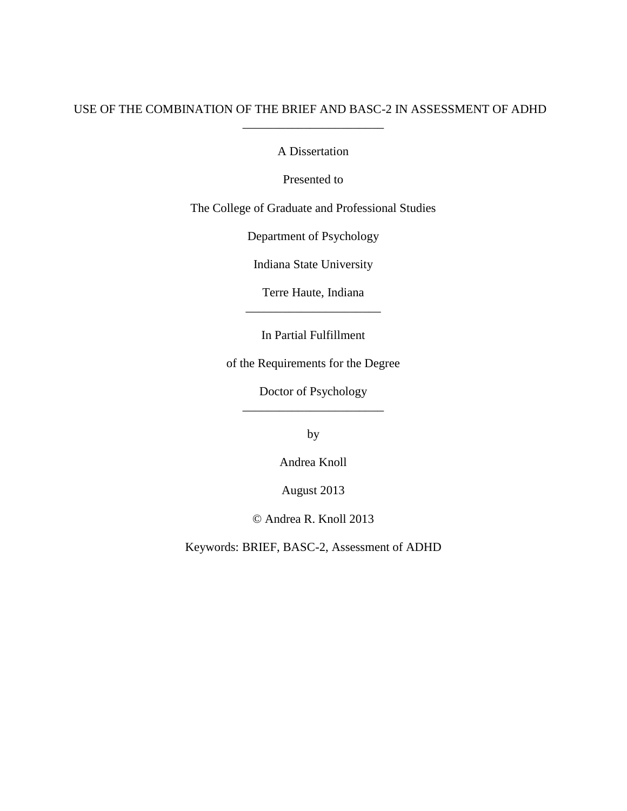## USE OF THE COMBINATION OF THE BRIEF AND BASC-2 IN ASSESSMENT OF ADHD \_\_\_\_\_\_\_\_\_\_\_\_\_\_\_\_\_\_\_\_\_\_\_

A Dissertation

Presented to

The College of Graduate and Professional Studies

Department of Psychology

Indiana State University

Terre Haute, Indiana \_\_\_\_\_\_\_\_\_\_\_\_\_\_\_\_\_\_\_\_\_\_

In Partial Fulfillment

of the Requirements for the Degree

Doctor of Psychology \_\_\_\_\_\_\_\_\_\_\_\_\_\_\_\_\_\_\_\_\_\_\_

by

Andrea Knoll

August 2013

© Andrea R. Knoll 2013

Keywords: BRIEF, BASC-2, Assessment of ADHD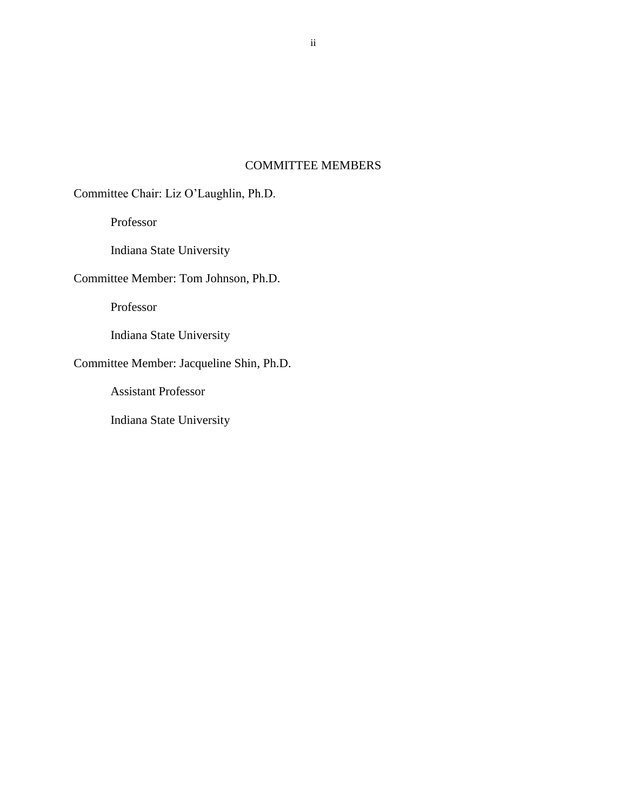## COMMITTEE MEMBERS

Committee Chair: Liz O'Laughlin, Ph.D.

Professor

Indiana State University

Committee Member: Tom Johnson, Ph.D.

Professor

Indiana State University

# Committee Member: Jacqueline Shin, Ph.D.

Assistant Professor

Indiana State University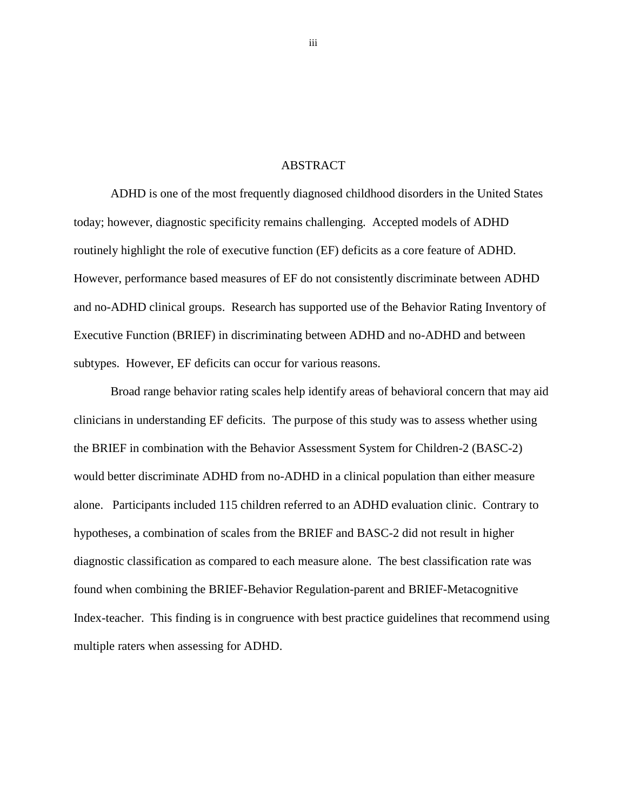#### ABSTRACT

ADHD is one of the most frequently diagnosed childhood disorders in the United States today; however, diagnostic specificity remains challenging. Accepted models of ADHD routinely highlight the role of executive function (EF) deficits as a core feature of ADHD. However, performance based measures of EF do not consistently discriminate between ADHD and no-ADHD clinical groups. Research has supported use of the Behavior Rating Inventory of Executive Function (BRIEF) in discriminating between ADHD and no-ADHD and between subtypes. However, EF deficits can occur for various reasons.

Broad range behavior rating scales help identify areas of behavioral concern that may aid clinicians in understanding EF deficits. The purpose of this study was to assess whether using the BRIEF in combination with the Behavior Assessment System for Children-2 (BASC-2) would better discriminate ADHD from no-ADHD in a clinical population than either measure alone. Participants included 115 children referred to an ADHD evaluation clinic. Contrary to hypotheses, a combination of scales from the BRIEF and BASC-2 did not result in higher diagnostic classification as compared to each measure alone. The best classification rate was found when combining the BRIEF-Behavior Regulation-parent and BRIEF-Metacognitive Index-teacher. This finding is in congruence with best practice guidelines that recommend using multiple raters when assessing for ADHD.

iii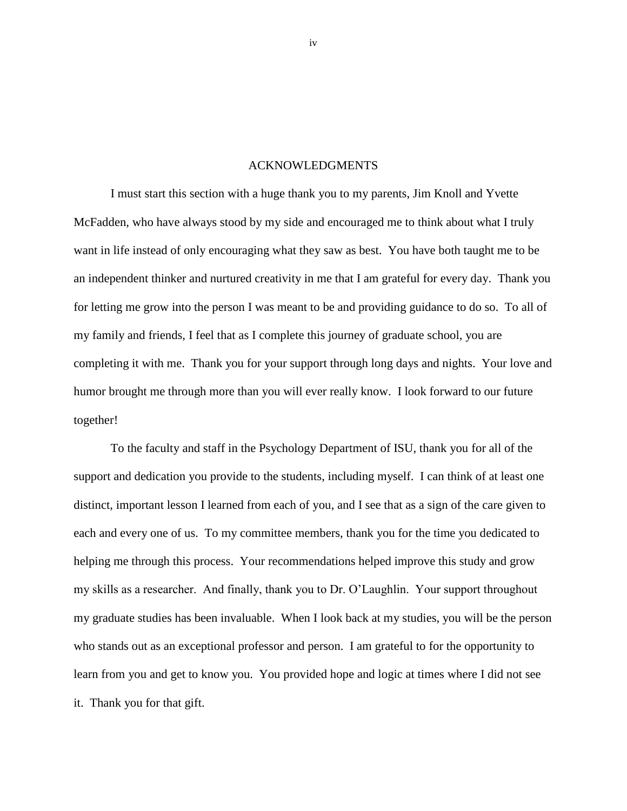#### ACKNOWLEDGMENTS

<span id="page-3-0"></span>I must start this section with a huge thank you to my parents, Jim Knoll and Yvette McFadden, who have always stood by my side and encouraged me to think about what I truly want in life instead of only encouraging what they saw as best. You have both taught me to be an independent thinker and nurtured creativity in me that I am grateful for every day. Thank you for letting me grow into the person I was meant to be and providing guidance to do so. To all of my family and friends, I feel that as I complete this journey of graduate school, you are completing it with me. Thank you for your support through long days and nights. Your love and humor brought me through more than you will ever really know. I look forward to our future together!

To the faculty and staff in the Psychology Department of ISU, thank you for all of the support and dedication you provide to the students, including myself. I can think of at least one distinct, important lesson I learned from each of you, and I see that as a sign of the care given to each and every one of us. To my committee members, thank you for the time you dedicated to helping me through this process. Your recommendations helped improve this study and grow my skills as a researcher. And finally, thank you to Dr. O'Laughlin. Your support throughout my graduate studies has been invaluable. When I look back at my studies, you will be the person who stands out as an exceptional professor and person. I am grateful to for the opportunity to learn from you and get to know you. You provided hope and logic at times where I did not see it. Thank you for that gift.

iv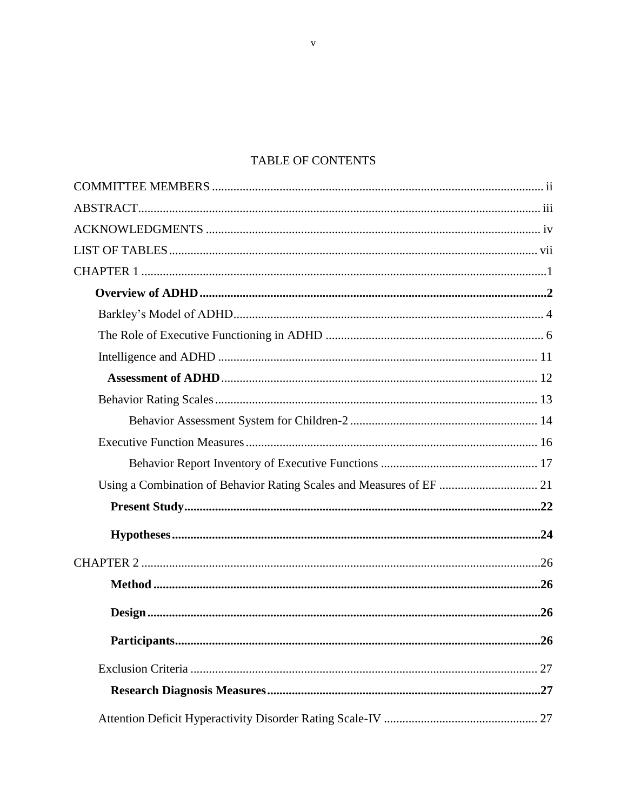# TABLE OF CONTENTS

| Using a Combination of Behavior Rating Scales and Measures of EF  21 |     |
|----------------------------------------------------------------------|-----|
|                                                                      |     |
|                                                                      |     |
|                                                                      |     |
|                                                                      |     |
|                                                                      |     |
|                                                                      | .26 |
|                                                                      |     |
|                                                                      |     |
|                                                                      |     |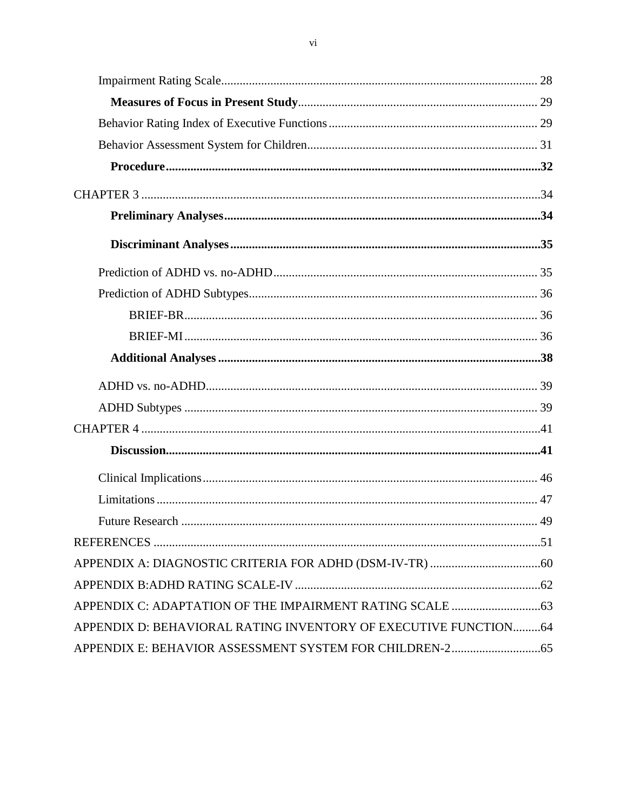<span id="page-5-0"></span>

| APPENDIX D: BEHAVIORAL RATING INVENTORY OF EXECUTIVE FUNCTION64 |  |
|-----------------------------------------------------------------|--|
|                                                                 |  |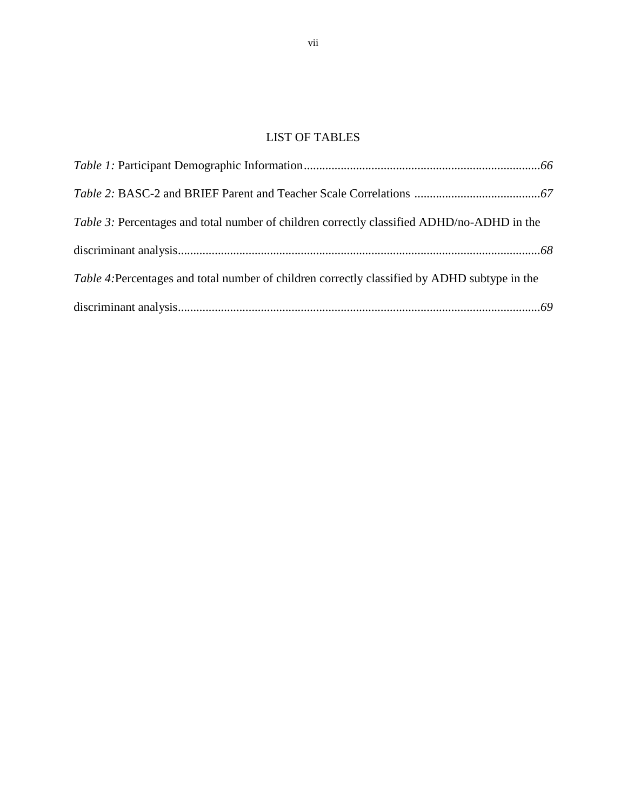# LIST OF TABLES

| Table 3: Percentages and total number of children correctly classified ADHD/no-ADHD in the    |  |
|-----------------------------------------------------------------------------------------------|--|
|                                                                                               |  |
| Table 4: Percentages and total number of children correctly classified by ADHD subtype in the |  |
|                                                                                               |  |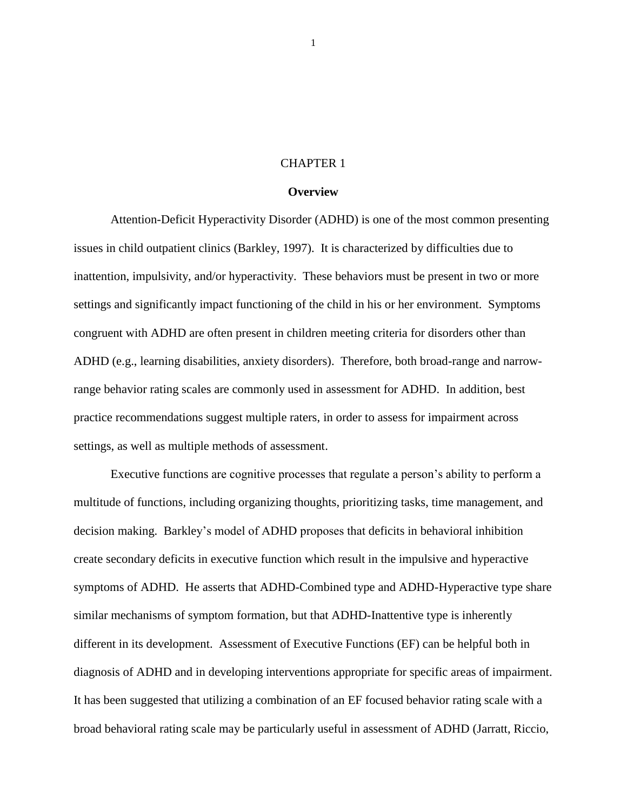## CHAPTER 1

#### **Overview**

Attention-Deficit Hyperactivity Disorder (ADHD) is one of the most common presenting issues in child outpatient clinics (Barkley, 1997). It is characterized by difficulties due to inattention, impulsivity, and/or hyperactivity. These behaviors must be present in two or more settings and significantly impact functioning of the child in his or her environment. Symptoms congruent with ADHD are often present in children meeting criteria for disorders other than ADHD (e.g., learning disabilities, anxiety disorders). Therefore, both broad-range and narrowrange behavior rating scales are commonly used in assessment for ADHD. In addition, best practice recommendations suggest multiple raters, in order to assess for impairment across settings, as well as multiple methods of assessment.

Executive functions are cognitive processes that regulate a person's ability to perform a multitude of functions, including organizing thoughts, prioritizing tasks, time management, and decision making. Barkley's model of ADHD proposes that deficits in behavioral inhibition create secondary deficits in executive function which result in the impulsive and hyperactive symptoms of ADHD. He asserts that ADHD-Combined type and ADHD-Hyperactive type share similar mechanisms of symptom formation, but that ADHD-Inattentive type is inherently different in its development. Assessment of Executive Functions (EF) can be helpful both in diagnosis of ADHD and in developing interventions appropriate for specific areas of impairment. It has been suggested that utilizing a combination of an EF focused behavior rating scale with a broad behavioral rating scale may be particularly useful in assessment of ADHD (Jarratt, Riccio,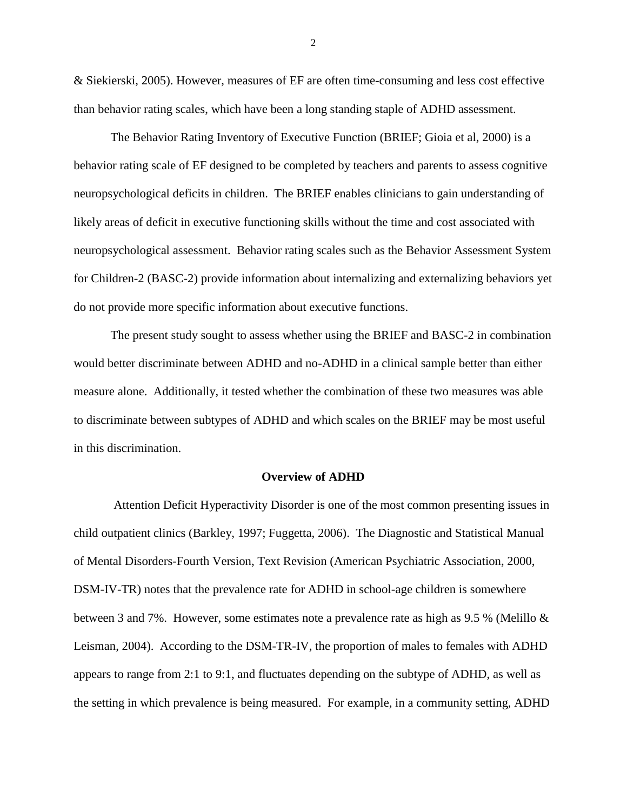& Siekierski, 2005). However, measures of EF are often time-consuming and less cost effective than behavior rating scales, which have been a long standing staple of ADHD assessment.

The Behavior Rating Inventory of Executive Function (BRIEF; Gioia et al, 2000) is a behavior rating scale of EF designed to be completed by teachers and parents to assess cognitive neuropsychological deficits in children. The BRIEF enables clinicians to gain understanding of likely areas of deficit in executive functioning skills without the time and cost associated with neuropsychological assessment. Behavior rating scales such as the Behavior Assessment System for Children-2 (BASC-2) provide information about internalizing and externalizing behaviors yet do not provide more specific information about executive functions.

 The present study sought to assess whether using the BRIEF and BASC-2 in combination would better discriminate between ADHD and no-ADHD in a clinical sample better than either measure alone. Additionally, it tested whether the combination of these two measures was able to discriminate between subtypes of ADHD and which scales on the BRIEF may be most useful in this discrimination.

#### **Overview of ADHD**

Attention Deficit Hyperactivity Disorder is one of the most common presenting issues in child outpatient clinics (Barkley, 1997; Fuggetta, 2006). The Diagnostic and Statistical Manual of Mental Disorders-Fourth Version, Text Revision (American Psychiatric Association, 2000, DSM-IV-TR) notes that the prevalence rate for ADHD in school-age children is somewhere between 3 and 7%. However, some estimates note a prevalence rate as high as 9.5 % (Melillo & Leisman, 2004). According to the DSM-TR-IV, the proportion of males to females with ADHD appears to range from 2:1 to 9:1, and fluctuates depending on the subtype of ADHD, as well as the setting in which prevalence is being measured. For example, in a community setting, ADHD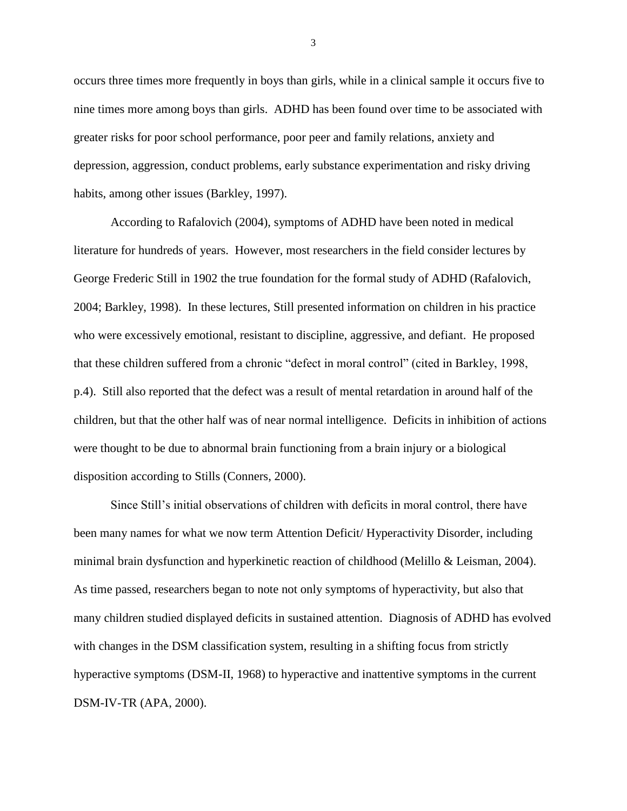occurs three times more frequently in boys than girls, while in a clinical sample it occurs five to nine times more among boys than girls. ADHD has been found over time to be associated with greater risks for poor school performance, poor peer and family relations, anxiety and depression, aggression, conduct problems, early substance experimentation and risky driving habits, among other issues (Barkley, 1997).

According to Rafalovich (2004), symptoms of ADHD have been noted in medical literature for hundreds of years. However, most researchers in the field consider lectures by George Frederic Still in 1902 the true foundation for the formal study of ADHD (Rafalovich, 2004; Barkley, 1998). In these lectures, Still presented information on children in his practice who were excessively emotional, resistant to discipline, aggressive, and defiant. He proposed that these children suffered from a chronic "defect in moral control" (cited in Barkley, 1998, p.4). Still also reported that the defect was a result of mental retardation in around half of the children, but that the other half was of near normal intelligence. Deficits in inhibition of actions were thought to be due to abnormal brain functioning from a brain injury or a biological disposition according to Stills (Conners, 2000).

Since Still's initial observations of children with deficits in moral control, there have been many names for what we now term Attention Deficit/ Hyperactivity Disorder, including minimal brain dysfunction and hyperkinetic reaction of childhood (Melillo & Leisman, 2004). As time passed, researchers began to note not only symptoms of hyperactivity, but also that many children studied displayed deficits in sustained attention. Diagnosis of ADHD has evolved with changes in the DSM classification system, resulting in a shifting focus from strictly hyperactive symptoms (DSM-II, 1968) to hyperactive and inattentive symptoms in the current DSM-IV-TR (APA, 2000).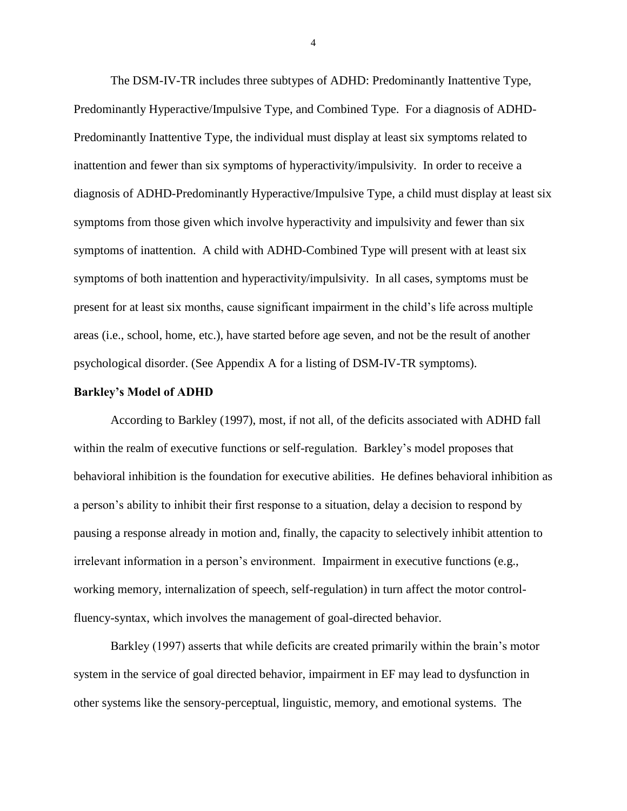The DSM-IV-TR includes three subtypes of ADHD: Predominantly Inattentive Type, Predominantly Hyperactive/Impulsive Type, and Combined Type. For a diagnosis of ADHD-Predominantly Inattentive Type, the individual must display at least six symptoms related to inattention and fewer than six symptoms of hyperactivity/impulsivity. In order to receive a diagnosis of ADHD-Predominantly Hyperactive/Impulsive Type, a child must display at least six symptoms from those given which involve hyperactivity and impulsivity and fewer than six symptoms of inattention. A child with ADHD-Combined Type will present with at least six symptoms of both inattention and hyperactivity/impulsivity. In all cases, symptoms must be present for at least six months, cause significant impairment in the child's life across multiple areas (i.e., school, home, etc.), have started before age seven, and not be the result of another psychological disorder. (See Appendix A for a listing of DSM-IV-TR symptoms).

#### **Barkley's Model of ADHD**

According to Barkley (1997), most, if not all, of the deficits associated with ADHD fall within the realm of executive functions or self-regulation. Barkley's model proposes that behavioral inhibition is the foundation for executive abilities. He defines behavioral inhibition as a person's ability to inhibit their first response to a situation, delay a decision to respond by pausing a response already in motion and, finally, the capacity to selectively inhibit attention to irrelevant information in a person's environment. Impairment in executive functions (e.g., working memory, internalization of speech, self-regulation) in turn affect the motor controlfluency-syntax, which involves the management of goal-directed behavior.

Barkley (1997) asserts that while deficits are created primarily within the brain's motor system in the service of goal directed behavior, impairment in EF may lead to dysfunction in other systems like the sensory-perceptual, linguistic, memory, and emotional systems. The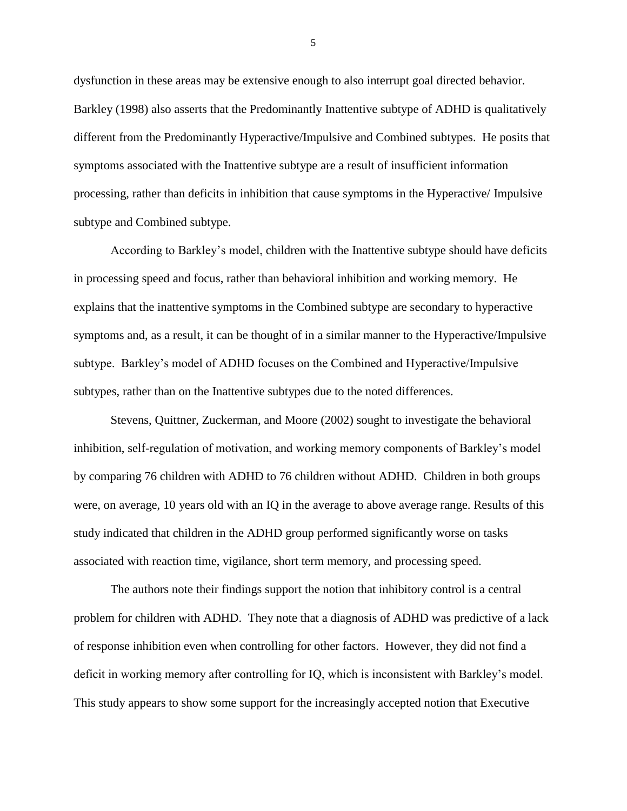dysfunction in these areas may be extensive enough to also interrupt goal directed behavior. Barkley (1998) also asserts that the Predominantly Inattentive subtype of ADHD is qualitatively different from the Predominantly Hyperactive/Impulsive and Combined subtypes. He posits that symptoms associated with the Inattentive subtype are a result of insufficient information processing, rather than deficits in inhibition that cause symptoms in the Hyperactive/ Impulsive subtype and Combined subtype.

According to Barkley's model, children with the Inattentive subtype should have deficits in processing speed and focus, rather than behavioral inhibition and working memory. He explains that the inattentive symptoms in the Combined subtype are secondary to hyperactive symptoms and, as a result, it can be thought of in a similar manner to the Hyperactive/Impulsive subtype. Barkley's model of ADHD focuses on the Combined and Hyperactive/Impulsive subtypes, rather than on the Inattentive subtypes due to the noted differences.

Stevens, Quittner, Zuckerman, and Moore (2002) sought to investigate the behavioral inhibition, self-regulation of motivation, and working memory components of Barkley's model by comparing 76 children with ADHD to 76 children without ADHD. Children in both groups were, on average, 10 years old with an IQ in the average to above average range. Results of this study indicated that children in the ADHD group performed significantly worse on tasks associated with reaction time, vigilance, short term memory, and processing speed.

The authors note their findings support the notion that inhibitory control is a central problem for children with ADHD. They note that a diagnosis of ADHD was predictive of a lack of response inhibition even when controlling for other factors. However, they did not find a deficit in working memory after controlling for IQ, which is inconsistent with Barkley's model. This study appears to show some support for the increasingly accepted notion that Executive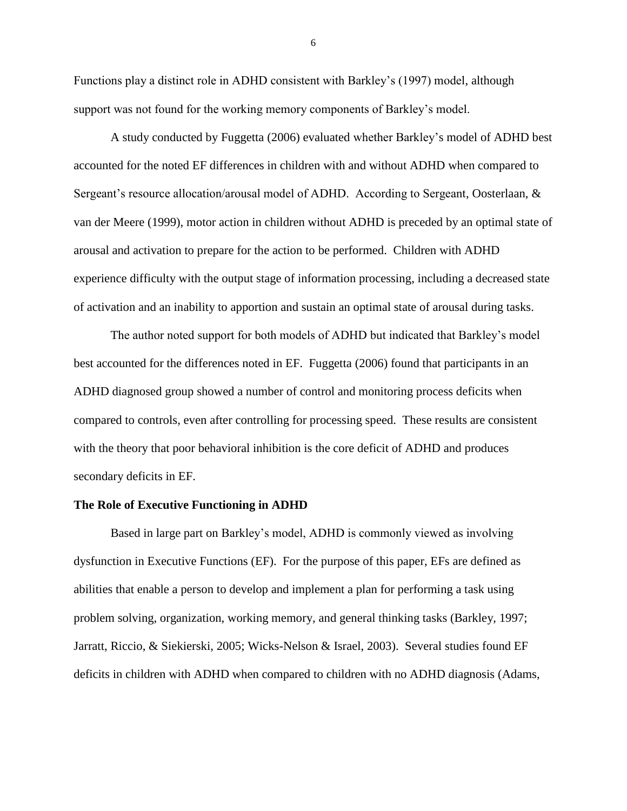Functions play a distinct role in ADHD consistent with Barkley's (1997) model, although support was not found for the working memory components of Barkley's model.

A study conducted by Fuggetta (2006) evaluated whether Barkley's model of ADHD best accounted for the noted EF differences in children with and without ADHD when compared to Sergeant's resource allocation/arousal model of ADHD. According to Sergeant, Oosterlaan, & van der Meere (1999), motor action in children without ADHD is preceded by an optimal state of arousal and activation to prepare for the action to be performed. Children with ADHD experience difficulty with the output stage of information processing, including a decreased state of activation and an inability to apportion and sustain an optimal state of arousal during tasks.

The author noted support for both models of ADHD but indicated that Barkley's model best accounted for the differences noted in EF. Fuggetta (2006) found that participants in an ADHD diagnosed group showed a number of control and monitoring process deficits when compared to controls, even after controlling for processing speed. These results are consistent with the theory that poor behavioral inhibition is the core deficit of ADHD and produces secondary deficits in EF.

#### **The Role of Executive Functioning in ADHD**

Based in large part on Barkley's model, ADHD is commonly viewed as involving dysfunction in Executive Functions (EF). For the purpose of this paper, EFs are defined as abilities that enable a person to develop and implement a plan for performing a task using problem solving, organization, working memory, and general thinking tasks (Barkley, 1997; Jarratt, Riccio, & Siekierski, 2005; Wicks-Nelson & Israel, 2003). Several studies found EF deficits in children with ADHD when compared to children with no ADHD diagnosis (Adams,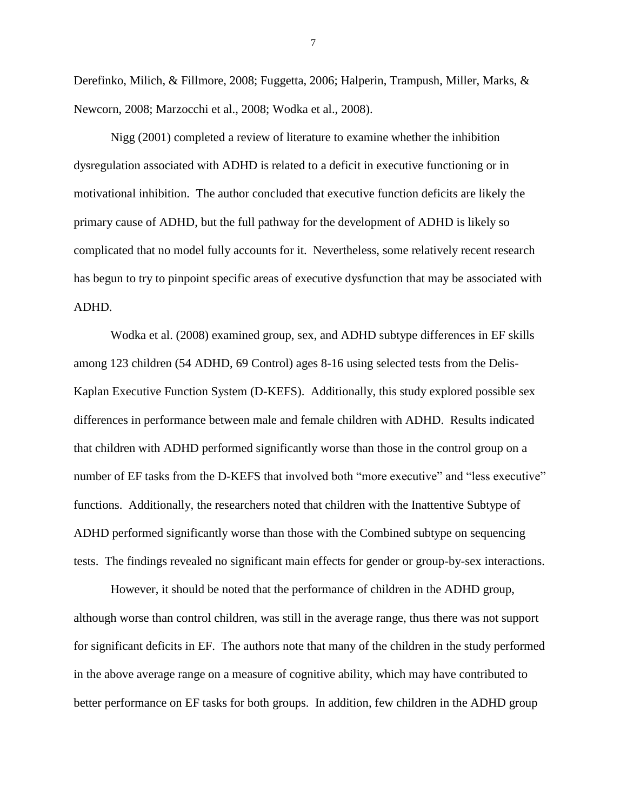Derefinko, Milich, & Fillmore, 2008; Fuggetta, 2006; Halperin, Trampush, Miller, Marks, & Newcorn, 2008; Marzocchi et al., 2008; Wodka et al., 2008).

Nigg (2001) completed a review of literature to examine whether the inhibition dysregulation associated with ADHD is related to a deficit in executive functioning or in motivational inhibition. The author concluded that executive function deficits are likely the primary cause of ADHD, but the full pathway for the development of ADHD is likely so complicated that no model fully accounts for it. Nevertheless, some relatively recent research has begun to try to pinpoint specific areas of executive dysfunction that may be associated with ADHD.

Wodka et al. (2008) examined group, sex, and ADHD subtype differences in EF skills among 123 children (54 ADHD, 69 Control) ages 8-16 using selected tests from the Delis-Kaplan Executive Function System (D-KEFS). Additionally, this study explored possible sex differences in performance between male and female children with ADHD. Results indicated that children with ADHD performed significantly worse than those in the control group on a number of EF tasks from the D-KEFS that involved both "more executive" and "less executive" functions. Additionally, the researchers noted that children with the Inattentive Subtype of ADHD performed significantly worse than those with the Combined subtype on sequencing tests. The findings revealed no significant main effects for gender or group-by-sex interactions.

However, it should be noted that the performance of children in the ADHD group, although worse than control children, was still in the average range, thus there was not support for significant deficits in EF. The authors note that many of the children in the study performed in the above average range on a measure of cognitive ability, which may have contributed to better performance on EF tasks for both groups. In addition, few children in the ADHD group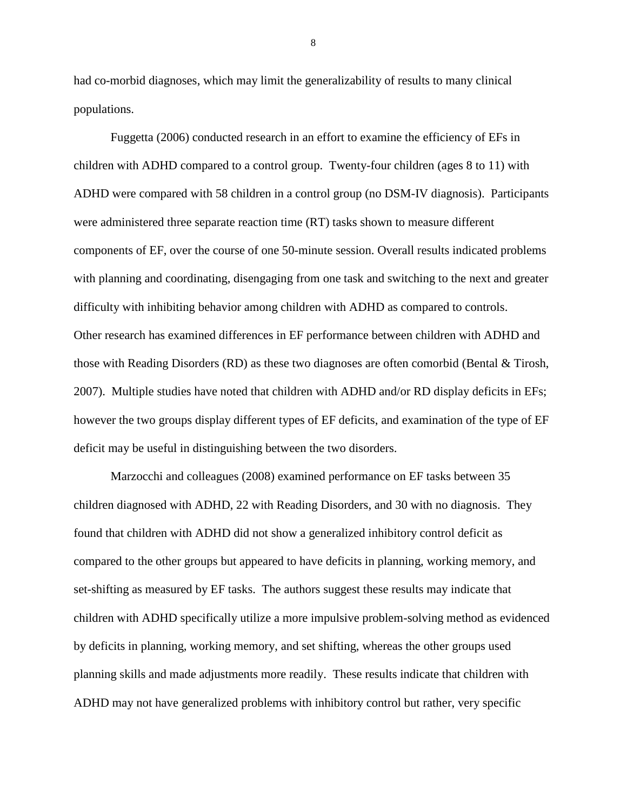had co-morbid diagnoses, which may limit the generalizability of results to many clinical populations.

Fuggetta (2006) conducted research in an effort to examine the efficiency of EFs in children with ADHD compared to a control group. Twenty-four children (ages 8 to 11) with ADHD were compared with 58 children in a control group (no DSM-IV diagnosis). Participants were administered three separate reaction time (RT) tasks shown to measure different components of EF, over the course of one 50-minute session. Overall results indicated problems with planning and coordinating, disengaging from one task and switching to the next and greater difficulty with inhibiting behavior among children with ADHD as compared to controls. Other research has examined differences in EF performance between children with ADHD and those with Reading Disorders (RD) as these two diagnoses are often comorbid (Bental & Tirosh, 2007). Multiple studies have noted that children with ADHD and/or RD display deficits in EFs; however the two groups display different types of EF deficits, and examination of the type of EF deficit may be useful in distinguishing between the two disorders.

Marzocchi and colleagues (2008) examined performance on EF tasks between 35 children diagnosed with ADHD, 22 with Reading Disorders, and 30 with no diagnosis. They found that children with ADHD did not show a generalized inhibitory control deficit as compared to the other groups but appeared to have deficits in planning, working memory, and set-shifting as measured by EF tasks. The authors suggest these results may indicate that children with ADHD specifically utilize a more impulsive problem-solving method as evidenced by deficits in planning, working memory, and set shifting, whereas the other groups used planning skills and made adjustments more readily. These results indicate that children with ADHD may not have generalized problems with inhibitory control but rather, very specific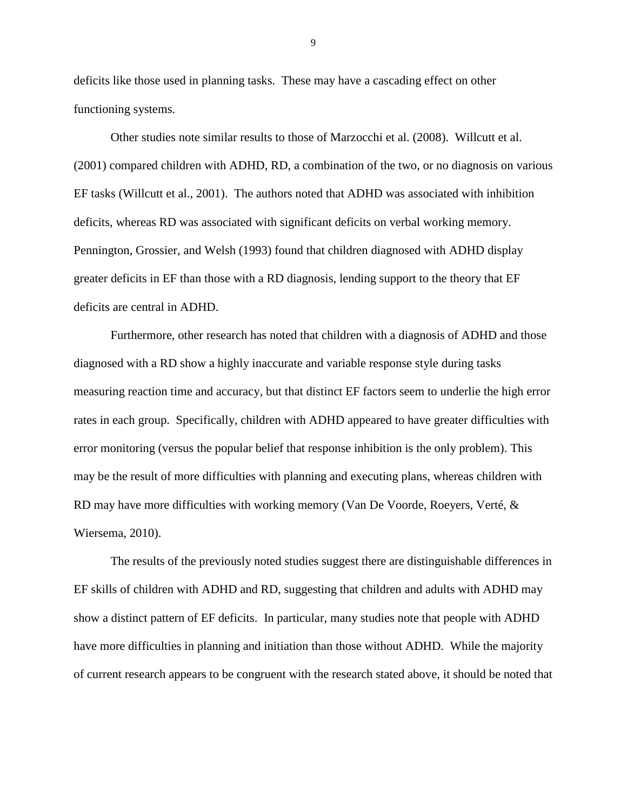deficits like those used in planning tasks. These may have a cascading effect on other functioning systems.

Other studies note similar results to those of Marzocchi et al. (2008). Willcutt et al. (2001) compared children with ADHD, RD, a combination of the two, or no diagnosis on various EF tasks (Willcutt et al., 2001). The authors noted that ADHD was associated with inhibition deficits, whereas RD was associated with significant deficits on verbal working memory. Pennington, Grossier, and Welsh (1993) found that children diagnosed with ADHD display greater deficits in EF than those with a RD diagnosis, lending support to the theory that EF deficits are central in ADHD.

Furthermore, other research has noted that children with a diagnosis of ADHD and those diagnosed with a RD show a highly inaccurate and variable response style during tasks measuring reaction time and accuracy, but that distinct EF factors seem to underlie the high error rates in each group. Specifically, children with ADHD appeared to have greater difficulties with error monitoring (versus the popular belief that response inhibition is the only problem). This may be the result of more difficulties with planning and executing plans, whereas children with RD may have more difficulties with working memory (Van De Voorde, Roeyers, Verté, & Wiersema, 2010).

The results of the previously noted studies suggest there are distinguishable differences in EF skills of children with ADHD and RD, suggesting that children and adults with ADHD may show a distinct pattern of EF deficits. In particular, many studies note that people with ADHD have more difficulties in planning and initiation than those without ADHD. While the majority of current research appears to be congruent with the research stated above, it should be noted that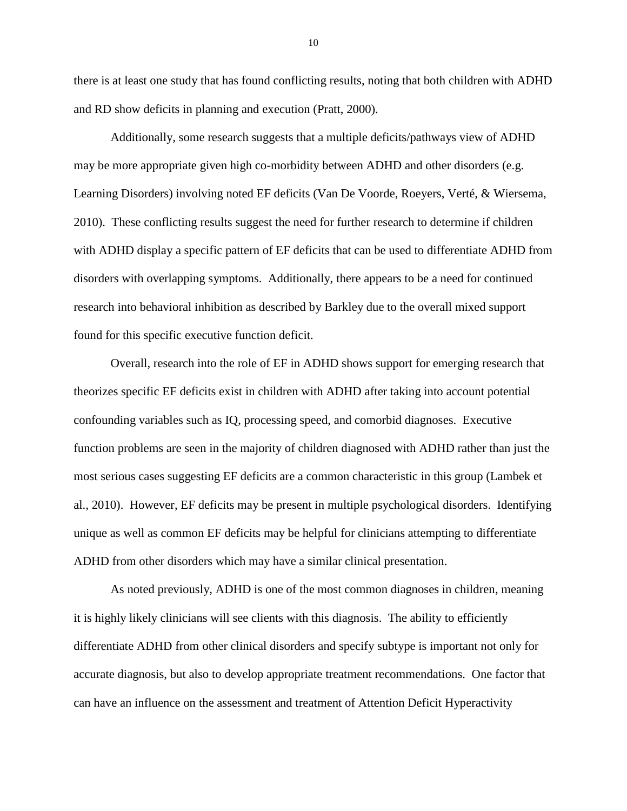there is at least one study that has found conflicting results, noting that both children with ADHD and RD show deficits in planning and execution (Pratt, 2000).

Additionally, some research suggests that a multiple deficits/pathways view of ADHD may be more appropriate given high co-morbidity between ADHD and other disorders (e.g. Learning Disorders) involving noted EF deficits (Van De Voorde, Roeyers, Verté, & Wiersema, 2010). These conflicting results suggest the need for further research to determine if children with ADHD display a specific pattern of EF deficits that can be used to differentiate ADHD from disorders with overlapping symptoms. Additionally, there appears to be a need for continued research into behavioral inhibition as described by Barkley due to the overall mixed support found for this specific executive function deficit.

Overall, research into the role of EF in ADHD shows support for emerging research that theorizes specific EF deficits exist in children with ADHD after taking into account potential confounding variables such as IQ, processing speed, and comorbid diagnoses. Executive function problems are seen in the majority of children diagnosed with ADHD rather than just the most serious cases suggesting EF deficits are a common characteristic in this group (Lambek et al., 2010). However, EF deficits may be present in multiple psychological disorders. Identifying unique as well as common EF deficits may be helpful for clinicians attempting to differentiate ADHD from other disorders which may have a similar clinical presentation.

As noted previously, ADHD is one of the most common diagnoses in children, meaning it is highly likely clinicians will see clients with this diagnosis. The ability to efficiently differentiate ADHD from other clinical disorders and specify subtype is important not only for accurate diagnosis, but also to develop appropriate treatment recommendations. One factor that can have an influence on the assessment and treatment of Attention Deficit Hyperactivity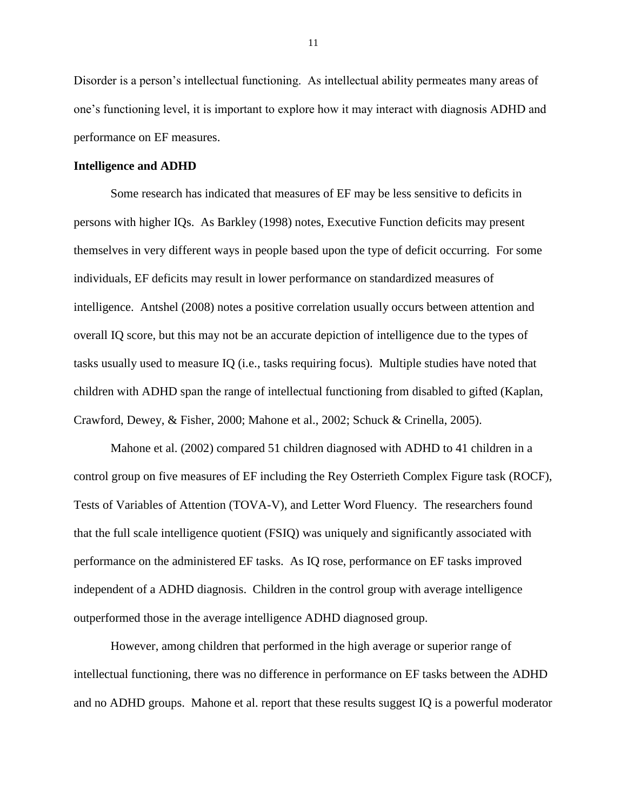Disorder is a person's intellectual functioning. As intellectual ability permeates many areas of one's functioning level, it is important to explore how it may interact with diagnosis ADHD and performance on EF measures.

#### **Intelligence and ADHD**

Some research has indicated that measures of EF may be less sensitive to deficits in persons with higher IQs. As Barkley (1998) notes, Executive Function deficits may present themselves in very different ways in people based upon the type of deficit occurring. For some individuals, EF deficits may result in lower performance on standardized measures of intelligence. Antshel (2008) notes a positive correlation usually occurs between attention and overall IQ score, but this may not be an accurate depiction of intelligence due to the types of tasks usually used to measure IQ (i.e., tasks requiring focus). Multiple studies have noted that children with ADHD span the range of intellectual functioning from disabled to gifted (Kaplan, Crawford, Dewey, & Fisher, 2000; Mahone et al., 2002; Schuck & Crinella, 2005).

Mahone et al. (2002) compared 51 children diagnosed with ADHD to 41 children in a control group on five measures of EF including the Rey Osterrieth Complex Figure task (ROCF), Tests of Variables of Attention (TOVA-V), and Letter Word Fluency. The researchers found that the full scale intelligence quotient (FSIQ) was uniquely and significantly associated with performance on the administered EF tasks. As IQ rose, performance on EF tasks improved independent of a ADHD diagnosis. Children in the control group with average intelligence outperformed those in the average intelligence ADHD diagnosed group.

However, among children that performed in the high average or superior range of intellectual functioning, there was no difference in performance on EF tasks between the ADHD and no ADHD groups. Mahone et al. report that these results suggest IQ is a powerful moderator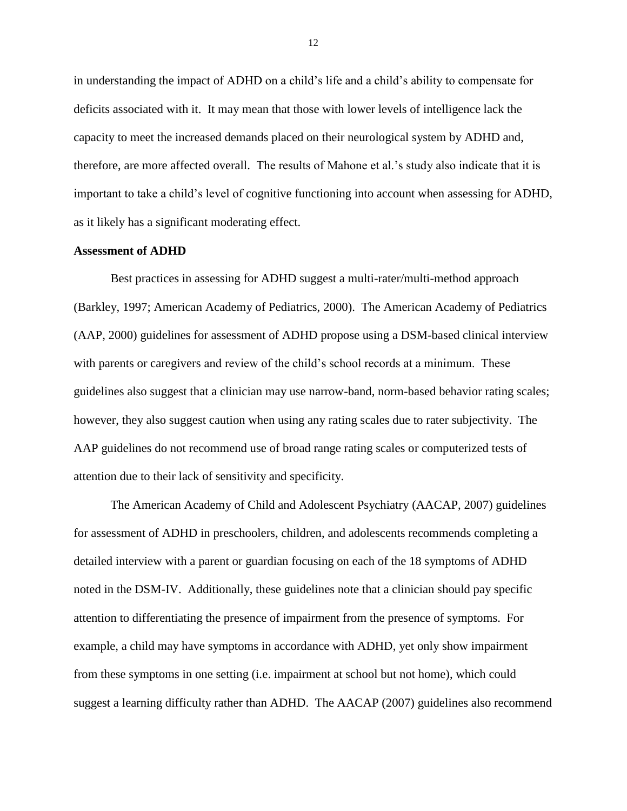in understanding the impact of ADHD on a child's life and a child's ability to compensate for deficits associated with it. It may mean that those with lower levels of intelligence lack the capacity to meet the increased demands placed on their neurological system by ADHD and, therefore, are more affected overall. The results of Mahone et al.'s study also indicate that it is important to take a child's level of cognitive functioning into account when assessing for ADHD, as it likely has a significant moderating effect.

## **Assessment of ADHD**

Best practices in assessing for ADHD suggest a multi-rater/multi-method approach (Barkley, 1997; American Academy of Pediatrics, 2000). The American Academy of Pediatrics (AAP, 2000) guidelines for assessment of ADHD propose using a DSM-based clinical interview with parents or caregivers and review of the child's school records at a minimum. These guidelines also suggest that a clinician may use narrow-band, norm-based behavior rating scales; however, they also suggest caution when using any rating scales due to rater subjectivity. The AAP guidelines do not recommend use of broad range rating scales or computerized tests of attention due to their lack of sensitivity and specificity.

The American Academy of Child and Adolescent Psychiatry (AACAP, 2007) guidelines for assessment of ADHD in preschoolers, children, and adolescents recommends completing a detailed interview with a parent or guardian focusing on each of the 18 symptoms of ADHD noted in the DSM-IV. Additionally, these guidelines note that a clinician should pay specific attention to differentiating the presence of impairment from the presence of symptoms. For example, a child may have symptoms in accordance with ADHD, yet only show impairment from these symptoms in one setting (i.e. impairment at school but not home), which could suggest a learning difficulty rather than ADHD. The AACAP (2007) guidelines also recommend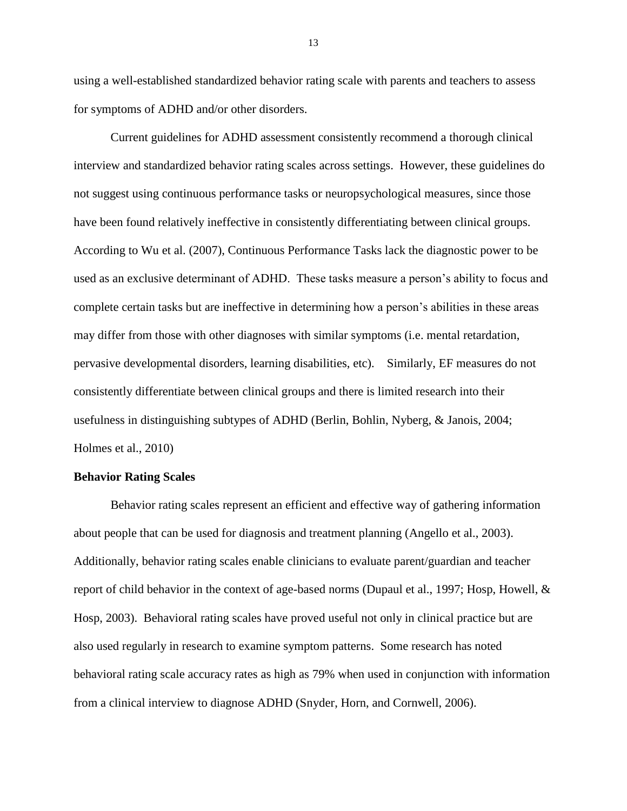using a well-established standardized behavior rating scale with parents and teachers to assess for symptoms of ADHD and/or other disorders.

Current guidelines for ADHD assessment consistently recommend a thorough clinical interview and standardized behavior rating scales across settings. However, these guidelines do not suggest using continuous performance tasks or neuropsychological measures, since those have been found relatively ineffective in consistently differentiating between clinical groups. According to Wu et al. (2007), Continuous Performance Tasks lack the diagnostic power to be used as an exclusive determinant of ADHD. These tasks measure a person's ability to focus and complete certain tasks but are ineffective in determining how a person's abilities in these areas may differ from those with other diagnoses with similar symptoms (i.e. mental retardation, pervasive developmental disorders, learning disabilities, etc). Similarly, EF measures do not consistently differentiate between clinical groups and there is limited research into their usefulness in distinguishing subtypes of ADHD (Berlin, Bohlin, Nyberg, & Janois, 2004; Holmes et al., 2010)

#### **Behavior Rating Scales**

Behavior rating scales represent an efficient and effective way of gathering information about people that can be used for diagnosis and treatment planning (Angello et al., 2003). Additionally, behavior rating scales enable clinicians to evaluate parent/guardian and teacher report of child behavior in the context of age-based norms (Dupaul et al., 1997; Hosp, Howell, & Hosp, 2003). Behavioral rating scales have proved useful not only in clinical practice but are also used regularly in research to examine symptom patterns. Some research has noted behavioral rating scale accuracy rates as high as 79% when used in conjunction with information from a clinical interview to diagnose ADHD (Snyder, Horn, and Cornwell, 2006).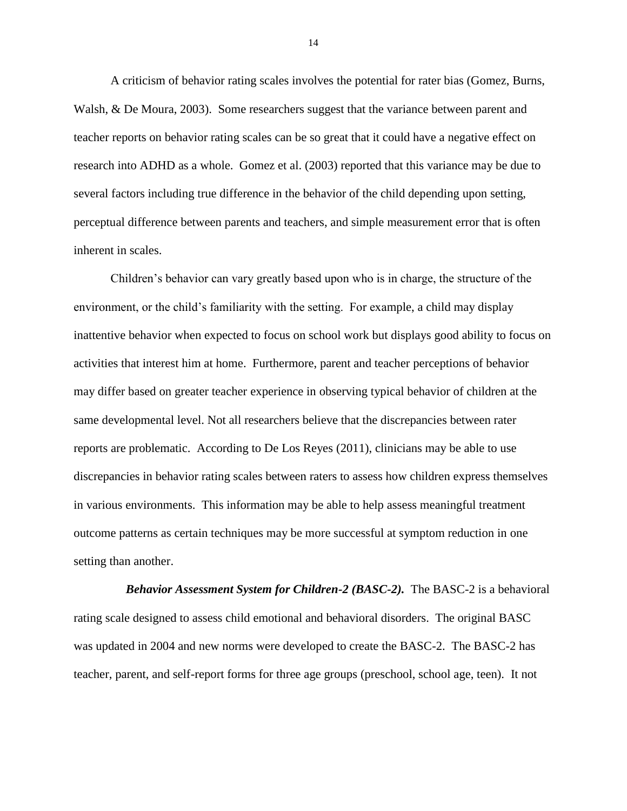A criticism of behavior rating scales involves the potential for rater bias (Gomez, Burns, Walsh, & De Moura, 2003). Some researchers suggest that the variance between parent and teacher reports on behavior rating scales can be so great that it could have a negative effect on research into ADHD as a whole. Gomez et al. (2003) reported that this variance may be due to several factors including true difference in the behavior of the child depending upon setting, perceptual difference between parents and teachers, and simple measurement error that is often inherent in scales.

Children's behavior can vary greatly based upon who is in charge, the structure of the environment, or the child's familiarity with the setting. For example, a child may display inattentive behavior when expected to focus on school work but displays good ability to focus on activities that interest him at home. Furthermore, parent and teacher perceptions of behavior may differ based on greater teacher experience in observing typical behavior of children at the same developmental level. Not all researchers believe that the discrepancies between rater reports are problematic. According to De Los Reyes (2011), clinicians may be able to use discrepancies in behavior rating scales between raters to assess how children express themselves in various environments. This information may be able to help assess meaningful treatment outcome patterns as certain techniques may be more successful at symptom reduction in one setting than another.

 *Behavior Assessment System for Children-2 (BASC-2).* The BASC-2 is a behavioral rating scale designed to assess child emotional and behavioral disorders. The original BASC was updated in 2004 and new norms were developed to create the BASC-2. The BASC-2 has teacher, parent, and self-report forms for three age groups (preschool, school age, teen). It not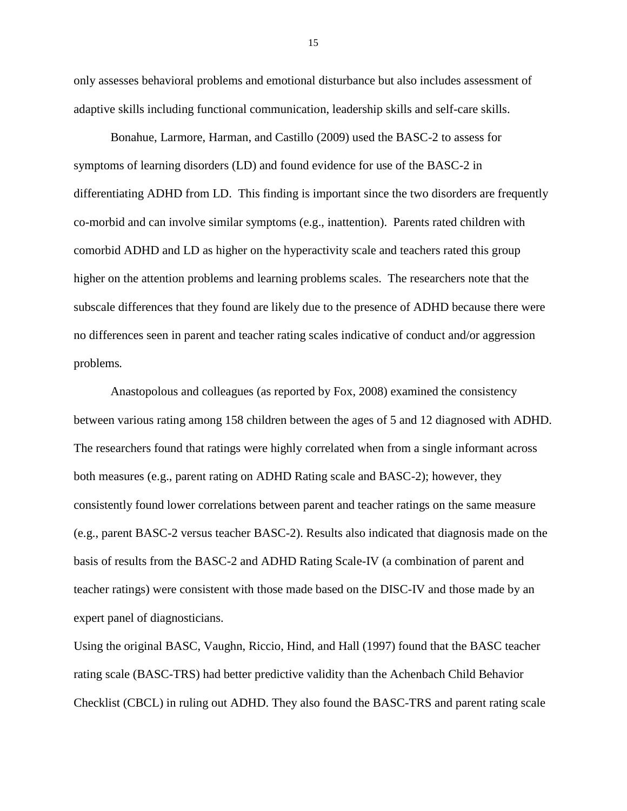only assesses behavioral problems and emotional disturbance but also includes assessment of adaptive skills including functional communication, leadership skills and self-care skills.

Bonahue, Larmore, Harman, and Castillo (2009) used the BASC-2 to assess for symptoms of learning disorders (LD) and found evidence for use of the BASC-2 in differentiating ADHD from LD. This finding is important since the two disorders are frequently co-morbid and can involve similar symptoms (e.g., inattention). Parents rated children with comorbid ADHD and LD as higher on the hyperactivity scale and teachers rated this group higher on the attention problems and learning problems scales. The researchers note that the subscale differences that they found are likely due to the presence of ADHD because there were no differences seen in parent and teacher rating scales indicative of conduct and/or aggression problems*.* 

Anastopolous and colleagues (as reported by Fox, 2008) examined the consistency between various rating among 158 children between the ages of 5 and 12 diagnosed with ADHD. The researchers found that ratings were highly correlated when from a single informant across both measures (e.g., parent rating on ADHD Rating scale and BASC-2); however, they consistently found lower correlations between parent and teacher ratings on the same measure (e.g., parent BASC-2 versus teacher BASC-2). Results also indicated that diagnosis made on the basis of results from the BASC-2 and ADHD Rating Scale-IV (a combination of parent and teacher ratings) were consistent with those made based on the DISC-IV and those made by an expert panel of diagnosticians.

Using the original BASC, Vaughn, Riccio, Hind, and Hall (1997) found that the BASC teacher rating scale (BASC-TRS) had better predictive validity than the Achenbach Child Behavior Checklist (CBCL) in ruling out ADHD. They also found the BASC-TRS and parent rating scale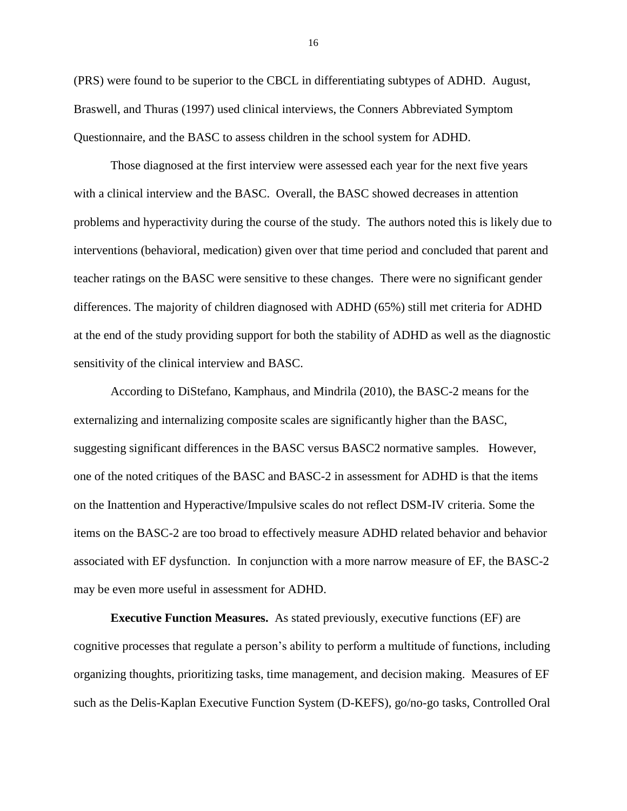(PRS) were found to be superior to the CBCL in differentiating subtypes of ADHD. August, Braswell, and Thuras (1997) used clinical interviews, the Conners Abbreviated Symptom Questionnaire, and the BASC to assess children in the school system for ADHD.

Those diagnosed at the first interview were assessed each year for the next five years with a clinical interview and the BASC. Overall, the BASC showed decreases in attention problems and hyperactivity during the course of the study. The authors noted this is likely due to interventions (behavioral, medication) given over that time period and concluded that parent and teacher ratings on the BASC were sensitive to these changes. There were no significant gender differences. The majority of children diagnosed with ADHD (65%) still met criteria for ADHD at the end of the study providing support for both the stability of ADHD as well as the diagnostic sensitivity of the clinical interview and BASC.

According to DiStefano, Kamphaus, and Mindrila (2010), the BASC-2 means for the externalizing and internalizing composite scales are significantly higher than the BASC, suggesting significant differences in the BASC versus BASC2 normative samples. However, one of the noted critiques of the BASC and BASC-2 in assessment for ADHD is that the items on the Inattention and Hyperactive/Impulsive scales do not reflect DSM-IV criteria. Some the items on the BASC-2 are too broad to effectively measure ADHD related behavior and behavior associated with EF dysfunction. In conjunction with a more narrow measure of EF, the BASC-2 may be even more useful in assessment for ADHD.

**Executive Function Measures.** As stated previously, executive functions (EF) are cognitive processes that regulate a person's ability to perform a multitude of functions, including organizing thoughts, prioritizing tasks, time management, and decision making. Measures of EF such as the Delis-Kaplan Executive Function System (D-KEFS), go/no-go tasks, Controlled Oral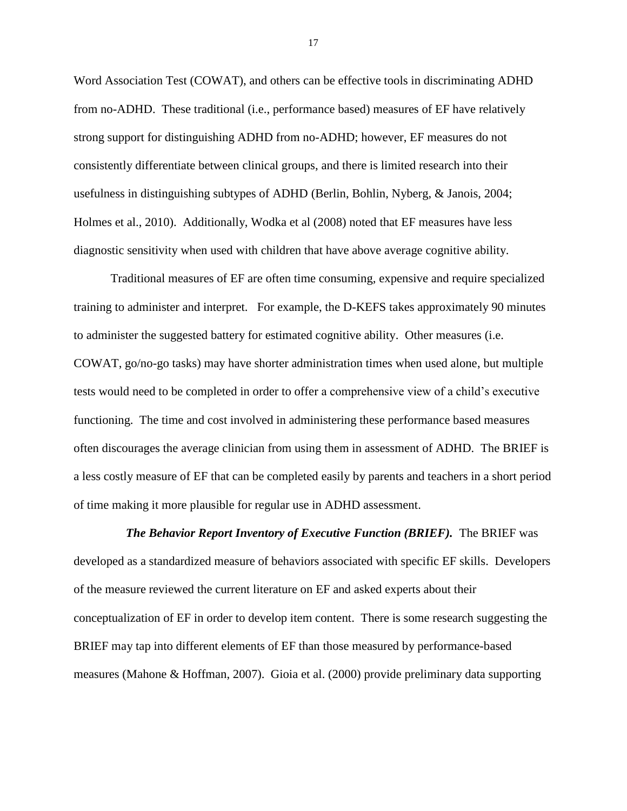Word Association Test (COWAT), and others can be effective tools in discriminating ADHD from no-ADHD. These traditional (i.e., performance based) measures of EF have relatively strong support for distinguishing ADHD from no-ADHD; however, EF measures do not consistently differentiate between clinical groups, and there is limited research into their usefulness in distinguishing subtypes of ADHD (Berlin, Bohlin, Nyberg, & Janois, 2004; Holmes et al., 2010). Additionally, Wodka et al (2008) noted that EF measures have less diagnostic sensitivity when used with children that have above average cognitive ability.

Traditional measures of EF are often time consuming, expensive and require specialized training to administer and interpret. For example, the D-KEFS takes approximately 90 minutes to administer the suggested battery for estimated cognitive ability. Other measures (i.e. COWAT, go/no-go tasks) may have shorter administration times when used alone, but multiple tests would need to be completed in order to offer a comprehensive view of a child's executive functioning. The time and cost involved in administering these performance based measures often discourages the average clinician from using them in assessment of ADHD. The BRIEF is a less costly measure of EF that can be completed easily by parents and teachers in a short period of time making it more plausible for regular use in ADHD assessment.

 *The Behavior Report Inventory of Executive Function (BRIEF).* The BRIEF was developed as a standardized measure of behaviors associated with specific EF skills. Developers of the measure reviewed the current literature on EF and asked experts about their conceptualization of EF in order to develop item content. There is some research suggesting the BRIEF may tap into different elements of EF than those measured by performance-based measures (Mahone & Hoffman, 2007). Gioia et al. (2000) provide preliminary data supporting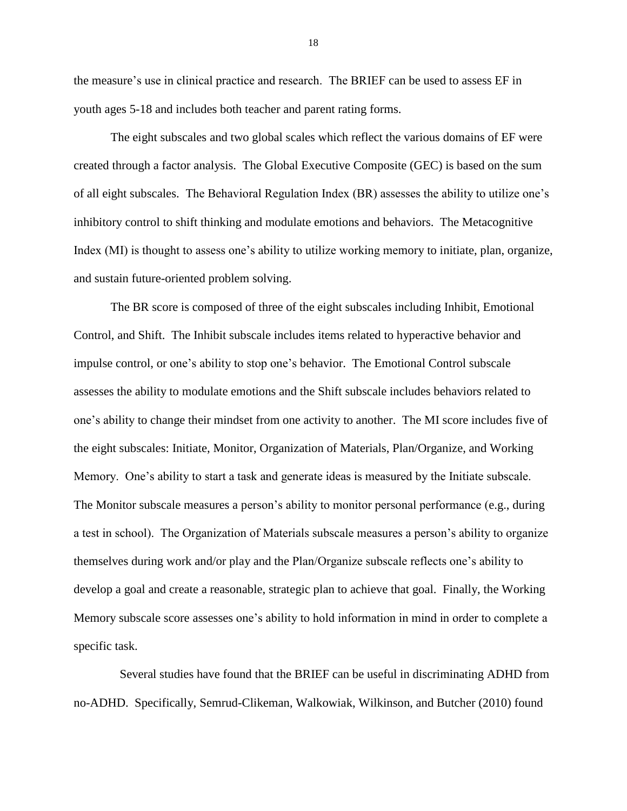the measure's use in clinical practice and research. The BRIEF can be used to assess EF in youth ages 5-18 and includes both teacher and parent rating forms.

The eight subscales and two global scales which reflect the various domains of EF were created through a factor analysis. The Global Executive Composite (GEC) is based on the sum of all eight subscales. The Behavioral Regulation Index (BR) assesses the ability to utilize one's inhibitory control to shift thinking and modulate emotions and behaviors. The Metacognitive Index (MI) is thought to assess one's ability to utilize working memory to initiate, plan, organize, and sustain future-oriented problem solving.

The BR score is composed of three of the eight subscales including Inhibit, Emotional Control, and Shift. The Inhibit subscale includes items related to hyperactive behavior and impulse control, or one's ability to stop one's behavior. The Emotional Control subscale assesses the ability to modulate emotions and the Shift subscale includes behaviors related to one's ability to change their mindset from one activity to another. The MI score includes five of the eight subscales: Initiate, Monitor, Organization of Materials, Plan/Organize, and Working Memory. One's ability to start a task and generate ideas is measured by the Initiate subscale. The Monitor subscale measures a person's ability to monitor personal performance (e.g., during a test in school). The Organization of Materials subscale measures a person's ability to organize themselves during work and/or play and the Plan/Organize subscale reflects one's ability to develop a goal and create a reasonable, strategic plan to achieve that goal. Finally, the Working Memory subscale score assesses one's ability to hold information in mind in order to complete a specific task.

 Several studies have found that the BRIEF can be useful in discriminating ADHD from no-ADHD. Specifically, Semrud-Clikeman, Walkowiak, Wilkinson, and Butcher (2010) found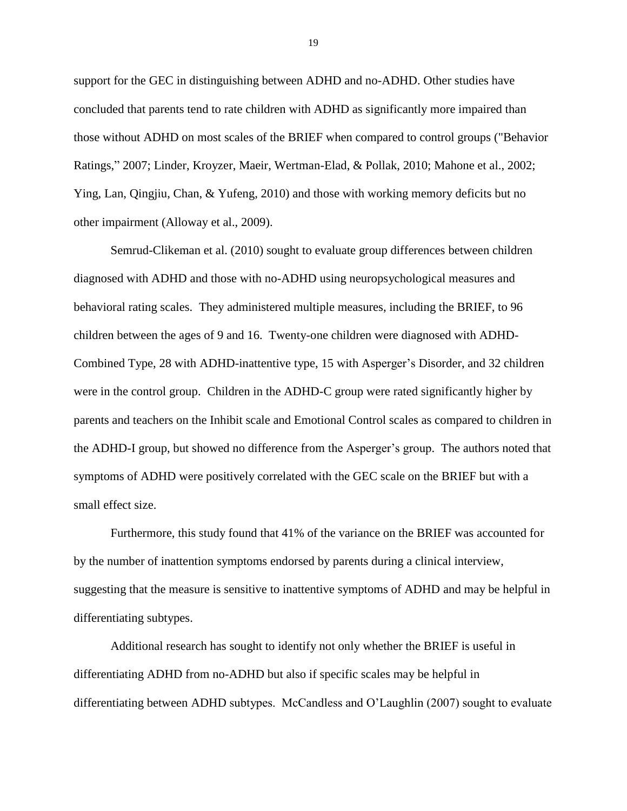support for the GEC in distinguishing between ADHD and no-ADHD. Other studies have concluded that parents tend to rate children with ADHD as significantly more impaired than those without ADHD on most scales of the BRIEF when compared to control groups ("Behavior Ratings," 2007; Linder, Kroyzer, Maeir, Wertman-Elad, & Pollak, 2010; Mahone et al., 2002; Ying, Lan, Qingjiu, Chan, & Yufeng, 2010) and those with working memory deficits but no other impairment (Alloway et al., 2009).

Semrud-Clikeman et al. (2010) sought to evaluate group differences between children diagnosed with ADHD and those with no-ADHD using neuropsychological measures and behavioral rating scales. They administered multiple measures, including the BRIEF, to 96 children between the ages of 9 and 16. Twenty-one children were diagnosed with ADHD-Combined Type, 28 with ADHD-inattentive type, 15 with Asperger's Disorder, and 32 children were in the control group. Children in the ADHD-C group were rated significantly higher by parents and teachers on the Inhibit scale and Emotional Control scales as compared to children in the ADHD-I group, but showed no difference from the Asperger's group. The authors noted that symptoms of ADHD were positively correlated with the GEC scale on the BRIEF but with a small effect size.

Furthermore, this study found that 41% of the variance on the BRIEF was accounted for by the number of inattention symptoms endorsed by parents during a clinical interview, suggesting that the measure is sensitive to inattentive symptoms of ADHD and may be helpful in differentiating subtypes.

Additional research has sought to identify not only whether the BRIEF is useful in differentiating ADHD from no-ADHD but also if specific scales may be helpful in differentiating between ADHD subtypes. McCandless and O'Laughlin (2007) sought to evaluate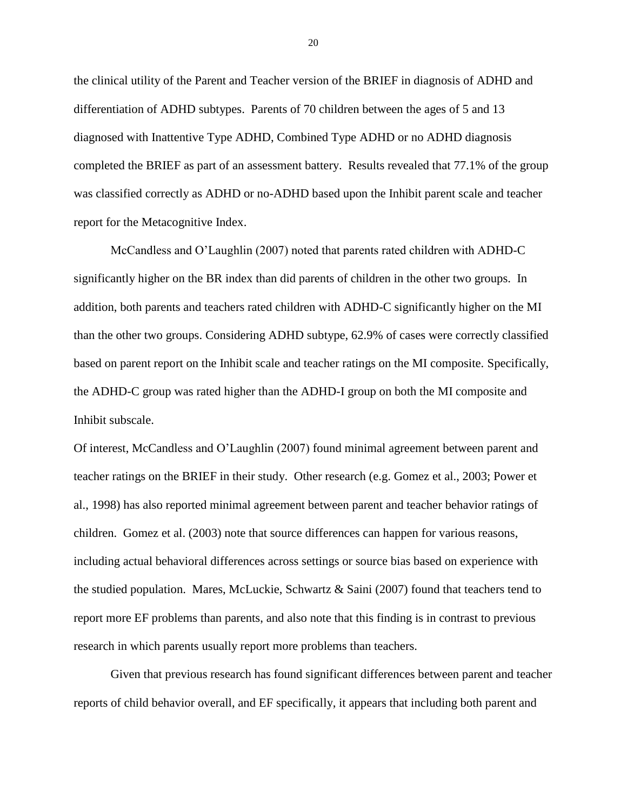the clinical utility of the Parent and Teacher version of the BRIEF in diagnosis of ADHD and differentiation of ADHD subtypes. Parents of 70 children between the ages of 5 and 13 diagnosed with Inattentive Type ADHD, Combined Type ADHD or no ADHD diagnosis completed the BRIEF as part of an assessment battery. Results revealed that 77.1% of the group was classified correctly as ADHD or no-ADHD based upon the Inhibit parent scale and teacher report for the Metacognitive Index.

McCandless and O'Laughlin (2007) noted that parents rated children with ADHD-C significantly higher on the BR index than did parents of children in the other two groups. In addition, both parents and teachers rated children with ADHD-C significantly higher on the MI than the other two groups. Considering ADHD subtype, 62.9% of cases were correctly classified based on parent report on the Inhibit scale and teacher ratings on the MI composite. Specifically, the ADHD-C group was rated higher than the ADHD-I group on both the MI composite and Inhibit subscale.

Of interest, McCandless and O'Laughlin (2007) found minimal agreement between parent and teacher ratings on the BRIEF in their study. Other research (e.g. Gomez et al., 2003; Power et al., 1998) has also reported minimal agreement between parent and teacher behavior ratings of children. Gomez et al. (2003) note that source differences can happen for various reasons, including actual behavioral differences across settings or source bias based on experience with the studied population. Mares, McLuckie, Schwartz & Saini (2007) found that teachers tend to report more EF problems than parents, and also note that this finding is in contrast to previous research in which parents usually report more problems than teachers.

Given that previous research has found significant differences between parent and teacher reports of child behavior overall, and EF specifically, it appears that including both parent and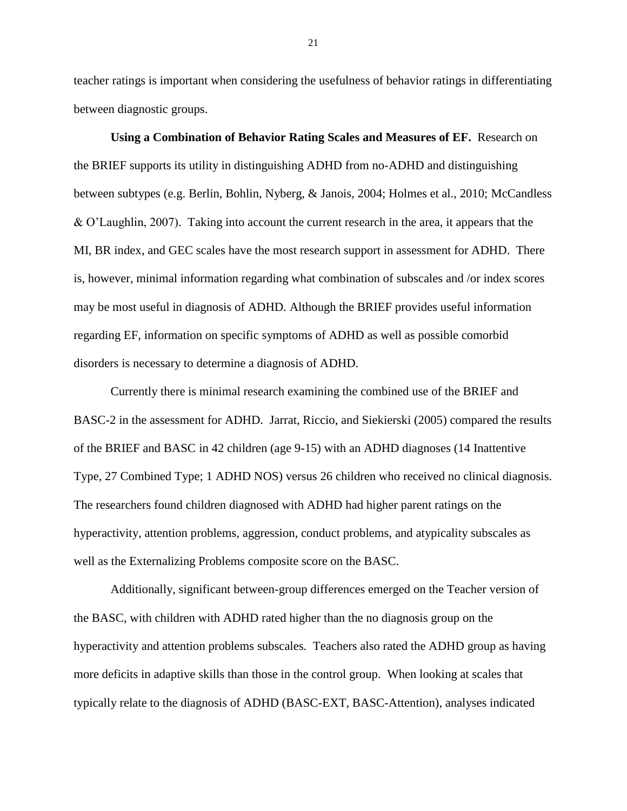teacher ratings is important when considering the usefulness of behavior ratings in differentiating between diagnostic groups.

**Using a Combination of Behavior Rating Scales and Measures of EF.** Research on the BRIEF supports its utility in distinguishing ADHD from no-ADHD and distinguishing between subtypes (e.g. Berlin, Bohlin, Nyberg, & Janois, 2004; Holmes et al., 2010; McCandless & O'Laughlin, 2007). Taking into account the current research in the area, it appears that the MI, BR index, and GEC scales have the most research support in assessment for ADHD. There is, however, minimal information regarding what combination of subscales and /or index scores may be most useful in diagnosis of ADHD. Although the BRIEF provides useful information regarding EF, information on specific symptoms of ADHD as well as possible comorbid disorders is necessary to determine a diagnosis of ADHD.

Currently there is minimal research examining the combined use of the BRIEF and BASC-2 in the assessment for ADHD. Jarrat, Riccio, and Siekierski (2005) compared the results of the BRIEF and BASC in 42 children (age 9-15) with an ADHD diagnoses (14 Inattentive Type, 27 Combined Type; 1 ADHD NOS) versus 26 children who received no clinical diagnosis. The researchers found children diagnosed with ADHD had higher parent ratings on the hyperactivity, attention problems, aggression, conduct problems, and atypicality subscales as well as the Externalizing Problems composite score on the BASC.

Additionally, significant between-group differences emerged on the Teacher version of the BASC, with children with ADHD rated higher than the no diagnosis group on the hyperactivity and attention problems subscales. Teachers also rated the ADHD group as having more deficits in adaptive skills than those in the control group. When looking at scales that typically relate to the diagnosis of ADHD (BASC-EXT, BASC-Attention), analyses indicated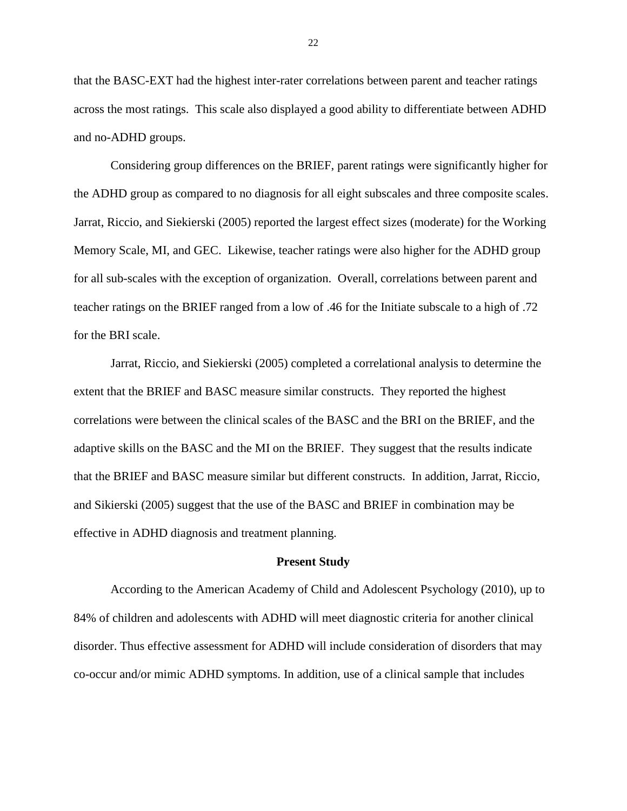that the BASC-EXT had the highest inter-rater correlations between parent and teacher ratings across the most ratings. This scale also displayed a good ability to differentiate between ADHD and no-ADHD groups.

Considering group differences on the BRIEF, parent ratings were significantly higher for the ADHD group as compared to no diagnosis for all eight subscales and three composite scales. Jarrat, Riccio, and Siekierski (2005) reported the largest effect sizes (moderate) for the Working Memory Scale, MI, and GEC. Likewise, teacher ratings were also higher for the ADHD group for all sub-scales with the exception of organization. Overall, correlations between parent and teacher ratings on the BRIEF ranged from a low of .46 for the Initiate subscale to a high of .72 for the BRI scale.

Jarrat, Riccio, and Siekierski (2005) completed a correlational analysis to determine the extent that the BRIEF and BASC measure similar constructs. They reported the highest correlations were between the clinical scales of the BASC and the BRI on the BRIEF, and the adaptive skills on the BASC and the MI on the BRIEF. They suggest that the results indicate that the BRIEF and BASC measure similar but different constructs. In addition, Jarrat, Riccio, and Sikierski (2005) suggest that the use of the BASC and BRIEF in combination may be effective in ADHD diagnosis and treatment planning.

#### **Present Study**

According to the American Academy of Child and Adolescent Psychology (2010), up to 84% of children and adolescents with ADHD will meet diagnostic criteria for another clinical disorder. Thus effective assessment for ADHD will include consideration of disorders that may co-occur and/or mimic ADHD symptoms. In addition, use of a clinical sample that includes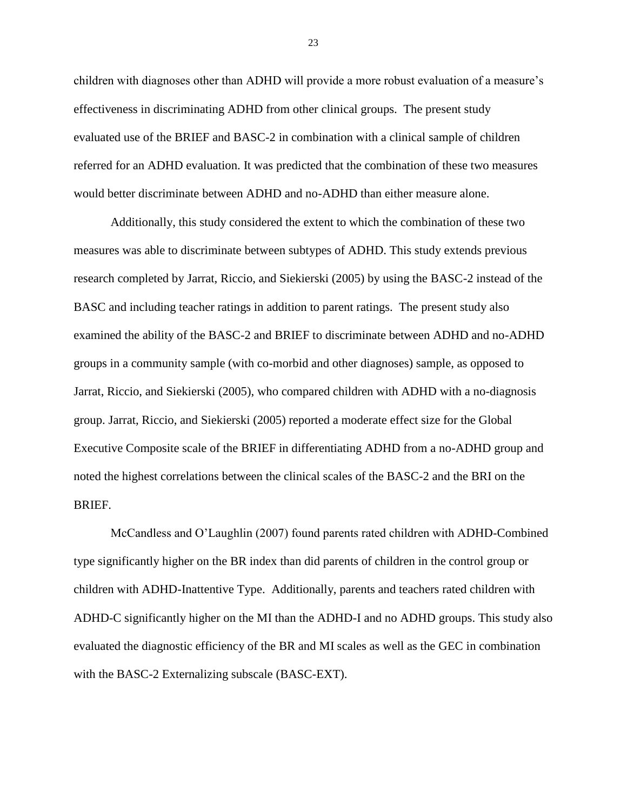children with diagnoses other than ADHD will provide a more robust evaluation of a measure's effectiveness in discriminating ADHD from other clinical groups. The present study evaluated use of the BRIEF and BASC-2 in combination with a clinical sample of children referred for an ADHD evaluation. It was predicted that the combination of these two measures would better discriminate between ADHD and no-ADHD than either measure alone.

Additionally, this study considered the extent to which the combination of these two measures was able to discriminate between subtypes of ADHD. This study extends previous research completed by Jarrat, Riccio, and Siekierski (2005) by using the BASC-2 instead of the BASC and including teacher ratings in addition to parent ratings. The present study also examined the ability of the BASC-2 and BRIEF to discriminate between ADHD and no-ADHD groups in a community sample (with co-morbid and other diagnoses) sample, as opposed to Jarrat, Riccio, and Siekierski (2005), who compared children with ADHD with a no-diagnosis group. Jarrat, Riccio, and Siekierski (2005) reported a moderate effect size for the Global Executive Composite scale of the BRIEF in differentiating ADHD from a no-ADHD group and noted the highest correlations between the clinical scales of the BASC-2 and the BRI on the BRIEF.

McCandless and O'Laughlin (2007) found parents rated children with ADHD-Combined type significantly higher on the BR index than did parents of children in the control group or children with ADHD-Inattentive Type. Additionally, parents and teachers rated children with ADHD-C significantly higher on the MI than the ADHD-I and no ADHD groups. This study also evaluated the diagnostic efficiency of the BR and MI scales as well as the GEC in combination with the BASC-2 Externalizing subscale (BASC-EXT).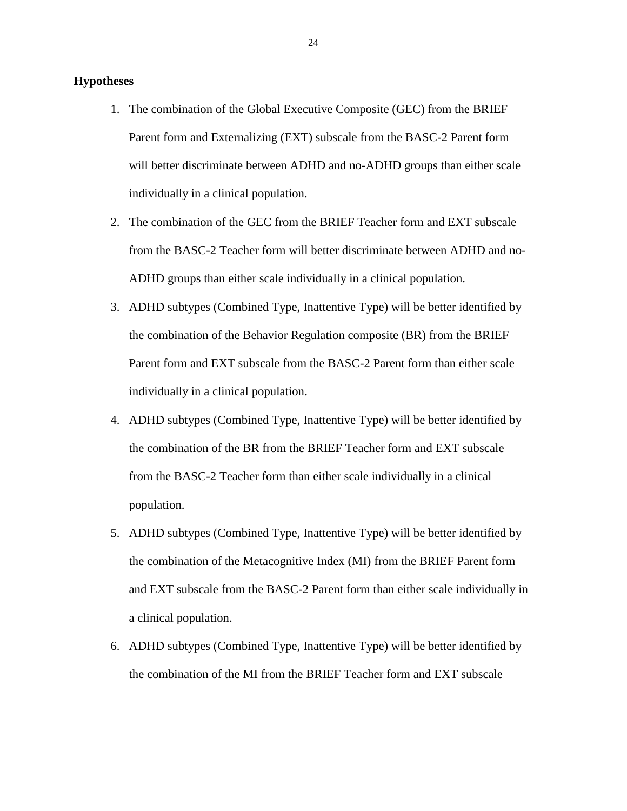### **Hypotheses**

- 1. The combination of the Global Executive Composite (GEC) from the BRIEF Parent form and Externalizing (EXT) subscale from the BASC-2 Parent form will better discriminate between ADHD and no-ADHD groups than either scale individually in a clinical population.
- 2. The combination of the GEC from the BRIEF Teacher form and EXT subscale from the BASC-2 Teacher form will better discriminate between ADHD and no-ADHD groups than either scale individually in a clinical population.
- 3. ADHD subtypes (Combined Type, Inattentive Type) will be better identified by the combination of the Behavior Regulation composite (BR) from the BRIEF Parent form and EXT subscale from the BASC-2 Parent form than either scale individually in a clinical population.
- 4. ADHD subtypes (Combined Type, Inattentive Type) will be better identified by the combination of the BR from the BRIEF Teacher form and EXT subscale from the BASC-2 Teacher form than either scale individually in a clinical population.
- 5. ADHD subtypes (Combined Type, Inattentive Type) will be better identified by the combination of the Metacognitive Index (MI) from the BRIEF Parent form and EXT subscale from the BASC-2 Parent form than either scale individually in a clinical population.
- 6. ADHD subtypes (Combined Type, Inattentive Type) will be better identified by the combination of the MI from the BRIEF Teacher form and EXT subscale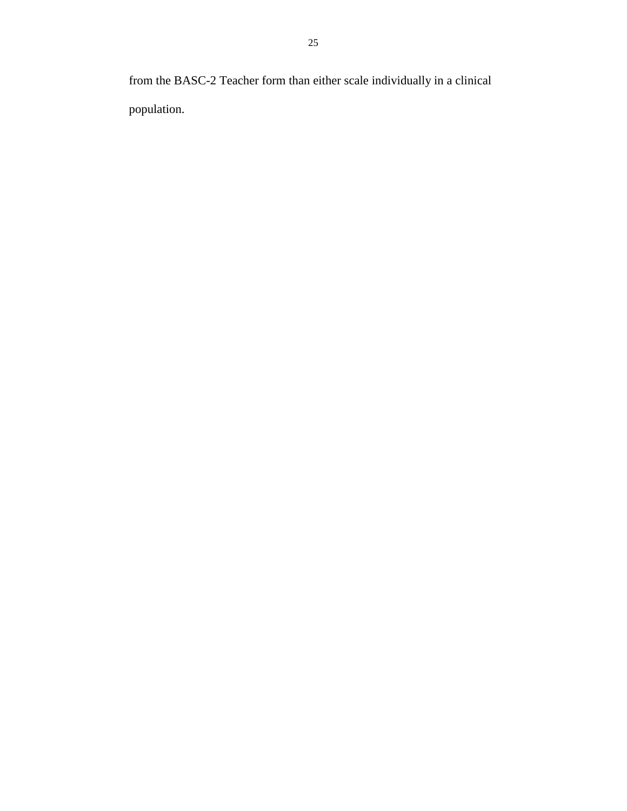from the BASC-2 Teacher form than either scale individually in a clinical population.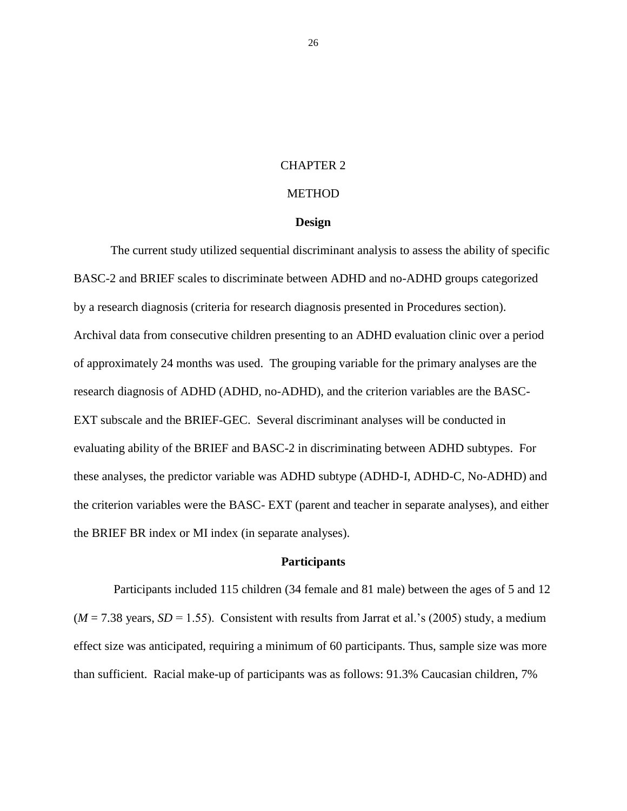#### CHAPTER 2

## **METHOD**

#### **Design**

The current study utilized sequential discriminant analysis to assess the ability of specific BASC-2 and BRIEF scales to discriminate between ADHD and no-ADHD groups categorized by a research diagnosis (criteria for research diagnosis presented in Procedures section). Archival data from consecutive children presenting to an ADHD evaluation clinic over a period of approximately 24 months was used. The grouping variable for the primary analyses are the research diagnosis of ADHD (ADHD, no-ADHD), and the criterion variables are the BASC-EXT subscale and the BRIEF-GEC. Several discriminant analyses will be conducted in evaluating ability of the BRIEF and BASC-2 in discriminating between ADHD subtypes. For these analyses, the predictor variable was ADHD subtype (ADHD-I, ADHD-C, No-ADHD) and the criterion variables were the BASC- EXT (parent and teacher in separate analyses), and either the BRIEF BR index or MI index (in separate analyses).

### **Participants**

Participants included 115 children (34 female and 81 male) between the ages of 5 and 12  $(M = 7.38$  years,  $SD = 1.55$ ). Consistent with results from Jarrat et al.'s (2005) study, a medium effect size was anticipated, requiring a minimum of 60 participants. Thus, sample size was more than sufficient. Racial make-up of participants was as follows: 91.3% Caucasian children, 7%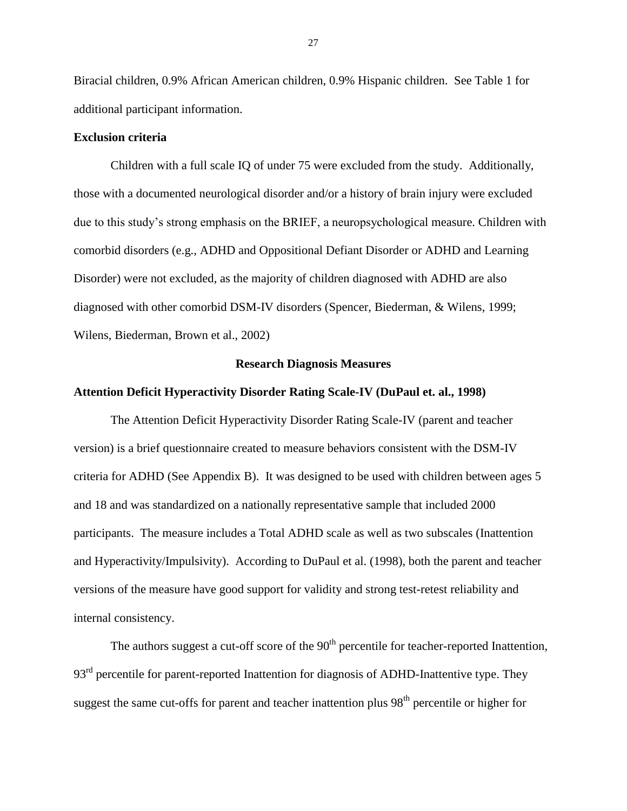Biracial children, 0.9% African American children, 0.9% Hispanic children. See Table 1 for additional participant information.

### **Exclusion criteria**

Children with a full scale IQ of under 75 were excluded from the study. Additionally, those with a documented neurological disorder and/or a history of brain injury were excluded due to this study's strong emphasis on the BRIEF, a neuropsychological measure. Children with comorbid disorders (e.g., ADHD and Oppositional Defiant Disorder or ADHD and Learning Disorder) were not excluded, as the majority of children diagnosed with ADHD are also diagnosed with other comorbid DSM-IV disorders (Spencer, Biederman, & Wilens, 1999; Wilens, Biederman, Brown et al., 2002)

#### **Research Diagnosis Measures**

#### **Attention Deficit Hyperactivity Disorder Rating Scale-IV (DuPaul et. al., 1998)**

The Attention Deficit Hyperactivity Disorder Rating Scale-IV (parent and teacher version) is a brief questionnaire created to measure behaviors consistent with the DSM-IV criteria for ADHD (See Appendix B). It was designed to be used with children between ages 5 and 18 and was standardized on a nationally representative sample that included 2000 participants. The measure includes a Total ADHD scale as well as two subscales (Inattention and Hyperactivity/Impulsivity). According to DuPaul et al. (1998), both the parent and teacher versions of the measure have good support for validity and strong test-retest reliability and internal consistency.

The authors suggest a cut-off score of the  $90<sup>th</sup>$  percentile for teacher-reported Inattention, 93<sup>rd</sup> percentile for parent-reported Inattention for diagnosis of ADHD-Inattentive type. They suggest the same cut-offs for parent and teacher inattention plus 98<sup>th</sup> percentile or higher for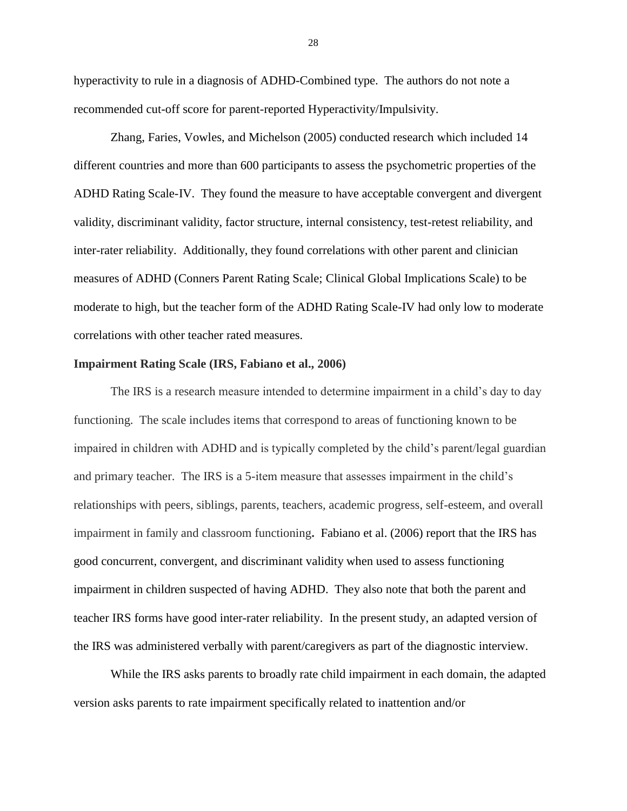hyperactivity to rule in a diagnosis of ADHD-Combined type. The authors do not note a recommended cut-off score for parent-reported Hyperactivity/Impulsivity.

Zhang, Faries, Vowles, and Michelson (2005) conducted research which included 14 different countries and more than 600 participants to assess the psychometric properties of the ADHD Rating Scale-IV. They found the measure to have acceptable convergent and divergent validity, discriminant validity, factor structure, internal consistency, test-retest reliability, and inter-rater reliability. Additionally, they found correlations with other parent and clinician measures of ADHD (Conners Parent Rating Scale; Clinical Global Implications Scale) to be moderate to high, but the teacher form of the ADHD Rating Scale-IV had only low to moderate correlations with other teacher rated measures.

#### **Impairment Rating Scale (IRS, Fabiano et al., 2006)**

The IRS is a research measure intended to determine impairment in a child's day to day functioning. The scale includes items that correspond to areas of functioning known to be impaired in children with ADHD and is typically completed by the child's parent/legal guardian and primary teacher. The IRS is a 5-item measure that assesses impairment in the child's relationships with peers, siblings, parents, teachers, academic progress, self-esteem, and overall impairment in family and classroom functioning**.** Fabiano et al. (2006) report that the IRS has good concurrent, convergent, and discriminant validity when used to assess functioning impairment in children suspected of having ADHD. They also note that both the parent and teacher IRS forms have good inter-rater reliability. In the present study, an adapted version of the IRS was administered verbally with parent/caregivers as part of the diagnostic interview.

While the IRS asks parents to broadly rate child impairment in each domain, the adapted version asks parents to rate impairment specifically related to inattention and/or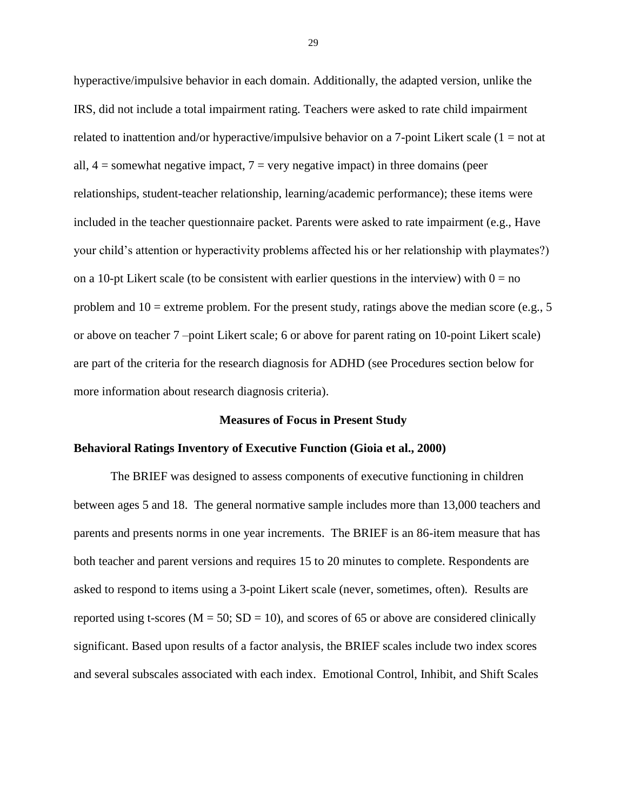hyperactive/impulsive behavior in each domain. Additionally, the adapted version, unlike the IRS, did not include a total impairment rating. Teachers were asked to rate child impairment related to inattention and/or hyperactive/impulsive behavior on a 7-point Likert scale  $(1 = not at$ all,  $4 =$  somewhat negative impact,  $7 =$  very negative impact) in three domains (peer relationships, student-teacher relationship, learning/academic performance); these items were included in the teacher questionnaire packet. Parents were asked to rate impairment (e.g., Have your child's attention or hyperactivity problems affected his or her relationship with playmates?) on a 10-pt Likert scale (to be consistent with earlier questions in the interview) with  $0 = no$ problem and  $10 =$  extreme problem. For the present study, ratings above the median score (e.g., 5) or above on teacher 7 –point Likert scale; 6 or above for parent rating on 10-point Likert scale) are part of the criteria for the research diagnosis for ADHD (see Procedures section below for more information about research diagnosis criteria).

#### **Measures of Focus in Present Study**

#### **Behavioral Ratings Inventory of Executive Function (Gioia et al., 2000)**

The BRIEF was designed to assess components of executive functioning in children between ages 5 and 18. The general normative sample includes more than 13,000 teachers and parents and presents norms in one year increments. The BRIEF is an 86-item measure that has both teacher and parent versions and requires 15 to 20 minutes to complete. Respondents are asked to respond to items using a 3-point Likert scale (never, sometimes, often). Results are reported using t-scores ( $M = 50$ ;  $SD = 10$ ), and scores of 65 or above are considered clinically significant. Based upon results of a factor analysis, the BRIEF scales include two index scores and several subscales associated with each index. Emotional Control, Inhibit, and Shift Scales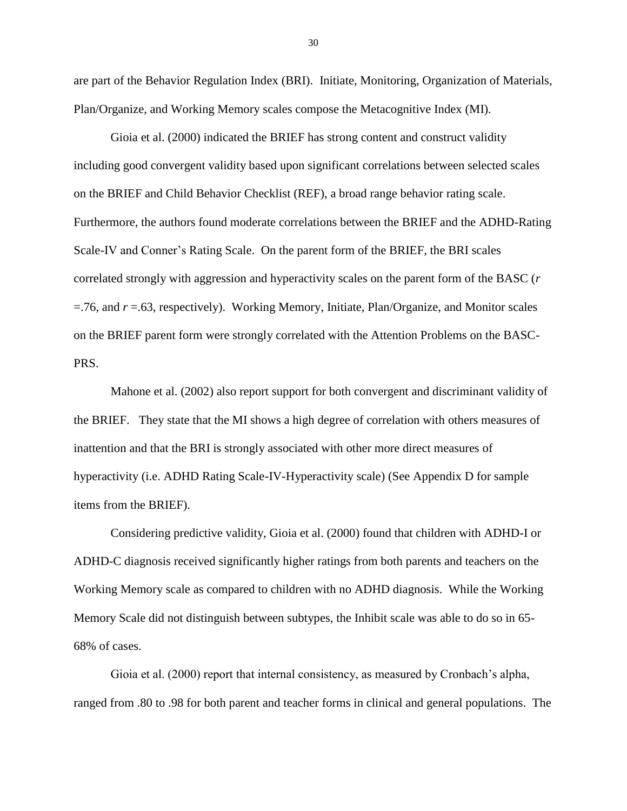are part of the Behavior Regulation Index (BRI). Initiate, Monitoring, Organization of Materials, Plan/Organize, and Working Memory scales compose the Metacognitive Index (MI).

Gioia et al. (2000) indicated the BRIEF has strong content and construct validity including good convergent validity based upon significant correlations between selected scales on the BRIEF and Child Behavior Checklist (REF), a broad range behavior rating scale. Furthermore, the authors found moderate correlations between the BRIEF and the ADHD-Rating Scale-IV and Conner's Rating Scale. On the parent form of the BRIEF, the BRI scales correlated strongly with aggression and hyperactivity scales on the parent form of the BASC (*r*  =.76, and *r* =.63, respectively). Working Memory, Initiate, Plan/Organize, and Monitor scales on the BRIEF parent form were strongly correlated with the Attention Problems on the BASC-PRS.

Mahone et al. (2002) also report support for both convergent and discriminant validity of the BRIEF. They state that the MI shows a high degree of correlation with others measures of inattention and that the BRI is strongly associated with other more direct measures of hyperactivity (i.e. ADHD Rating Scale-IV-Hyperactivity scale) (See Appendix D for sample items from the BRIEF).

Considering predictive validity, Gioia et al. (2000) found that children with ADHD-I or ADHD-C diagnosis received significantly higher ratings from both parents and teachers on the Working Memory scale as compared to children with no ADHD diagnosis. While the Working Memory Scale did not distinguish between subtypes, the Inhibit scale was able to do so in 65- 68% of cases.

Gioia et al. (2000) report that internal consistency, as measured by Cronbach's alpha, ranged from .80 to .98 for both parent and teacher forms in clinical and general populations. The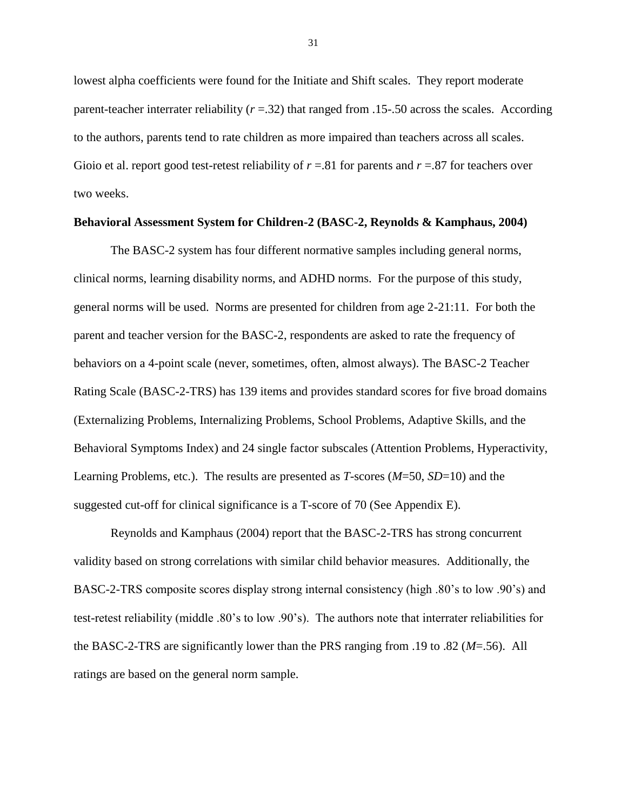lowest alpha coefficients were found for the Initiate and Shift scales. They report moderate parent-teacher interrater reliability (*r* =.32) that ranged from .15-.50 across the scales. According to the authors, parents tend to rate children as more impaired than teachers across all scales. Gioio et al. report good test-retest reliability of  $r = .81$  for parents and  $r = .87$  for teachers over two weeks.

#### **Behavioral Assessment System for Children-2 (BASC-2, Reynolds & Kamphaus, 2004)**

The BASC-2 system has four different normative samples including general norms, clinical norms, learning disability norms, and ADHD norms. For the purpose of this study, general norms will be used. Norms are presented for children from age 2-21:11. For both the parent and teacher version for the BASC-2, respondents are asked to rate the frequency of behaviors on a 4-point scale (never, sometimes, often, almost always). The BASC-2 Teacher Rating Scale (BASC-2-TRS) has 139 items and provides standard scores for five broad domains (Externalizing Problems, Internalizing Problems, School Problems, Adaptive Skills, and the Behavioral Symptoms Index) and 24 single factor subscales (Attention Problems, Hyperactivity, Learning Problems, etc.). The results are presented as *T*-scores (*M*=50, *SD*=10) and the suggested cut-off for clinical significance is a T-score of 70 (See Appendix E).

Reynolds and Kamphaus (2004) report that the BASC-2-TRS has strong concurrent validity based on strong correlations with similar child behavior measures. Additionally, the BASC-2-TRS composite scores display strong internal consistency (high .80's to low .90's) and test-retest reliability (middle .80's to low .90's). The authors note that interrater reliabilities for the BASC-2-TRS are significantly lower than the PRS ranging from .19 to .82 (*M*=.56). All ratings are based on the general norm sample.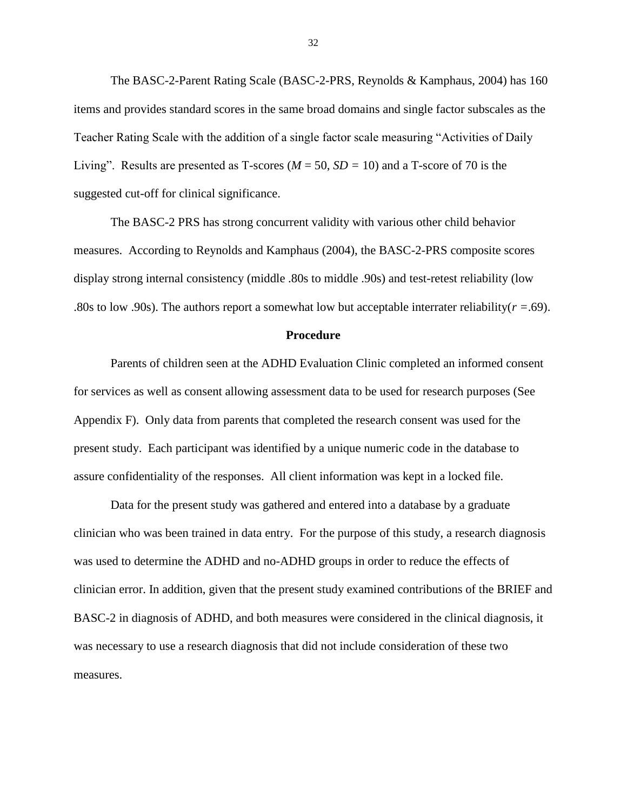The BASC-2-Parent Rating Scale (BASC-2-PRS, Reynolds & Kamphaus, 2004) has 160 items and provides standard scores in the same broad domains and single factor subscales as the Teacher Rating Scale with the addition of a single factor scale measuring "Activities of Daily Living". Results are presented as T-scores ( $M = 50$ ,  $SD = 10$ ) and a T-score of 70 is the suggested cut-off for clinical significance.

The BASC-2 PRS has strong concurrent validity with various other child behavior measures. According to Reynolds and Kamphaus (2004), the BASC-2-PRS composite scores display strong internal consistency (middle .80s to middle .90s) and test-retest reliability (low .80s to low .90s). The authors report a somewhat low but acceptable interrater reliability( $r = .69$ ).

#### **Procedure**

Parents of children seen at the ADHD Evaluation Clinic completed an informed consent for services as well as consent allowing assessment data to be used for research purposes (See Appendix F). Only data from parents that completed the research consent was used for the present study. Each participant was identified by a unique numeric code in the database to assure confidentiality of the responses. All client information was kept in a locked file.

Data for the present study was gathered and entered into a database by a graduate clinician who was been trained in data entry. For the purpose of this study, a research diagnosis was used to determine the ADHD and no-ADHD groups in order to reduce the effects of clinician error. In addition, given that the present study examined contributions of the BRIEF and BASC-2 in diagnosis of ADHD, and both measures were considered in the clinical diagnosis, it was necessary to use a research diagnosis that did not include consideration of these two measures.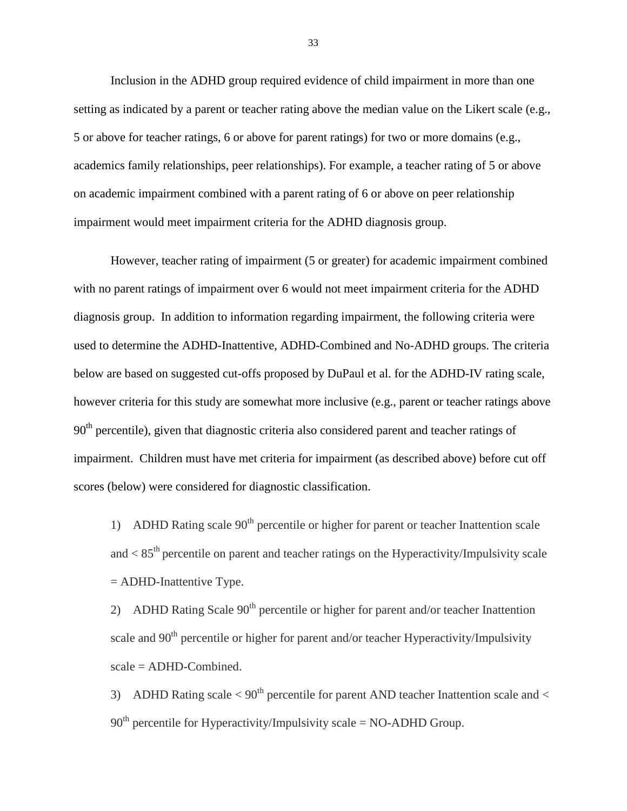Inclusion in the ADHD group required evidence of child impairment in more than one setting as indicated by a parent or teacher rating above the median value on the Likert scale (e.g., 5 or above for teacher ratings, 6 or above for parent ratings) for two or more domains (e.g., academics family relationships, peer relationships). For example, a teacher rating of 5 or above on academic impairment combined with a parent rating of 6 or above on peer relationship impairment would meet impairment criteria for the ADHD diagnosis group.

However, teacher rating of impairment (5 or greater) for academic impairment combined with no parent ratings of impairment over 6 would not meet impairment criteria for the ADHD diagnosis group. In addition to information regarding impairment, the following criteria were used to determine the ADHD-Inattentive, ADHD-Combined and No-ADHD groups. The criteria below are based on suggested cut-offs proposed by DuPaul et al. for the ADHD-IV rating scale, however criteria for this study are somewhat more inclusive (e.g., parent or teacher ratings above  $90<sup>th</sup>$  percentile), given that diagnostic criteria also considered parent and teacher ratings of impairment. Children must have met criteria for impairment (as described above) before cut off scores (below) were considered for diagnostic classification.

1) ADHD Rating scale  $90<sup>th</sup>$  percentile or higher for parent or teacher Inattention scale and  $\langle 85^{th}$  percentile on parent and teacher ratings on the Hyperactivity/Impulsivity scale  $=$  ADHD-Inattentive Type.

2) ADHD Rating Scale  $90<sup>th</sup>$  percentile or higher for parent and/or teacher Inattention scale and  $90<sup>th</sup>$  percentile or higher for parent and/or teacher Hyperactivity/Impulsivity scale = ADHD-Combined.

3) ADHD Rating scale  $< 90<sup>th</sup>$  percentile for parent AND teacher Inattention scale and  $<$  $90<sup>th</sup>$  percentile for Hyperactivity/Impulsivity scale = NO-ADHD Group.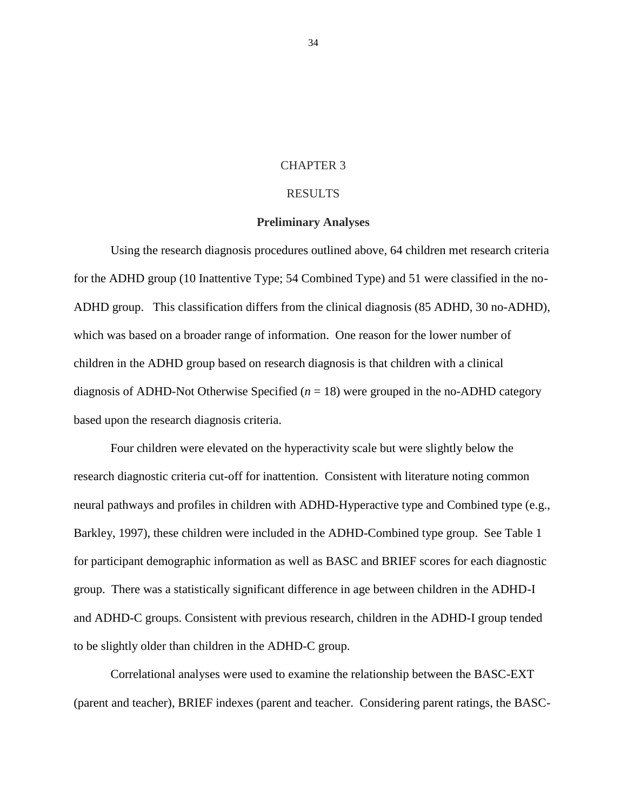#### CHAPTER 3

### RESULTS

### **Preliminary Analyses**

Using the research diagnosis procedures outlined above*,* 64 children met research criteria for the ADHD group (10 Inattentive Type; 54 Combined Type) and 51 were classified in the no-ADHD group. This classification differs from the clinical diagnosis (85 ADHD, 30 no-ADHD), which was based on a broader range of information. One reason for the lower number of children in the ADHD group based on research diagnosis is that children with a clinical diagnosis of ADHD-Not Otherwise Specified  $(n = 18)$  were grouped in the no-ADHD category based upon the research diagnosis criteria.

Four children were elevated on the hyperactivity scale but were slightly below the research diagnostic criteria cut-off for inattention. Consistent with literature noting common neural pathways and profiles in children with ADHD-Hyperactive type and Combined type (e.g., Barkley, 1997), these children were included in the ADHD-Combined type group. See Table 1 for participant demographic information as well as BASC and BRIEF scores for each diagnostic group. There was a statistically significant difference in age between children in the ADHD-I and ADHD-C groups. Consistent with previous research, children in the ADHD-I group tended to be slightly older than children in the ADHD-C group.

Correlational analyses were used to examine the relationship between the BASC-EXT (parent and teacher), BRIEF indexes (parent and teacher. Considering parent ratings, the BASC-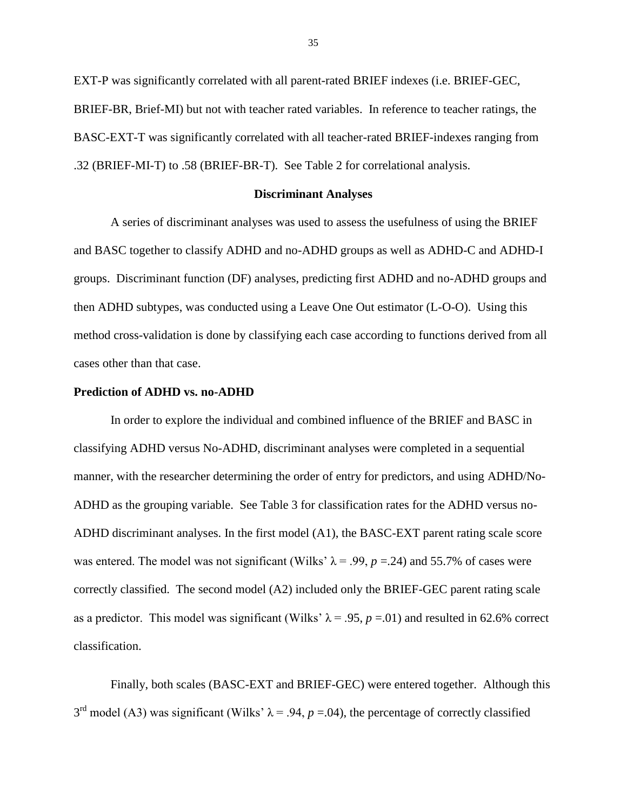EXT-P was significantly correlated with all parent-rated BRIEF indexes (i.e. BRIEF-GEC, BRIEF-BR, Brief-MI) but not with teacher rated variables. In reference to teacher ratings, the BASC-EXT-T was significantly correlated with all teacher-rated BRIEF-indexes ranging from .32 (BRIEF-MI-T) to .58 (BRIEF-BR-T). See Table 2 for correlational analysis.

#### **Discriminant Analyses**

A series of discriminant analyses was used to assess the usefulness of using the BRIEF and BASC together to classify ADHD and no-ADHD groups as well as ADHD-C and ADHD-I groups. Discriminant function (DF) analyses, predicting first ADHD and no-ADHD groups and then ADHD subtypes, was conducted using a Leave One Out estimator (L-O-O). Using this method cross-validation is done by classifying each case according to functions derived from all cases other than that case.

#### **Prediction of ADHD vs. no-ADHD**

In order to explore the individual and combined influence of the BRIEF and BASC in classifying ADHD versus No-ADHD, discriminant analyses were completed in a sequential manner, with the researcher determining the order of entry for predictors, and using ADHD/No-ADHD as the grouping variable. See Table 3 for classification rates for the ADHD versus no-ADHD discriminant analyses. In the first model (A1), the BASC-EXT parent rating scale score was entered. The model was not significant (Wilks'  $\lambda$  = .99, *p* = .24) and 55.7% of cases were correctly classified. The second model (A2) included only the BRIEF-GEC parent rating scale as a predictor. This model was significant (Wilks'  $\lambda = .95$ ,  $p = .01$ ) and resulted in 62.6% correct classification.

Finally, both scales (BASC-EXT and BRIEF-GEC) were entered together. Although this  $3<sup>rd</sup>$  model (A3) was significant (Wilks'  $\lambda$  = .94, *p* = .04), the percentage of correctly classified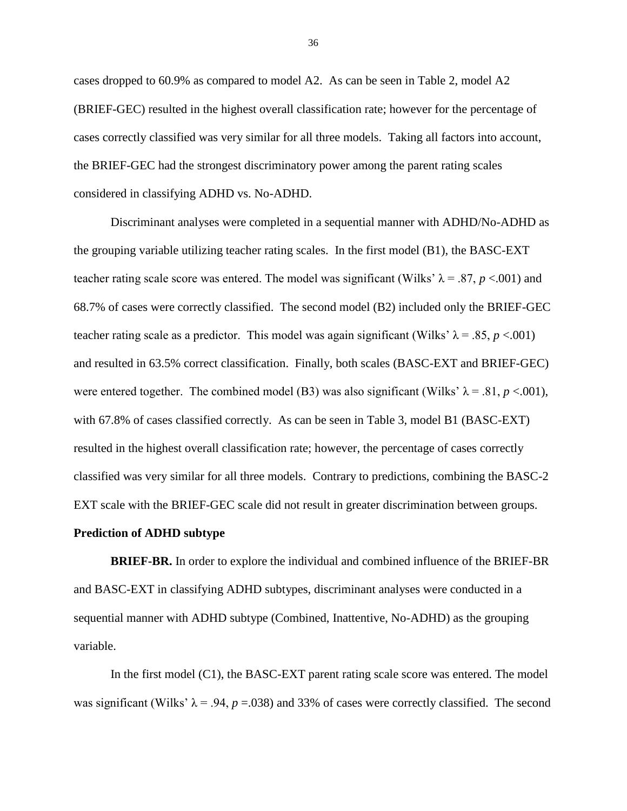cases dropped to 60.9% as compared to model A2. As can be seen in Table 2, model A2 (BRIEF-GEC) resulted in the highest overall classification rate; however for the percentage of cases correctly classified was very similar for all three models. Taking all factors into account, the BRIEF-GEC had the strongest discriminatory power among the parent rating scales considered in classifying ADHD vs. No-ADHD.

Discriminant analyses were completed in a sequential manner with ADHD/No-ADHD as the grouping variable utilizing teacher rating scales. In the first model (B1), the BASC-EXT teacher rating scale score was entered. The model was significant (Wilks'  $\lambda = .87$ , *p* <.001) and 68.7% of cases were correctly classified. The second model (B2) included only the BRIEF-GEC teacher rating scale as a predictor. This model was again significant (Wilks'  $\lambda$  = .85, *p* <.001) and resulted in 63.5% correct classification. Finally, both scales (BASC-EXT and BRIEF-GEC) were entered together. The combined model (B3) was also significant (Wilks'  $\lambda = .81$ ,  $p < .001$ ), with 67.8% of cases classified correctly. As can be seen in Table 3, model B1 (BASC-EXT) resulted in the highest overall classification rate; however, the percentage of cases correctly classified was very similar for all three models. Contrary to predictions, combining the BASC-2 EXT scale with the BRIEF-GEC scale did not result in greater discrimination between groups.

#### **Prediction of ADHD subtype**

**BRIEF-BR.** In order to explore the individual and combined influence of the BRIEF-BR and BASC-EXT in classifying ADHD subtypes, discriminant analyses were conducted in a sequential manner with ADHD subtype (Combined, Inattentive, No-ADHD) as the grouping variable.

In the first model (C1), the BASC-EXT parent rating scale score was entered. The model was significant (Wilks'  $\lambda$  = .94, *p* = .038) and 33% of cases were correctly classified. The second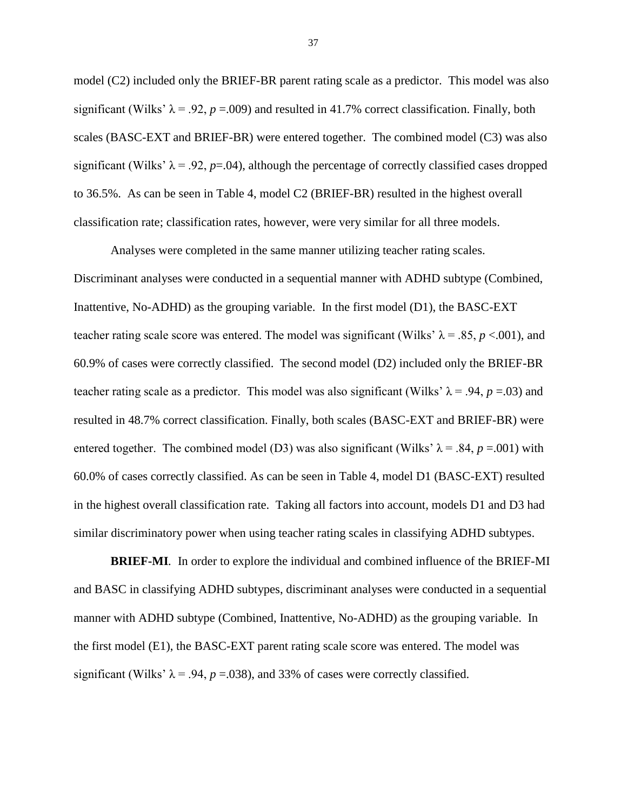model (C2) included only the BRIEF-BR parent rating scale as a predictor. This model was also significant (Wilks'  $\lambda = .92$ ,  $p = .009$ ) and resulted in 41.7% correct classification. Finally, both scales (BASC-EXT and BRIEF-BR) were entered together. The combined model (C3) was also significant (Wilks'  $\lambda = .92$ ,  $p=.04$ ), although the percentage of correctly classified cases dropped to 36.5%. As can be seen in Table 4, model C2 (BRIEF-BR) resulted in the highest overall classification rate; classification rates, however, were very similar for all three models.

Analyses were completed in the same manner utilizing teacher rating scales. Discriminant analyses were conducted in a sequential manner with ADHD subtype (Combined, Inattentive, No-ADHD) as the grouping variable. In the first model (D1), the BASC-EXT teacher rating scale score was entered. The model was significant (Wilks'  $\lambda = .85$ ,  $p < .001$ ), and 60.9% of cases were correctly classified. The second model (D2) included only the BRIEF-BR teacher rating scale as a predictor. This model was also significant (Wilks'  $\lambda$  = .94, *p* = .03) and resulted in 48.7% correct classification. Finally, both scales (BASC-EXT and BRIEF-BR) were entered together. The combined model (D3) was also significant (Wilks'  $\lambda = .84$ ,  $p = .001$ ) with 60.0% of cases correctly classified. As can be seen in Table 4, model D1 (BASC-EXT) resulted in the highest overall classification rate. Taking all factors into account, models D1 and D3 had similar discriminatory power when using teacher rating scales in classifying ADHD subtypes.

**BRIEF-MI***.* In order to explore the individual and combined influence of the BRIEF-MI and BASC in classifying ADHD subtypes, discriminant analyses were conducted in a sequential manner with ADHD subtype (Combined, Inattentive, No-ADHD) as the grouping variable. In the first model (E1), the BASC-EXT parent rating scale score was entered. The model was significant (Wilks'  $\lambda$  = .94, *p* = .038), and 33% of cases were correctly classified.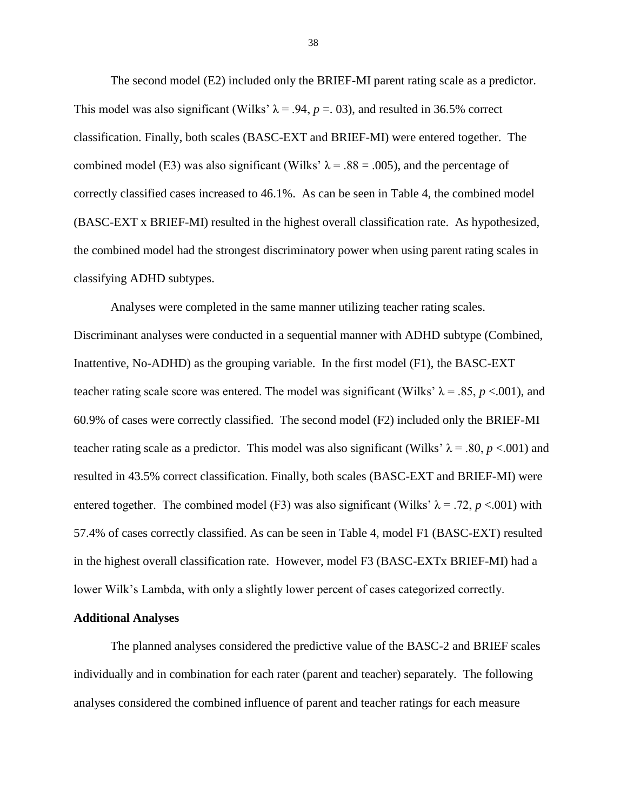The second model (E2) included only the BRIEF-MI parent rating scale as a predictor. This model was also significant (Wilks'  $\lambda$  = .94, *p* = .03), and resulted in 36.5% correct classification. Finally, both scales (BASC-EXT and BRIEF-MI) were entered together. The combined model (E3) was also significant (Wilks'  $\lambda = .88 = .005$ ), and the percentage of correctly classified cases increased to 46.1%. As can be seen in Table 4, the combined model (BASC-EXT x BRIEF-MI) resulted in the highest overall classification rate. As hypothesized, the combined model had the strongest discriminatory power when using parent rating scales in classifying ADHD subtypes.

Analyses were completed in the same manner utilizing teacher rating scales. Discriminant analyses were conducted in a sequential manner with ADHD subtype (Combined, Inattentive, No-ADHD) as the grouping variable. In the first model (F1), the BASC-EXT teacher rating scale score was entered. The model was significant (Wilks'  $\lambda = .85$ ,  $p < .001$ ), and 60.9% of cases were correctly classified. The second model (F2) included only the BRIEF-MI teacher rating scale as a predictor. This model was also significant (Wilks'  $\lambda = .80$ , *p* <.001) and resulted in 43.5% correct classification. Finally, both scales (BASC-EXT and BRIEF-MI) were entered together. The combined model (F3) was also significant (Wilks'  $\lambda = .72$ ,  $p < .001$ ) with 57.4% of cases correctly classified. As can be seen in Table 4, model F1 (BASC-EXT) resulted in the highest overall classification rate. However, model F3 (BASC-EXTx BRIEF-MI) had a lower Wilk's Lambda, with only a slightly lower percent of cases categorized correctly.

### **Additional Analyses**

The planned analyses considered the predictive value of the BASC-2 and BRIEF scales individually and in combination for each rater (parent and teacher) separately. The following analyses considered the combined influence of parent and teacher ratings for each measure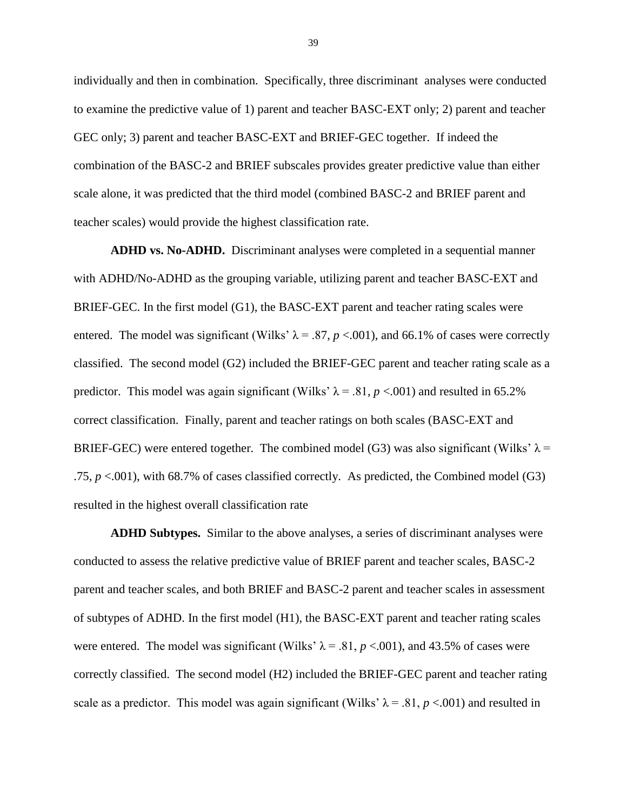individually and then in combination. Specifically, three discriminant analyses were conducted to examine the predictive value of 1) parent and teacher BASC-EXT only; 2) parent and teacher GEC only; 3) parent and teacher BASC-EXT and BRIEF-GEC together. If indeed the combination of the BASC-2 and BRIEF subscales provides greater predictive value than either scale alone, it was predicted that the third model (combined BASC-2 and BRIEF parent and teacher scales) would provide the highest classification rate.

**ADHD vs. No-ADHD.**Discriminant analyses were completed in a sequential manner with ADHD/No-ADHD as the grouping variable, utilizing parent and teacher BASC-EXT and BRIEF-GEC. In the first model (G1), the BASC-EXT parent and teacher rating scales were entered. The model was significant (Wilks'  $\lambda = .87$ ,  $p < .001$ ), and 66.1% of cases were correctly classified. The second model (G2) included the BRIEF-GEC parent and teacher rating scale as a predictor. This model was again significant (Wilks'  $\lambda$  = .81, *p* <.001) and resulted in 65.2% correct classification. Finally, parent and teacher ratings on both scales (BASC-EXT and BRIEF-GEC) were entered together. The combined model (G3) was also significant (Wilks'  $\lambda$  = .75, *p* <.001), with 68.7% of cases classified correctly. As predicted, the Combined model (G3) resulted in the highest overall classification rate

**ADHD Subtypes.** Similar to the above analyses, a series of discriminant analyses were conducted to assess the relative predictive value of BRIEF parent and teacher scales, BASC-2 parent and teacher scales, and both BRIEF and BASC-2 parent and teacher scales in assessment of subtypes of ADHD. In the first model (H1), the BASC-EXT parent and teacher rating scales were entered. The model was significant (Wilks'  $\lambda = .81$ ,  $p < .001$ ), and 43.5% of cases were correctly classified. The second model (H2) included the BRIEF-GEC parent and teacher rating scale as a predictor. This model was again significant (Wilks'  $\lambda = .81$ ,  $p < .001$ ) and resulted in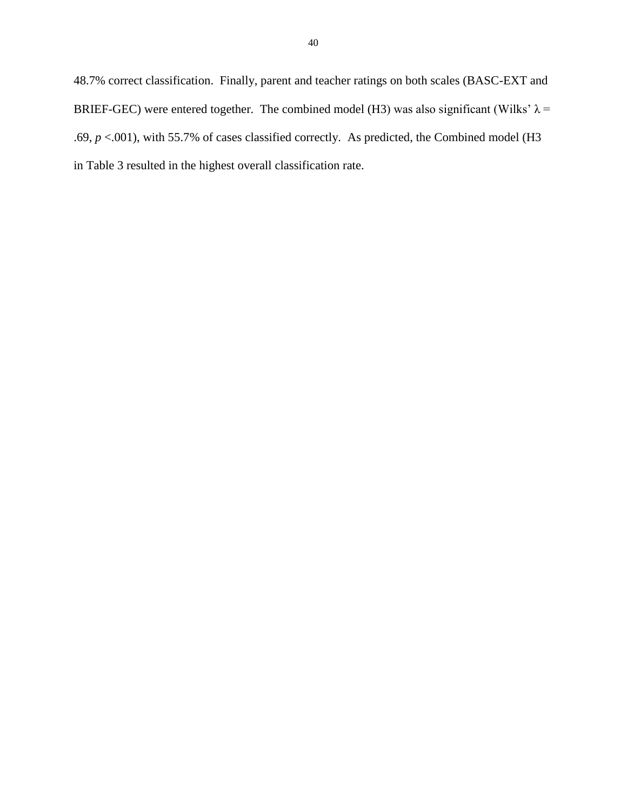48.7% correct classification. Finally, parent and teacher ratings on both scales (BASC-EXT and BRIEF-GEC) were entered together. The combined model (H3) was also significant (Wilks'  $\lambda$  = .69, *p* <.001), with 55.7% of cases classified correctly. As predicted, the Combined model (H3 in Table 3 resulted in the highest overall classification rate.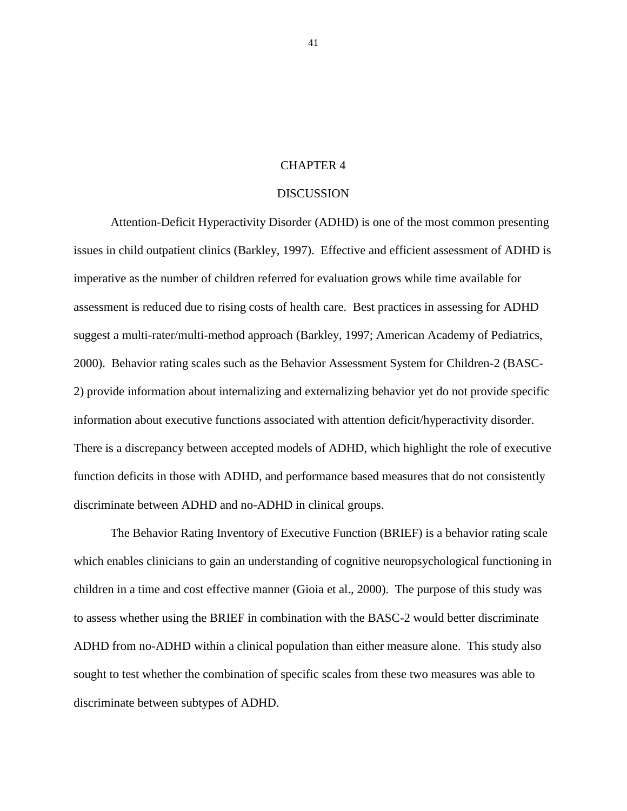### CHAPTER 4

## DISCUSSION

Attention-Deficit Hyperactivity Disorder (ADHD) is one of the most common presenting issues in child outpatient clinics (Barkley, 1997). Effective and efficient assessment of ADHD is imperative as the number of children referred for evaluation grows while time available for assessment is reduced due to rising costs of health care. Best practices in assessing for ADHD suggest a multi-rater/multi-method approach (Barkley, 1997; American Academy of Pediatrics, 2000). Behavior rating scales such as the Behavior Assessment System for Children-2 (BASC-2) provide information about internalizing and externalizing behavior yet do not provide specific information about executive functions associated with attention deficit/hyperactivity disorder. There is a discrepancy between accepted models of ADHD, which highlight the role of executive function deficits in those with ADHD, and performance based measures that do not consistently discriminate between ADHD and no-ADHD in clinical groups.

The Behavior Rating Inventory of Executive Function (BRIEF) is a behavior rating scale which enables clinicians to gain an understanding of cognitive neuropsychological functioning in children in a time and cost effective manner (Gioia et al., 2000). The purpose of this study was to assess whether using the BRIEF in combination with the BASC-2 would better discriminate ADHD from no-ADHD within a clinical population than either measure alone. This study also sought to test whether the combination of specific scales from these two measures was able to discriminate between subtypes of ADHD.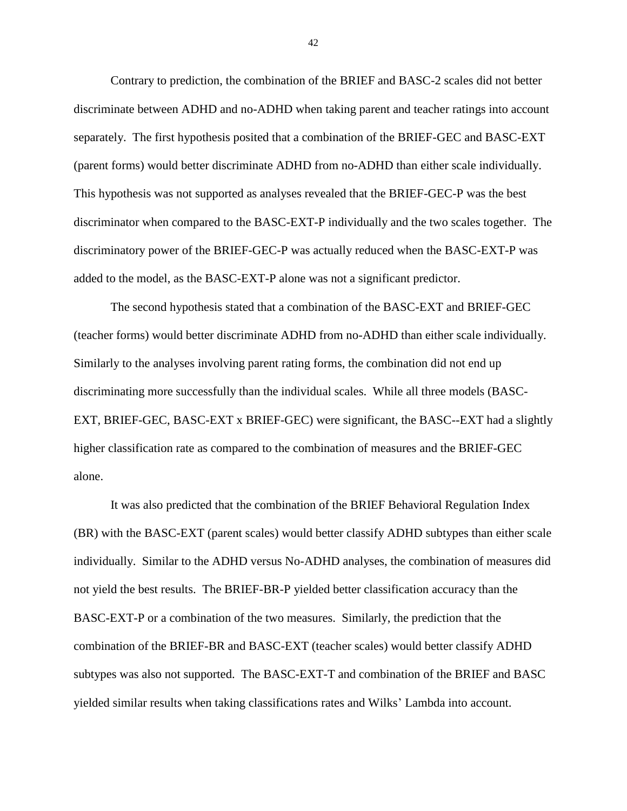Contrary to prediction, the combination of the BRIEF and BASC-2 scales did not better discriminate between ADHD and no-ADHD when taking parent and teacher ratings into account separately. The first hypothesis posited that a combination of the BRIEF-GEC and BASC-EXT (parent forms) would better discriminate ADHD from no-ADHD than either scale individually. This hypothesis was not supported as analyses revealed that the BRIEF-GEC-P was the best discriminator when compared to the BASC-EXT-P individually and the two scales together. The discriminatory power of the BRIEF-GEC-P was actually reduced when the BASC-EXT-P was added to the model, as the BASC-EXT-P alone was not a significant predictor.

The second hypothesis stated that a combination of the BASC-EXT and BRIEF-GEC (teacher forms) would better discriminate ADHD from no-ADHD than either scale individually. Similarly to the analyses involving parent rating forms, the combination did not end up discriminating more successfully than the individual scales. While all three models (BASC-EXT, BRIEF-GEC, BASC-EXT x BRIEF-GEC) were significant, the BASC--EXT had a slightly higher classification rate as compared to the combination of measures and the BRIEF-GEC alone.

It was also predicted that the combination of the BRIEF Behavioral Regulation Index (BR) with the BASC-EXT (parent scales) would better classify ADHD subtypes than either scale individually. Similar to the ADHD versus No-ADHD analyses, the combination of measures did not yield the best results. The BRIEF-BR-P yielded better classification accuracy than the BASC-EXT-P or a combination of the two measures. Similarly, the prediction that the combination of the BRIEF-BR and BASC-EXT (teacher scales) would better classify ADHD subtypes was also not supported. The BASC-EXT-T and combination of the BRIEF and BASC yielded similar results when taking classifications rates and Wilks' Lambda into account.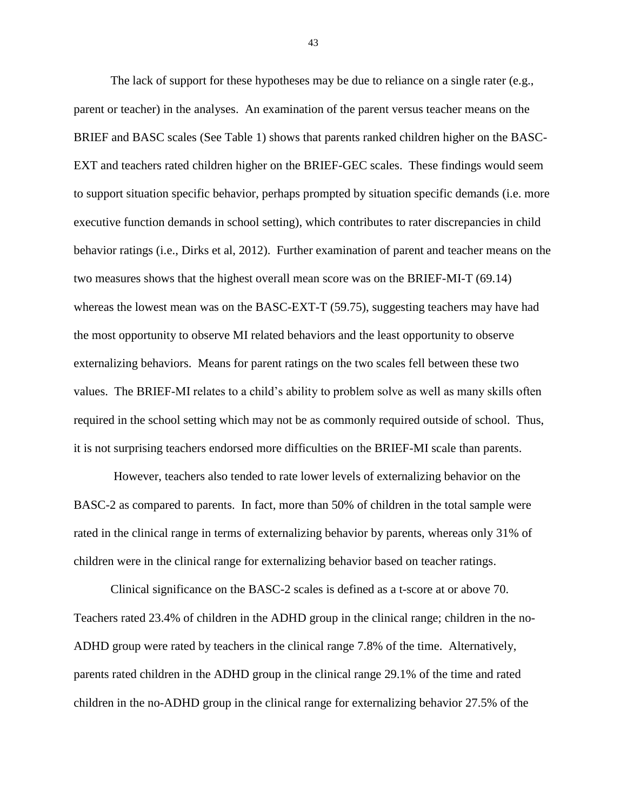The lack of support for these hypotheses may be due to reliance on a single rater (e.g., parent or teacher) in the analyses. An examination of the parent versus teacher means on the BRIEF and BASC scales (See Table 1) shows that parents ranked children higher on the BASC-EXT and teachers rated children higher on the BRIEF-GEC scales. These findings would seem to support situation specific behavior, perhaps prompted by situation specific demands (i.e. more executive function demands in school setting), which contributes to rater discrepancies in child behavior ratings (i.e., Dirks et al, 2012). Further examination of parent and teacher means on the two measures shows that the highest overall mean score was on the BRIEF-MI-T (69.14) whereas the lowest mean was on the BASC-EXT-T (59.75), suggesting teachers may have had the most opportunity to observe MI related behaviors and the least opportunity to observe externalizing behaviors. Means for parent ratings on the two scales fell between these two values. The BRIEF-MI relates to a child's ability to problem solve as well as many skills often required in the school setting which may not be as commonly required outside of school. Thus, it is not surprising teachers endorsed more difficulties on the BRIEF-MI scale than parents.

However, teachers also tended to rate lower levels of externalizing behavior on the BASC-2 as compared to parents. In fact, more than 50% of children in the total sample were rated in the clinical range in terms of externalizing behavior by parents, whereas only 31% of children were in the clinical range for externalizing behavior based on teacher ratings.

Clinical significance on the BASC-2 scales is defined as a t-score at or above 70. Teachers rated 23.4% of children in the ADHD group in the clinical range; children in the no-ADHD group were rated by teachers in the clinical range 7.8% of the time. Alternatively, parents rated children in the ADHD group in the clinical range 29.1% of the time and rated children in the no-ADHD group in the clinical range for externalizing behavior 27.5% of the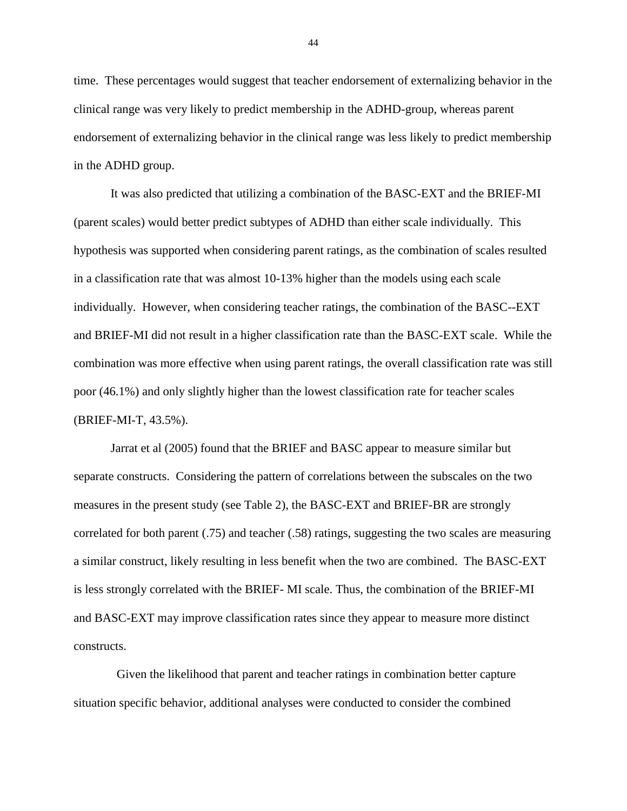time. These percentages would suggest that teacher endorsement of externalizing behavior in the clinical range was very likely to predict membership in the ADHD-group, whereas parent endorsement of externalizing behavior in the clinical range was less likely to predict membership in the ADHD group.

It was also predicted that utilizing a combination of the BASC-EXT and the BRIEF-MI (parent scales) would better predict subtypes of ADHD than either scale individually. This hypothesis was supported when considering parent ratings, as the combination of scales resulted in a classification rate that was almost 10-13% higher than the models using each scale individually. However, when considering teacher ratings, the combination of the BASC--EXT and BRIEF-MI did not result in a higher classification rate than the BASC-EXT scale. While the combination was more effective when using parent ratings, the overall classification rate was still poor (46.1%) and only slightly higher than the lowest classification rate for teacher scales (BRIEF-MI-T, 43.5%).

Jarrat et al (2005) found that the BRIEF and BASC appear to measure similar but separate constructs. Considering the pattern of correlations between the subscales on the two measures in the present study (see Table 2), the BASC-EXT and BRIEF-BR are strongly correlated for both parent (.75) and teacher (.58) ratings, suggesting the two scales are measuring a similar construct, likely resulting in less benefit when the two are combined. The BASC-EXT is less strongly correlated with the BRIEF- MI scale. Thus, the combination of the BRIEF-MI and BASC-EXT may improve classification rates since they appear to measure more distinct constructs.

 Given the likelihood that parent and teacher ratings in combination better capture situation specific behavior, additional analyses were conducted to consider the combined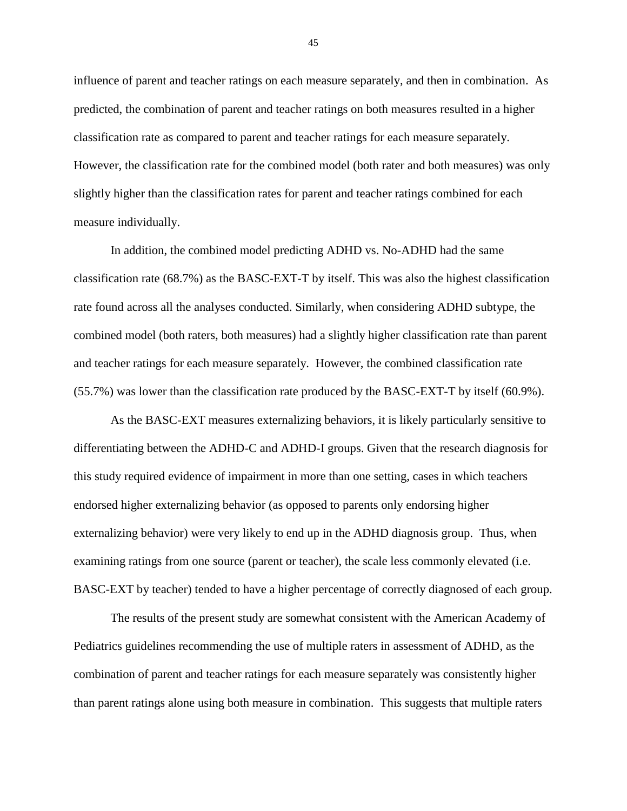influence of parent and teacher ratings on each measure separately, and then in combination. As predicted, the combination of parent and teacher ratings on both measures resulted in a higher classification rate as compared to parent and teacher ratings for each measure separately. However, the classification rate for the combined model (both rater and both measures) was only slightly higher than the classification rates for parent and teacher ratings combined for each measure individually.

In addition, the combined model predicting ADHD vs. No-ADHD had the same classification rate (68.7%) as the BASC-EXT-T by itself. This was also the highest classification rate found across all the analyses conducted. Similarly, when considering ADHD subtype, the combined model (both raters, both measures) had a slightly higher classification rate than parent and teacher ratings for each measure separately. However, the combined classification rate (55.7%) was lower than the classification rate produced by the BASC-EXT-T by itself (60.9%).

As the BASC-EXT measures externalizing behaviors, it is likely particularly sensitive to differentiating between the ADHD-C and ADHD-I groups. Given that the research diagnosis for this study required evidence of impairment in more than one setting, cases in which teachers endorsed higher externalizing behavior (as opposed to parents only endorsing higher externalizing behavior) were very likely to end up in the ADHD diagnosis group. Thus, when examining ratings from one source (parent or teacher), the scale less commonly elevated (i.e. BASC-EXT by teacher) tended to have a higher percentage of correctly diagnosed of each group.

The results of the present study are somewhat consistent with the American Academy of Pediatrics guidelines recommending the use of multiple raters in assessment of ADHD, as the combination of parent and teacher ratings for each measure separately was consistently higher than parent ratings alone using both measure in combination. This suggests that multiple raters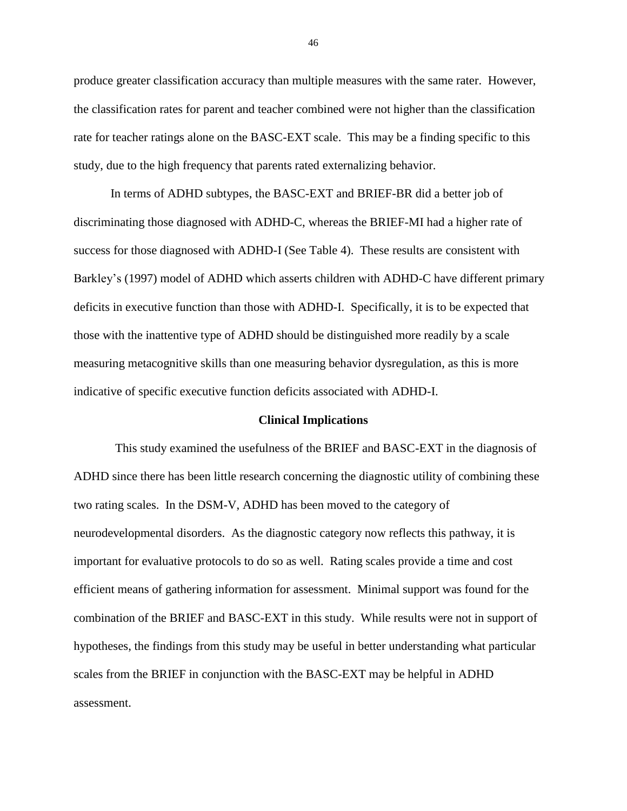produce greater classification accuracy than multiple measures with the same rater. However, the classification rates for parent and teacher combined were not higher than the classification rate for teacher ratings alone on the BASC-EXT scale. This may be a finding specific to this study, due to the high frequency that parents rated externalizing behavior.

In terms of ADHD subtypes, the BASC-EXT and BRIEF-BR did a better job of discriminating those diagnosed with ADHD-C, whereas the BRIEF-MI had a higher rate of success for those diagnosed with ADHD-I (See Table 4). These results are consistent with Barkley's (1997) model of ADHD which asserts children with ADHD-C have different primary deficits in executive function than those with ADHD-I. Specifically, it is to be expected that those with the inattentive type of ADHD should be distinguished more readily by a scale measuring metacognitive skills than one measuring behavior dysregulation, as this is more indicative of specific executive function deficits associated with ADHD-I.

#### **Clinical Implications**

This study examined the usefulness of the BRIEF and BASC-EXT in the diagnosis of ADHD since there has been little research concerning the diagnostic utility of combining these two rating scales. In the DSM-V, ADHD has been moved to the category of neurodevelopmental disorders. As the diagnostic category now reflects this pathway, it is important for evaluative protocols to do so as well. Rating scales provide a time and cost efficient means of gathering information for assessment. Minimal support was found for the combination of the BRIEF and BASC-EXT in this study. While results were not in support of hypotheses, the findings from this study may be useful in better understanding what particular scales from the BRIEF in conjunction with the BASC-EXT may be helpful in ADHD assessment.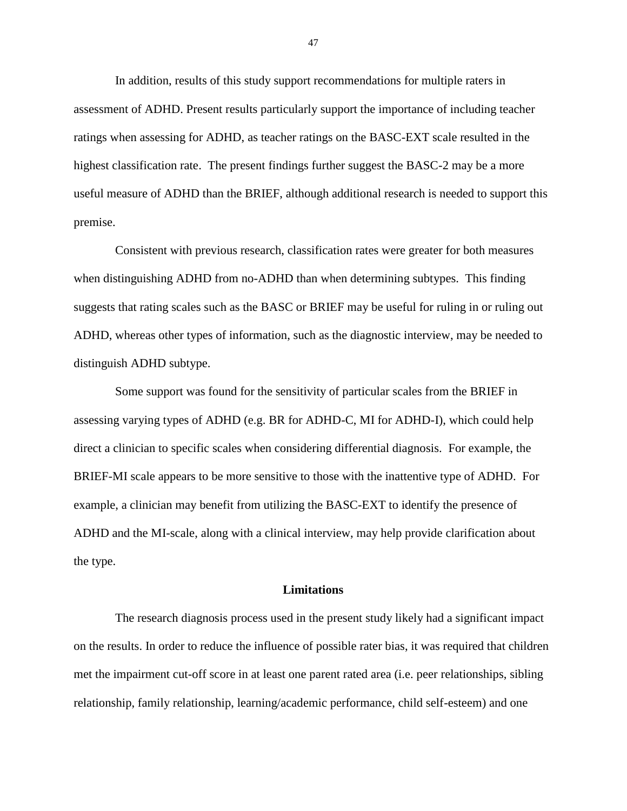In addition, results of this study support recommendations for multiple raters in assessment of ADHD. Present results particularly support the importance of including teacher ratings when assessing for ADHD, as teacher ratings on the BASC-EXT scale resulted in the highest classification rate. The present findings further suggest the BASC-2 may be a more useful measure of ADHD than the BRIEF, although additional research is needed to support this premise.

Consistent with previous research, classification rates were greater for both measures when distinguishing ADHD from no-ADHD than when determining subtypes. This finding suggests that rating scales such as the BASC or BRIEF may be useful for ruling in or ruling out ADHD, whereas other types of information, such as the diagnostic interview, may be needed to distinguish ADHD subtype.

Some support was found for the sensitivity of particular scales from the BRIEF in assessing varying types of ADHD (e.g. BR for ADHD-C, MI for ADHD-I), which could help direct a clinician to specific scales when considering differential diagnosis. For example, the BRIEF-MI scale appears to be more sensitive to those with the inattentive type of ADHD. For example, a clinician may benefit from utilizing the BASC-EXT to identify the presence of ADHD and the MI-scale, along with a clinical interview, may help provide clarification about the type.

#### **Limitations**

The research diagnosis process used in the present study likely had a significant impact on the results. In order to reduce the influence of possible rater bias, it was required that children met the impairment cut-off score in at least one parent rated area (i.e. peer relationships, sibling relationship, family relationship, learning/academic performance, child self-esteem) and one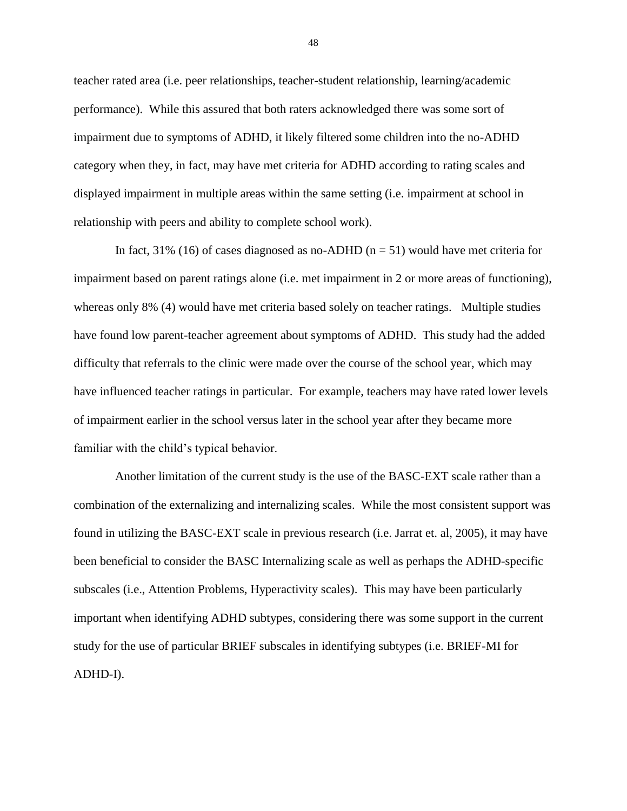teacher rated area (i.e. peer relationships, teacher-student relationship, learning/academic performance). While this assured that both raters acknowledged there was some sort of impairment due to symptoms of ADHD, it likely filtered some children into the no-ADHD category when they, in fact, may have met criteria for ADHD according to rating scales and displayed impairment in multiple areas within the same setting (i.e. impairment at school in relationship with peers and ability to complete school work).

In fact, 31% (16) of cases diagnosed as no-ADHD ( $n = 51$ ) would have met criteria for impairment based on parent ratings alone (i.e. met impairment in 2 or more areas of functioning), whereas only 8% (4) would have met criteria based solely on teacher ratings. Multiple studies have found low parent-teacher agreement about symptoms of ADHD. This study had the added difficulty that referrals to the clinic were made over the course of the school year, which may have influenced teacher ratings in particular. For example, teachers may have rated lower levels of impairment earlier in the school versus later in the school year after they became more familiar with the child's typical behavior.

Another limitation of the current study is the use of the BASC-EXT scale rather than a combination of the externalizing and internalizing scales. While the most consistent support was found in utilizing the BASC-EXT scale in previous research (i.e. Jarrat et. al, 2005), it may have been beneficial to consider the BASC Internalizing scale as well as perhaps the ADHD-specific subscales (i.e., Attention Problems, Hyperactivity scales). This may have been particularly important when identifying ADHD subtypes, considering there was some support in the current study for the use of particular BRIEF subscales in identifying subtypes (i.e. BRIEF-MI for ADHD-I).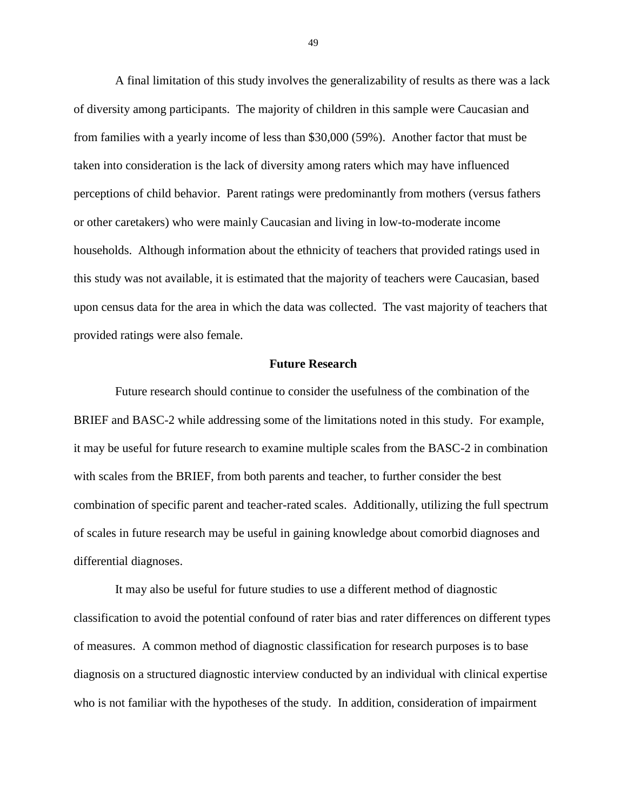A final limitation of this study involves the generalizability of results as there was a lack of diversity among participants. The majority of children in this sample were Caucasian and from families with a yearly income of less than \$30,000 (59%). Another factor that must be taken into consideration is the lack of diversity among raters which may have influenced perceptions of child behavior. Parent ratings were predominantly from mothers (versus fathers or other caretakers) who were mainly Caucasian and living in low-to-moderate income households. Although information about the ethnicity of teachers that provided ratings used in this study was not available, it is estimated that the majority of teachers were Caucasian, based upon census data for the area in which the data was collected. The vast majority of teachers that provided ratings were also female.

#### **Future Research**

Future research should continue to consider the usefulness of the combination of the BRIEF and BASC-2 while addressing some of the limitations noted in this study. For example, it may be useful for future research to examine multiple scales from the BASC-2 in combination with scales from the BRIEF, from both parents and teacher, to further consider the best combination of specific parent and teacher-rated scales. Additionally, utilizing the full spectrum of scales in future research may be useful in gaining knowledge about comorbid diagnoses and differential diagnoses.

It may also be useful for future studies to use a different method of diagnostic classification to avoid the potential confound of rater bias and rater differences on different types of measures. A common method of diagnostic classification for research purposes is to base diagnosis on a structured diagnostic interview conducted by an individual with clinical expertise who is not familiar with the hypotheses of the study. In addition, consideration of impairment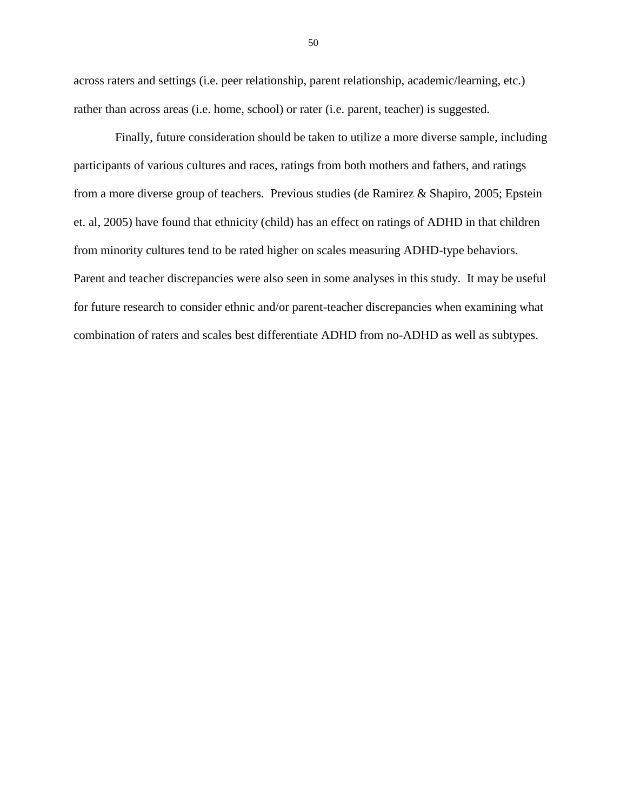across raters and settings (i.e. peer relationship, parent relationship, academic/learning, etc.) rather than across areas (i.e. home, school) or rater (i.e. parent, teacher) is suggested.

Finally, future consideration should be taken to utilize a more diverse sample, including participants of various cultures and races, ratings from both mothers and fathers, and ratings from a more diverse group of teachers. Previous studies (de Ramirez & Shapiro, 2005; Epstein et. al, 2005) have found that ethnicity (child) has an effect on ratings of ADHD in that children from minority cultures tend to be rated higher on scales measuring ADHD-type behaviors. Parent and teacher discrepancies were also seen in some analyses in this study. It may be useful for future research to consider ethnic and/or parent-teacher discrepancies when examining what combination of raters and scales best differentiate ADHD from no-ADHD as well as subtypes.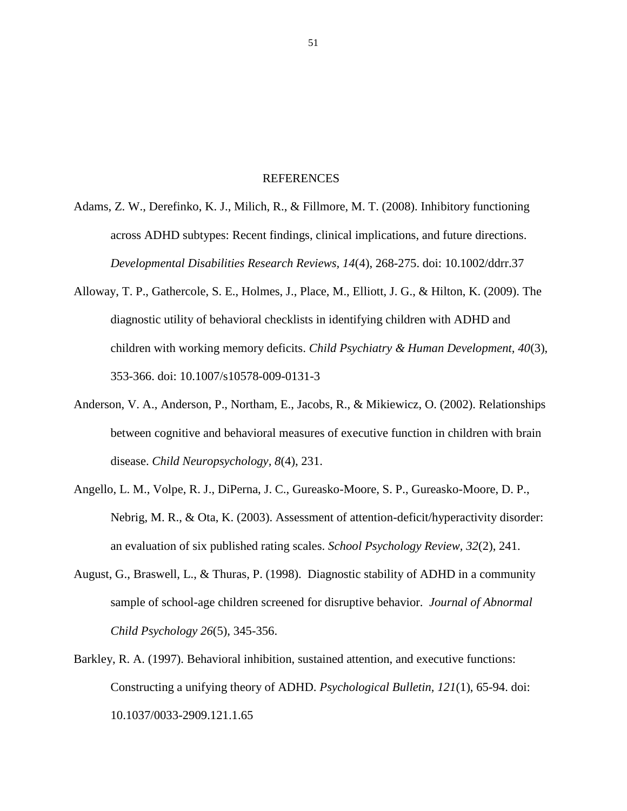#### REFERENCES

- Adams, Z. W., Derefinko, K. J., Milich, R., & Fillmore, M. T. (2008). Inhibitory functioning across ADHD subtypes: Recent findings, clinical implications, and future directions. *Developmental Disabilities Research Reviews, 14*(4), 268-275. doi: 10.1002/ddrr.37
- Alloway, T. P., Gathercole, S. E., Holmes, J., Place, M., Elliott, J. G., & Hilton, K. (2009). The diagnostic utility of behavioral checklists in identifying children with ADHD and children with working memory deficits. *Child Psychiatry & Human Development, 40*(3), 353-366. doi: 10.1007/s10578-009-0131-3
- Anderson, V. A., Anderson, P., Northam, E., Jacobs, R., & Mikiewicz, O. (2002). Relationships between cognitive and behavioral measures of executive function in children with brain disease. *Child Neuropsychology, 8*(4), 231.
- Angello, L. M., Volpe, R. J., DiPerna, J. C., Gureasko-Moore, S. P., Gureasko-Moore, D. P., Nebrig, M. R., & Ota, K. (2003). Assessment of attention-deficit/hyperactivity disorder: an evaluation of six published rating scales. *School Psychology Review, 32*(2), 241.
- August, G., Braswell, L., & Thuras, P. (1998). Diagnostic stability of ADHD in a community sample of school-age children screened for disruptive behavior. *Journal of Abnormal Child Psychology 26*(5), 345-356.
- Barkley, R. A. (1997). Behavioral inhibition, sustained attention, and executive functions: Constructing a unifying theory of ADHD. *Psychological Bulletin, 121*(1), 65-94. doi: 10.1037/0033-2909.121.1.65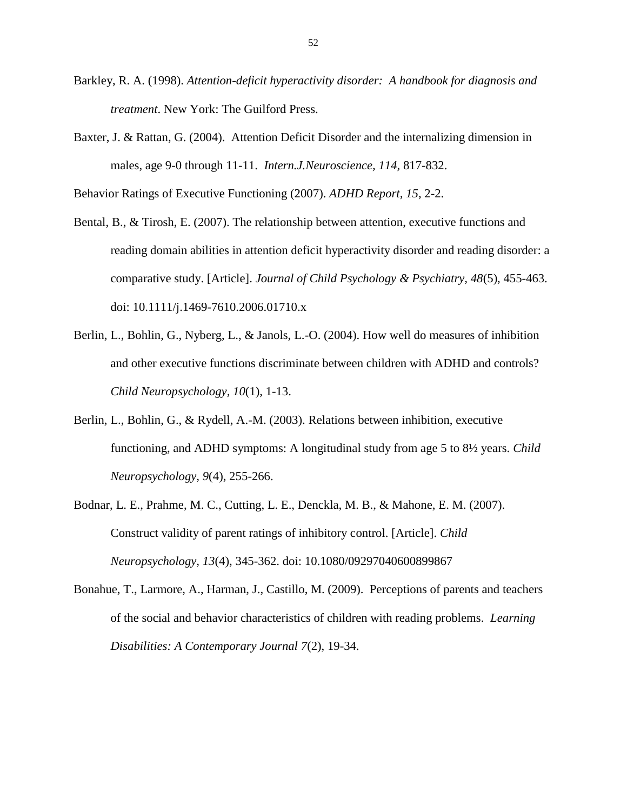- Barkley, R. A. (1998). *Attention-deficit hyperactivity disorder: A handbook for diagnosis and treatment*. New York: The Guilford Press.
- Baxter, J. & Rattan, G. (2004). Attention Deficit Disorder and the internalizing dimension in males, age 9-0 through 11-11. *Intern.J.Neuroscience, 114,* 817-832.

Behavior Ratings of Executive Functioning (2007). *ADHD Report, 15*, 2-2.

- Bental, B., & Tirosh, E. (2007). The relationship between attention, executive functions and reading domain abilities in attention deficit hyperactivity disorder and reading disorder: a comparative study. [Article]. *Journal of Child Psychology & Psychiatry, 48*(5), 455-463. doi: 10.1111/j.1469-7610.2006.01710.x
- Berlin, L., Bohlin, G., Nyberg, L., & Janols, L.-O. (2004). How well do measures of inhibition and other executive functions discriminate between children with ADHD and controls? *Child Neuropsychology, 10*(1), 1-13.
- Berlin, L., Bohlin, G., & Rydell, A.-M. (2003). Relations between inhibition, executive functioning, and ADHD symptoms: A longitudinal study from age 5 to 8½ years. *Child Neuropsychology, 9*(4), 255-266.
- Bodnar, L. E., Prahme, M. C., Cutting, L. E., Denckla, M. B., & Mahone, E. M. (2007). Construct validity of parent ratings of inhibitory control. [Article]. *Child Neuropsychology, 13*(4), 345-362. doi: 10.1080/09297040600899867
- Bonahue, T., Larmore, A., Harman, J., Castillo, M. (2009). Perceptions of parents and teachers of the social and behavior characteristics of children with reading problems. *Learning Disabilities: A Contemporary Journal 7*(2), 19-34.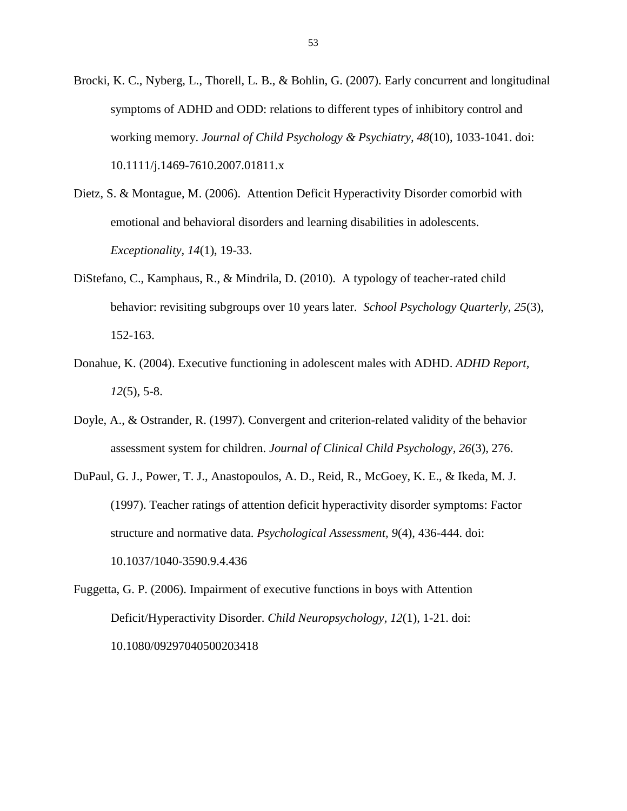Brocki, K. C., Nyberg, L., Thorell, L. B., & Bohlin, G. (2007). Early concurrent and longitudinal symptoms of ADHD and ODD: relations to different types of inhibitory control and working memory. *Journal of Child Psychology & Psychiatry, 48*(10), 1033-1041. doi: 10.1111/j.1469-7610.2007.01811.x

- Dietz, S. & Montague, M. (2006). Attention Deficit Hyperactivity Disorder comorbid with emotional and behavioral disorders and learning disabilities in adolescents. *Exceptionality, 14*(1), 19-33.
- DiStefano, C., Kamphaus, R., & Mindrila, D. (2010). A typology of teacher-rated child behavior: revisiting subgroups over 10 years later. *School Psychology Quarterly, 25*(3), 152-163.
- Donahue, K. (2004). Executive functioning in adolescent males with ADHD. *ADHD Report, 12*(5), 5-8.
- Doyle, A., & Ostrander, R. (1997). Convergent and criterion-related validity of the behavior assessment system for children. *Journal of Clinical Child Psychology, 26*(3), 276.
- DuPaul, G. J., Power, T. J., Anastopoulos, A. D., Reid, R., McGoey, K. E., & Ikeda, M. J. (1997). Teacher ratings of attention deficit hyperactivity disorder symptoms: Factor structure and normative data. *Psychological Assessment, 9*(4), 436-444. doi: 10.1037/1040-3590.9.4.436
- Fuggetta, G. P. (2006). Impairment of executive functions in boys with Attention Deficit/Hyperactivity Disorder. *Child Neuropsychology, 12*(1), 1-21. doi: 10.1080/09297040500203418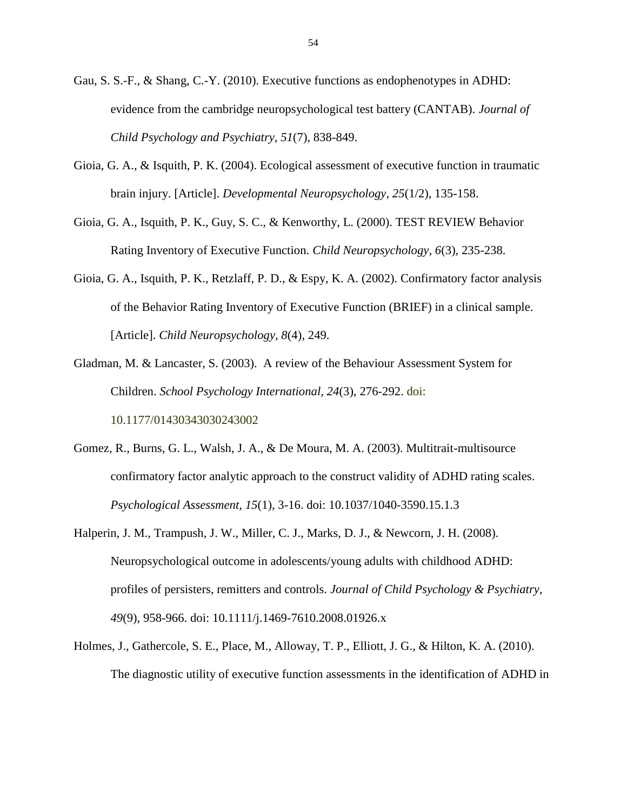- Gau, S. S.-F., & Shang, C.-Y. (2010). Executive functions as endophenotypes in ADHD: evidence from the cambridge neuropsychological test battery (CANTAB). *Journal of Child Psychology and Psychiatry, 51*(7), 838-849.
- Gioia, G. A., & Isquith, P. K. (2004). Ecological assessment of executive function in traumatic brain injury. [Article]. *Developmental Neuropsychology, 25*(1/2), 135-158.
- Gioia, G. A., Isquith, P. K., Guy, S. C., & Kenworthy, L. (2000). TEST REVIEW Behavior Rating Inventory of Executive Function. *Child Neuropsychology, 6*(3), 235-238.
- Gioia, G. A., Isquith, P. K., Retzlaff, P. D., & Espy, K. A. (2002). Confirmatory factor analysis of the Behavior Rating Inventory of Executive Function (BRIEF) in a clinical sample. [Article]. *Child Neuropsychology, 8*(4), 249.
- Gladman, M. & Lancaster, S. (2003). A review of the Behaviour Assessment System for Children. *School Psychology International, 24*(3), 276-292. doi: 10.1177/01430343030243002
- Gomez, R., Burns, G. L., Walsh, J. A., & De Moura, M. A. (2003). Multitrait-multisource confirmatory factor analytic approach to the construct validity of ADHD rating scales. *Psychological Assessment, 15*(1), 3-16. doi: 10.1037/1040-3590.15.1.3
- Halperin, J. M., Trampush, J. W., Miller, C. J., Marks, D. J., & Newcorn, J. H. (2008). Neuropsychological outcome in adolescents/young adults with childhood ADHD: profiles of persisters, remitters and controls. *Journal of Child Psychology & Psychiatry, 49*(9), 958-966. doi: 10.1111/j.1469-7610.2008.01926.x
- Holmes, J., Gathercole, S. E., Place, M., Alloway, T. P., Elliott, J. G., & Hilton, K. A. (2010). The diagnostic utility of executive function assessments in the identification of ADHD in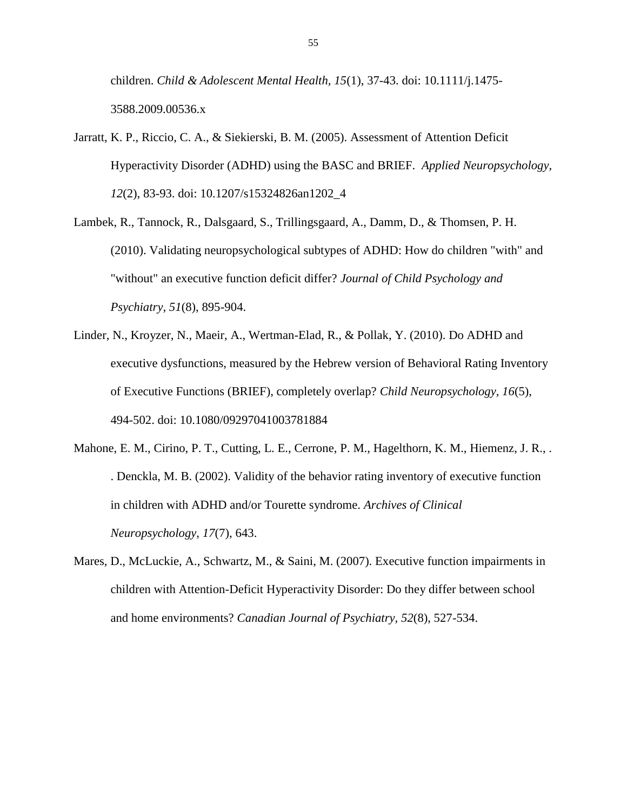children. *Child & Adolescent Mental Health, 15*(1), 37-43. doi: 10.1111/j.1475- 3588.2009.00536.x

- Jarratt, K. P., Riccio, C. A., & Siekierski, B. M. (2005). Assessment of Attention Deficit Hyperactivity Disorder (ADHD) using the BASC and BRIEF. *Applied Neuropsychology, 12*(2), 83-93. doi: 10.1207/s15324826an1202\_4
- Lambek, R., Tannock, R., Dalsgaard, S., Trillingsgaard, A., Damm, D., & Thomsen, P. H. (2010). Validating neuropsychological subtypes of ADHD: How do children "with" and "without" an executive function deficit differ? *Journal of Child Psychology and Psychiatry, 51*(8), 895-904.
- Linder, N., Kroyzer, N., Maeir, A., Wertman-Elad, R., & Pollak, Y. (2010). Do ADHD and executive dysfunctions, measured by the Hebrew version of Behavioral Rating Inventory of Executive Functions (BRIEF), completely overlap? *Child Neuropsychology, 16*(5), 494-502. doi: 10.1080/09297041003781884
- Mahone, E. M., Cirino, P. T., Cutting, L. E., Cerrone, P. M., Hagelthorn, K. M., Hiemenz, J. R., . . Denckla, M. B. (2002). Validity of the behavior rating inventory of executive function in children with ADHD and/or Tourette syndrome. *Archives of Clinical Neuropsychology, 17*(7), 643.
- Mares, D., McLuckie, A., Schwartz, M., & Saini, M. (2007). Executive function impairments in children with Attention-Deficit Hyperactivity Disorder: Do they differ between school and home environments? *Canadian Journal of Psychiatry, 52*(8), 527-534.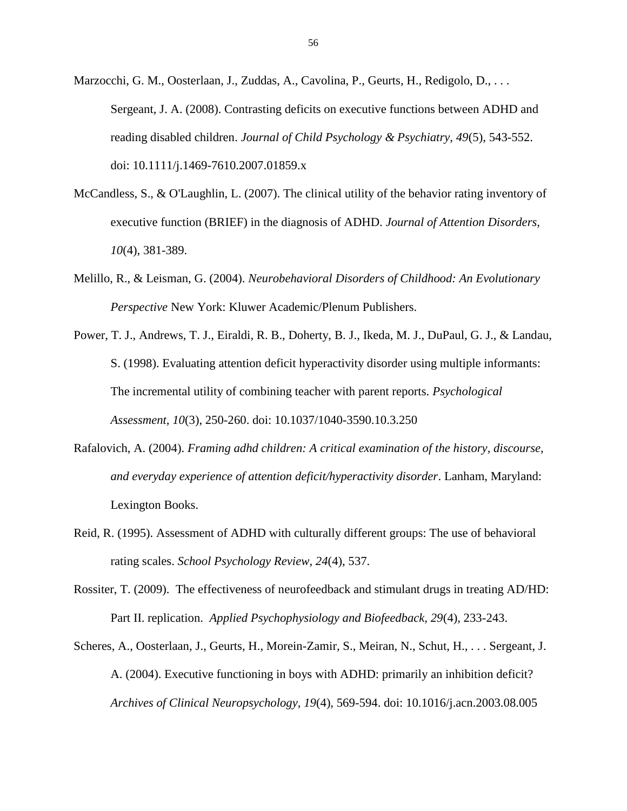Marzocchi, G. M., Oosterlaan, J., Zuddas, A., Cavolina, P., Geurts, H., Redigolo, D., . . . Sergeant, J. A. (2008). Contrasting deficits on executive functions between ADHD and reading disabled children. *Journal of Child Psychology & Psychiatry, 49*(5), 543-552. doi: 10.1111/j.1469-7610.2007.01859.x

- McCandless, S., & O'Laughlin, L. (2007). The clinical utility of the behavior rating inventory of executive function (BRIEF) in the diagnosis of ADHD. *Journal of Attention Disorders, 10*(4), 381-389.
- Melillo, R., & Leisman, G. (2004). *Neurobehavioral Disorders of Childhood: An Evolutionary Perspective* New York: Kluwer Academic/Plenum Publishers.
- Power, T. J., Andrews, T. J., Eiraldi, R. B., Doherty, B. J., Ikeda, M. J., DuPaul, G. J., & Landau, S. (1998). Evaluating attention deficit hyperactivity disorder using multiple informants: The incremental utility of combining teacher with parent reports. *Psychological Assessment, 10*(3), 250-260. doi: 10.1037/1040-3590.10.3.250
- Rafalovich, A. (2004). *Framing adhd children: A critical examination of the history, discourse, and everyday experience of attention deficit/hyperactivity disorder*. Lanham, Maryland: Lexington Books.
- Reid, R. (1995). Assessment of ADHD with culturally different groups: The use of behavioral rating scales. *School Psychology Review, 24*(4), 537.
- Rossiter, T. (2009). The effectiveness of neurofeedback and stimulant drugs in treating AD/HD: Part II. replication. *Applied Psychophysiology and Biofeedback, 29*(4), 233-243.
- Scheres, A., Oosterlaan, J., Geurts, H., Morein-Zamir, S., Meiran, N., Schut, H., . . . Sergeant, J. A. (2004). Executive functioning in boys with ADHD: primarily an inhibition deficit? *Archives of Clinical Neuropsychology, 19*(4), 569-594. doi: 10.1016/j.acn.2003.08.005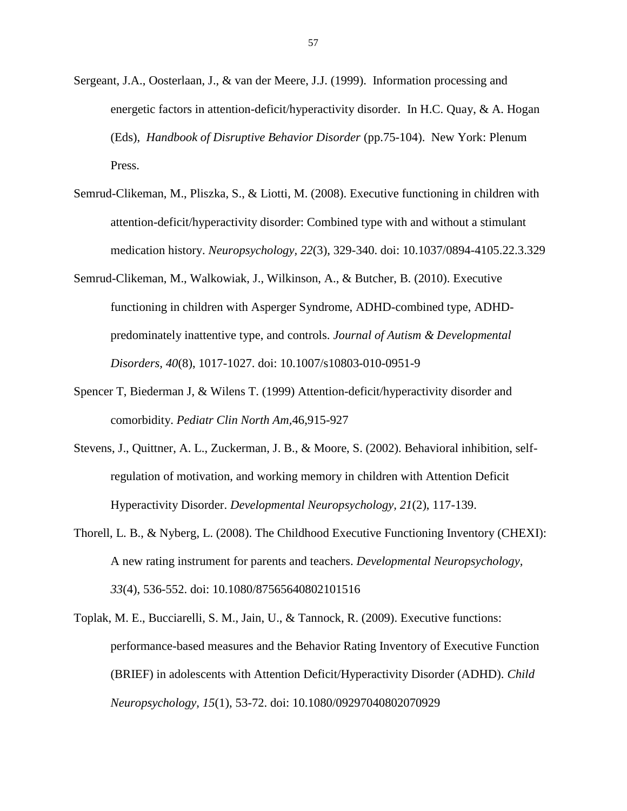- Sergeant, J.A., Oosterlaan, J., & van der Meere, J.J. (1999). Information processing and energetic factors in attention-deficit/hyperactivity disorder. In H.C. Quay, & A. Hogan (Eds), *Handbook of Disruptive Behavior Disorder* (pp.75-104). New York: Plenum Press.
- Semrud-Clikeman, M., Pliszka, S., & Liotti, M. (2008). Executive functioning in children with attention-deficit/hyperactivity disorder: Combined type with and without a stimulant medication history. *Neuropsychology, 22*(3), 329-340. doi: 10.1037/0894-4105.22.3.329
- Semrud-Clikeman, M., Walkowiak, J., Wilkinson, A., & Butcher, B. (2010). Executive functioning in children with Asperger Syndrome, ADHD-combined type, ADHDpredominately inattentive type, and controls. *Journal of Autism & Developmental Disorders, 40*(8), 1017-1027. doi: 10.1007/s10803-010-0951-9
- Spencer T, Biederman J, & Wilens T. (1999) Attention-deficit/hyperactivity disorder and comorbidity. *Pediatr Clin North Am,*46,915-927
- Stevens, J., Quittner, A. L., Zuckerman, J. B., & Moore, S. (2002). Behavioral inhibition, selfregulation of motivation, and working memory in children with Attention Deficit Hyperactivity Disorder. *Developmental Neuropsychology, 21*(2), 117-139.
- Thorell, L. B., & Nyberg, L. (2008). The Childhood Executive Functioning Inventory (CHEXI): A new rating instrument for parents and teachers. *Developmental Neuropsychology, 33*(4), 536-552. doi: 10.1080/87565640802101516
- Toplak, M. E., Bucciarelli, S. M., Jain, U., & Tannock, R. (2009). Executive functions: performance-based measures and the Behavior Rating Inventory of Executive Function (BRIEF) in adolescents with Attention Deficit/Hyperactivity Disorder (ADHD). *Child Neuropsychology, 15*(1), 53-72. doi: 10.1080/09297040802070929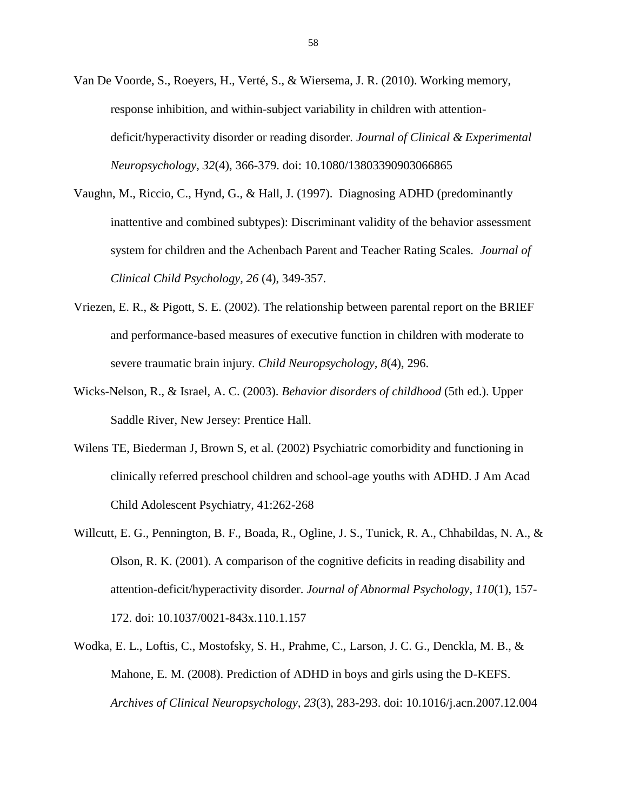- Van De Voorde, S., Roeyers, H., Verté, S., & Wiersema, J. R. (2010). Working memory, response inhibition, and within-subject variability in children with attentiondeficit/hyperactivity disorder or reading disorder. *Journal of Clinical & Experimental Neuropsychology, 32*(4), 366-379. doi: 10.1080/13803390903066865
- Vaughn, M., Riccio, C., Hynd, G., & Hall, J. (1997). Diagnosing ADHD (predominantly inattentive and combined subtypes): Discriminant validity of the behavior assessment system for children and the Achenbach Parent and Teacher Rating Scales. *Journal of Clinical Child Psychology, 26* (4), 349-357.
- Vriezen, E. R., & Pigott, S. E. (2002). The relationship between parental report on the BRIEF and performance-based measures of executive function in children with moderate to severe traumatic brain injury. *Child Neuropsychology, 8*(4), 296.
- Wicks-Nelson, R., & Israel, A. C. (2003). *Behavior disorders of childhood* (5th ed.). Upper Saddle River, New Jersey: Prentice Hall.
- Wilens TE, Biederman J, Brown S, et al. (2002) Psychiatric comorbidity and functioning in clinically referred preschool children and school-age youths with ADHD. J Am Acad Child Adolescent Psychiatry, 41:262-268
- Willcutt, E. G., Pennington, B. F., Boada, R., Ogline, J. S., Tunick, R. A., Chhabildas, N. A., & Olson, R. K. (2001). A comparison of the cognitive deficits in reading disability and attention-deficit/hyperactivity disorder. *Journal of Abnormal Psychology, 110*(1), 157- 172. doi: 10.1037/0021-843x.110.1.157
- Wodka, E. L., Loftis, C., Mostofsky, S. H., Prahme, C., Larson, J. C. G., Denckla, M. B., & Mahone, E. M. (2008). Prediction of ADHD in boys and girls using the D-KEFS. *Archives of Clinical Neuropsychology, 23*(3), 283-293. doi: 10.1016/j.acn.2007.12.004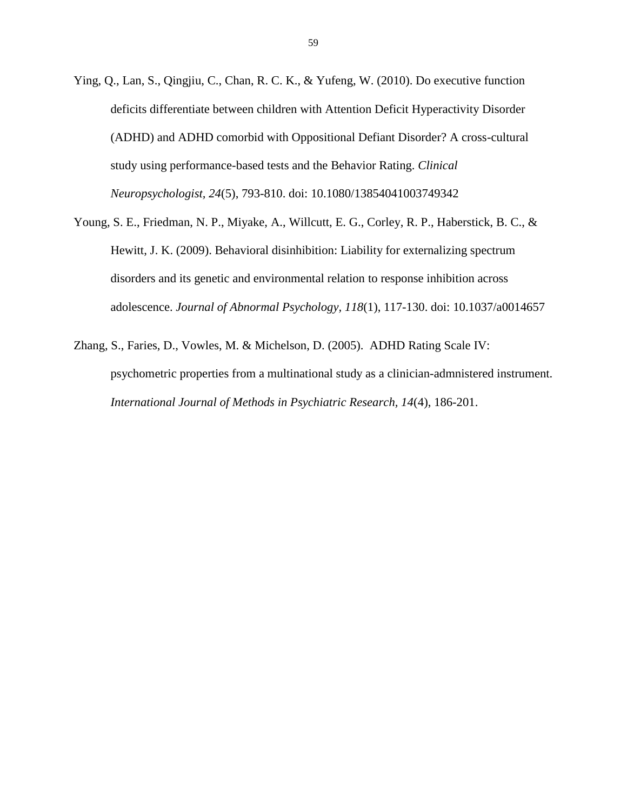- Ying, Q., Lan, S., Qingjiu, C., Chan, R. C. K., & Yufeng, W. (2010). Do executive function deficits differentiate between children with Attention Deficit Hyperactivity Disorder (ADHD) and ADHD comorbid with Oppositional Defiant Disorder? A cross-cultural study using performance-based tests and the Behavior Rating. *Clinical Neuropsychologist, 24*(5), 793-810. doi: 10.1080/13854041003749342
- Young, S. E., Friedman, N. P., Miyake, A., Willcutt, E. G., Corley, R. P., Haberstick, B. C., & Hewitt, J. K. (2009). Behavioral disinhibition: Liability for externalizing spectrum disorders and its genetic and environmental relation to response inhibition across adolescence. *Journal of Abnormal Psychology, 118*(1), 117-130. doi: 10.1037/a0014657
- Zhang, S., Faries, D., Vowles, M. & Michelson, D. (2005). ADHD Rating Scale IV: psychometric properties from a multinational study as a clinician-admnistered instrument. *International Journal of Methods in Psychiatric Research, 14*(4), 186-201.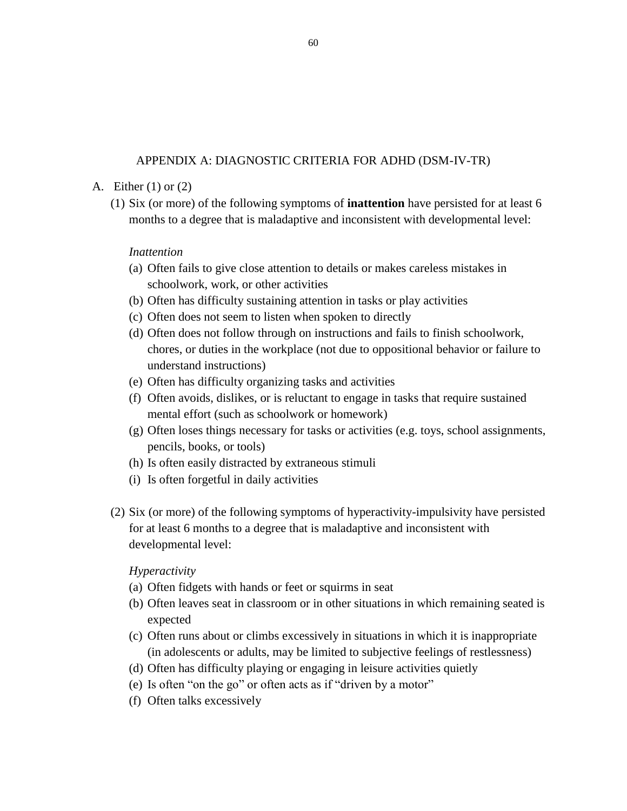## APPENDIX A: DIAGNOSTIC CRITERIA FOR ADHD (DSM-IV-TR)

### A. Either (1) or (2)

(1) Six (or more) of the following symptoms of **inattention** have persisted for at least 6 months to a degree that is maladaptive and inconsistent with developmental level:

## *Inattention*

- (a) Often fails to give close attention to details or makes careless mistakes in schoolwork, work, or other activities
- (b) Often has difficulty sustaining attention in tasks or play activities
- (c) Often does not seem to listen when spoken to directly
- (d) Often does not follow through on instructions and fails to finish schoolwork, chores, or duties in the workplace (not due to oppositional behavior or failure to understand instructions)
- (e) Often has difficulty organizing tasks and activities
- (f) Often avoids, dislikes, or is reluctant to engage in tasks that require sustained mental effort (such as schoolwork or homework)
- (g) Often loses things necessary for tasks or activities (e.g. toys, school assignments, pencils, books, or tools)
- (h) Is often easily distracted by extraneous stimuli
- (i) Is often forgetful in daily activities
- (2) Six (or more) of the following symptoms of hyperactivity-impulsivity have persisted for at least 6 months to a degree that is maladaptive and inconsistent with developmental level:

## *Hyperactivity*

- (a) Often fidgets with hands or feet or squirms in seat
- (b) Often leaves seat in classroom or in other situations in which remaining seated is expected
- (c) Often runs about or climbs excessively in situations in which it is inappropriate (in adolescents or adults, may be limited to subjective feelings of restlessness)
- (d) Often has difficulty playing or engaging in leisure activities quietly
- (e) Is often "on the go" or often acts as if "driven by a motor"
- (f) Often talks excessively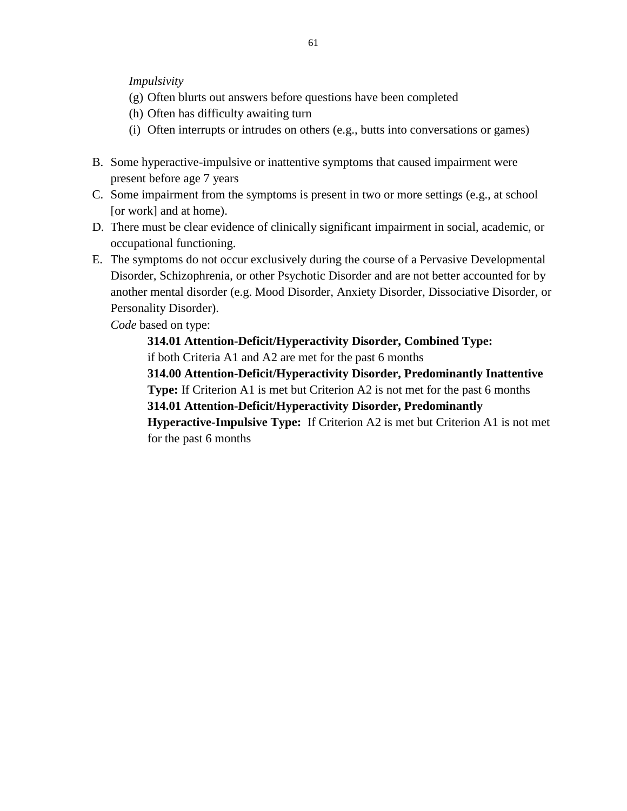*Impulsivity*

- (g) Often blurts out answers before questions have been completed
- (h) Often has difficulty awaiting turn
- (i) Often interrupts or intrudes on others (e.g., butts into conversations or games)
- B. Some hyperactive-impulsive or inattentive symptoms that caused impairment were present before age 7 years
- C. Some impairment from the symptoms is present in two or more settings (e.g., at school [or work] and at home).
- D. There must be clear evidence of clinically significant impairment in social, academic, or occupational functioning.
- E. The symptoms do not occur exclusively during the course of a Pervasive Developmental Disorder, Schizophrenia, or other Psychotic Disorder and are not better accounted for by another mental disorder (e.g. Mood Disorder, Anxiety Disorder, Dissociative Disorder, or Personality Disorder).

*Code* based on type:

**314.01 Attention-Deficit/Hyperactivity Disorder, Combined Type:**  if both Criteria A1 and A2 are met for the past 6 months **314.00 Attention-Deficit/Hyperactivity Disorder, Predominantly Inattentive Type:** If Criterion A1 is met but Criterion A2 is not met for the past 6 months **314.01 Attention-Deficit/Hyperactivity Disorder, Predominantly Hyperactive-Impulsive Type:** If Criterion A2 is met but Criterion A1 is not met

for the past 6 months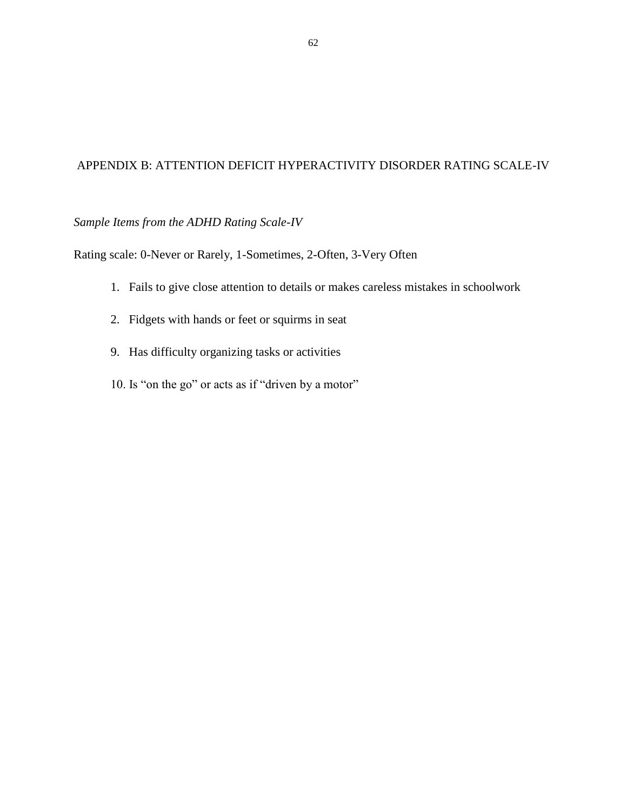## APPENDIX B: ATTENTION DEFICIT HYPERACTIVITY DISORDER RATING SCALE-IV

# *Sample Items from the ADHD Rating Scale-IV*

Rating scale: 0-Never or Rarely, 1-Sometimes, 2-Often, 3-Very Often

- 1. Fails to give close attention to details or makes careless mistakes in schoolwork
- 2. Fidgets with hands or feet or squirms in seat
- 9. Has difficulty organizing tasks or activities
- 10. Is "on the go" or acts as if "driven by a motor"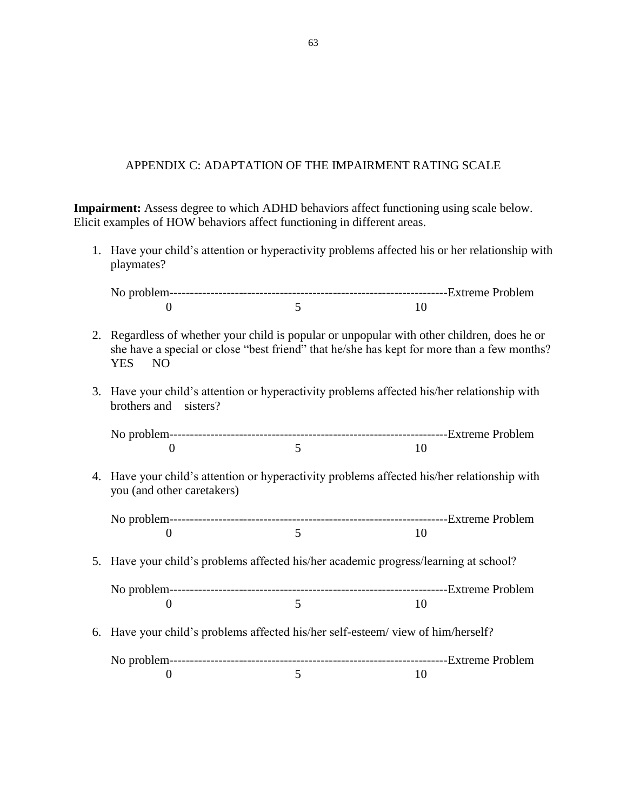## APPENDIX C: ADAPTATION OF THE IMPAIRMENT RATING SCALE

**Impairment:** Assess degree to which ADHD behaviors affect functioning using scale below. Elicit examples of HOW behaviors affect functioning in different areas.

1. Have your child's attention or hyperactivity problems affected his or her relationship with playmates?

- 2. Regardless of whether your child is popular or unpopular with other children, does he or she have a special or close "best friend" that he/she has kept for more than a few months? YES NO
- 3. Have your child's attention or hyperactivity problems affected his/her relationship with brothers and sisters?

4. Have your child's attention or hyperactivity problems affected his/her relationship with you (and other caretakers)

5. Have your child's problems affected his/her academic progress/learning at school?

6. Have your child's problems affected his/her self-esteem/ view of him/herself?

No problem--------------------------------------------------------------------Extreme Problem 0 5 10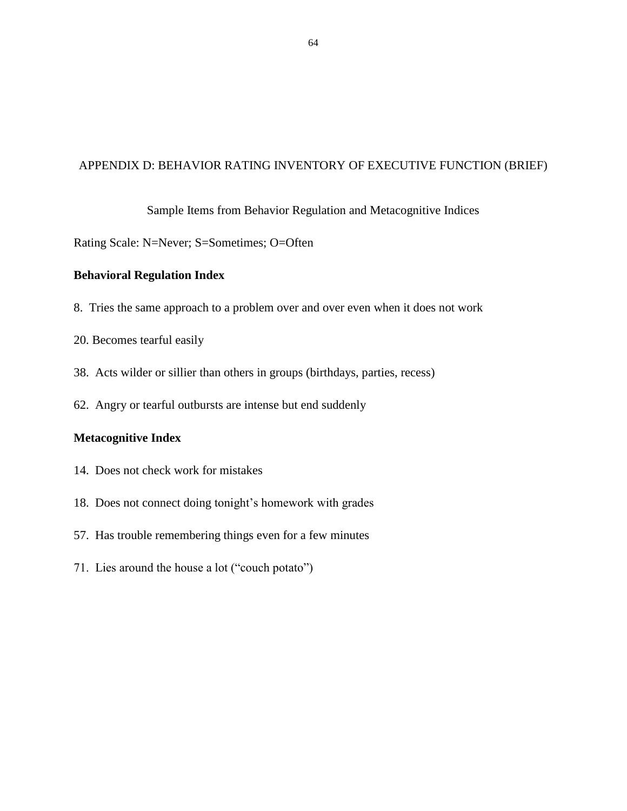## APPENDIX D: BEHAVIOR RATING INVENTORY OF EXECUTIVE FUNCTION (BRIEF)

### Sample Items from Behavior Regulation and Metacognitive Indices

Rating Scale: N=Never; S=Sometimes; O=Often

### **Behavioral Regulation Index**

- 8. Tries the same approach to a problem over and over even when it does not work
- 20. Becomes tearful easily
- 38. Acts wilder or sillier than others in groups (birthdays, parties, recess)
- 62. Angry or tearful outbursts are intense but end suddenly

### **Metacognitive Index**

- 14. Does not check work for mistakes
- 18. Does not connect doing tonight's homework with grades
- 57. Has trouble remembering things even for a few minutes
- 71. Lies around the house a lot ("couch potato")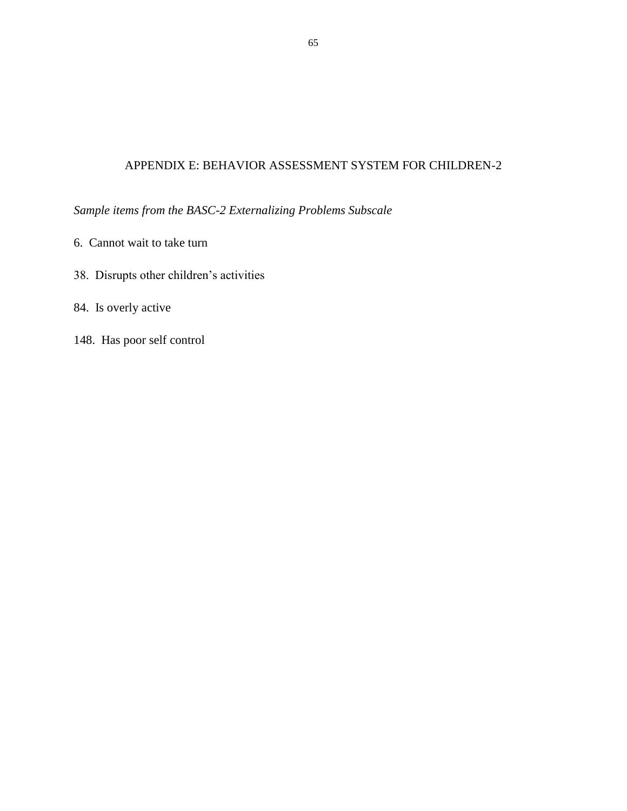# APPENDIX E: BEHAVIOR ASSESSMENT SYSTEM FOR CHILDREN-2

*Sample items from the BASC-2 Externalizing Problems Subscale*

- 6. Cannot wait to take turn
- 38. Disrupts other children's activities
- 84. Is overly active
- 148. Has poor self control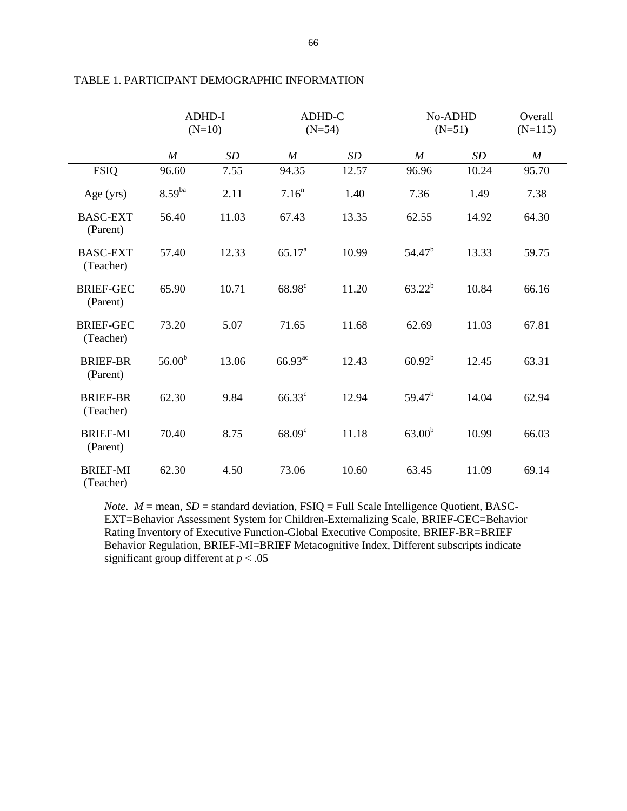|                               | <b>ADHD-I</b><br>$(N=10)$ |       | ADHD-C<br>$(N=54)$ |       | No-ADHD<br>$(N=51)$ |       | Overall<br>$(N=115)$ |
|-------------------------------|---------------------------|-------|--------------------|-------|---------------------|-------|----------------------|
|                               | $\boldsymbol{M}$          | SD    | $\boldsymbol{M}$   | SD    | $\boldsymbol{M}$    | SD    | $\boldsymbol{M}$     |
| <b>FSIQ</b>                   | 96.60                     | 7.55  | 94.35              | 12.57 | 96.96               | 10.24 | 95.70                |
| Age $(yrs)$                   | $8.59^{ba}$               | 2.11  | 7.16 <sup>n</sup>  | 1.40  | 7.36                | 1.49  | 7.38                 |
| <b>BASC-EXT</b><br>(Parent)   | 56.40                     | 11.03 | 67.43              | 13.35 | 62.55               | 14.92 | 64.30                |
| <b>BASC-EXT</b><br>(Teacher)  | 57.40                     | 12.33 | $65.17^{a}$        | 10.99 | $54.47^{b}$         | 13.33 | 59.75                |
| <b>BRIEF-GEC</b><br>(Parent)  | 65.90                     | 10.71 | $68.98^{\circ}$    | 11.20 | $63.22^b$           | 10.84 | 66.16                |
| <b>BRIEF-GEC</b><br>(Teacher) | 73.20                     | 5.07  | 71.65              | 11.68 | 62.69               | 11.03 | 67.81                |
| <b>BRIEF-BR</b><br>(Parent)   | 56.00 <sup>b</sup>        | 13.06 | $66.93^{ac}$       | 12.43 | $60.92^b$           | 12.45 | 63.31                |
| <b>BRIEF-BR</b><br>(Teacher)  | 62.30                     | 9.84  | $66.33^{\circ}$    | 12.94 | $59.47^{\rm b}$     | 14.04 | 62.94                |
| <b>BRIEF-MI</b><br>(Parent)   | 70.40                     | 8.75  | 68.09 <sup>c</sup> | 11.18 | 63.00 <sup>b</sup>  | 10.99 | 66.03                |
| <b>BRIEF-MI</b><br>(Teacher)  | 62.30                     | 4.50  | 73.06              | 10.60 | 63.45               | 11.09 | 69.14                |

## TABLE 1. PARTICIPANT DEMOGRAPHIC INFORMATION

*Note.*  $M =$  mean,  $SD =$  standard deviation,  $FSIQ =$  Full Scale Intelligence Quotient, BASC-EXT=Behavior Assessment System for Children-Externalizing Scale, BRIEF-GEC=Behavior Rating Inventory of Executive Function-Global Executive Composite, BRIEF-BR=BRIEF Behavior Regulation, BRIEF-MI=BRIEF Metacognitive Index, Different subscripts indicate significant group different at *p* < .05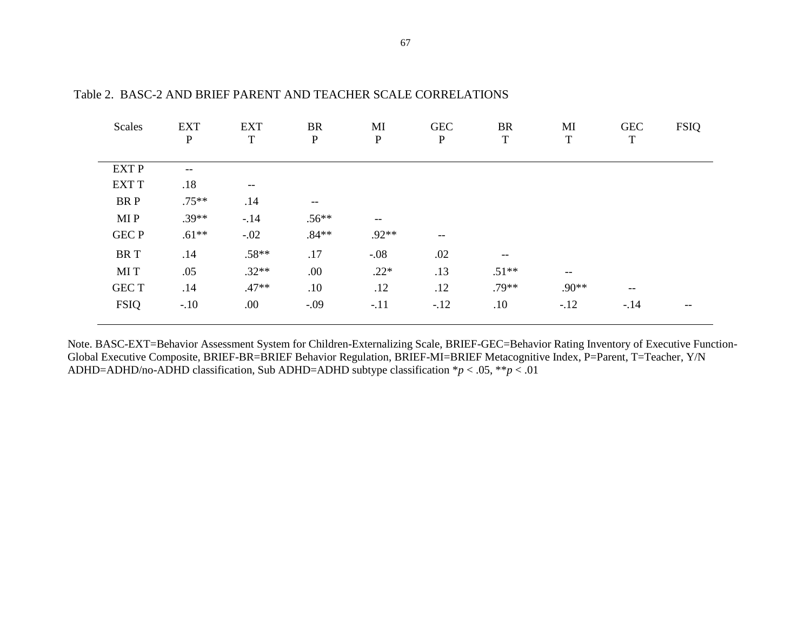| Scales       | <b>EXT</b><br>$\mathbf{P}$ | <b>EXT</b><br>$\mathbf T$ | <b>BR</b><br>$\mathbf{P}$ | MI<br>$\mathbf P$                                   | <b>GEC</b><br>$\mathbf P$ | <b>BR</b><br>$\mathbf T$ | MI<br>$\mathbf T$ | <b>GEC</b><br>$\mathbf T$ | <b>FSIQ</b> |
|--------------|----------------------------|---------------------------|---------------------------|-----------------------------------------------------|---------------------------|--------------------------|-------------------|---------------------------|-------------|
| <b>EXT P</b> | --                         |                           |                           |                                                     |                           |                          |                   |                           |             |
| <b>EXT T</b> | .18                        | $--$                      |                           |                                                     |                           |                          |                   |                           |             |
| BR P         | $.75***$                   | .14                       | $--$                      |                                                     |                           |                          |                   |                           |             |
| MI P         | $.39**$                    | $-.14$                    | $.56**$                   | $\hspace{0.05cm} -\hspace{0.05cm} -\hspace{0.05cm}$ |                           |                          |                   |                           |             |
| <b>GEC P</b> | $.61**$                    | $-.02$                    | $.84**$                   | $.92**$                                             | $--$                      |                          |                   |                           |             |
| <b>BRT</b>   | .14                        | $.58**$                   | .17                       | $-.08$                                              | .02                       | $- -$                    |                   |                           |             |
| MI T         | .05                        | $.32**$                   | .00                       | $.22*$                                              | .13                       | $.51**$                  | $- -$             |                           |             |
| <b>GECT</b>  | .14                        | $.47**$                   | .10                       | .12                                                 | .12                       | $.79**$                  | $.90**$           | $-\,-$                    |             |
| <b>FSIQ</b>  | $-.10$                     | .00.                      | $-.09$                    | $-.11$                                              | $-.12$                    | .10                      | $-.12$            | $-.14$                    | --          |

Table 2. BASC-2 AND BRIEF PARENT AND TEACHER SCALE CORRELATIONS

Note. BASC-EXT=Behavior Assessment System for Children-Externalizing Scale, BRIEF-GEC=Behavior Rating Inventory of Executive Function-Global Executive Composite, BRIEF-BR=BRIEF Behavior Regulation, BRIEF-MI=BRIEF Metacognitive Index, P=Parent, T=Teacher, Y/N ADHD=ADHD/no-ADHD classification, Sub ADHD=ADHD subtype classification \**p* < .05, \*\**p* < .01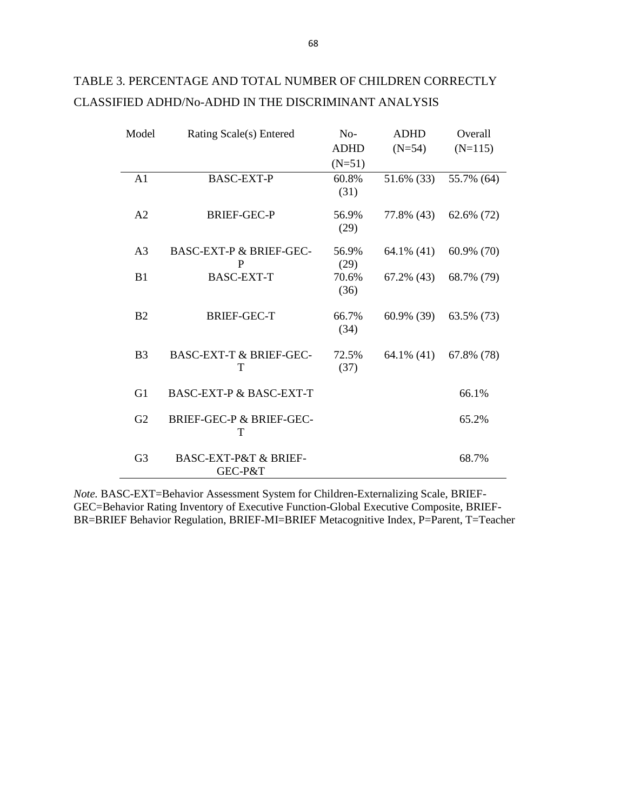| Model          | Rating Scale(s) Entered                         | $No-$         | <b>ADHD</b>   | Overall    |
|----------------|-------------------------------------------------|---------------|---------------|------------|
|                |                                                 | <b>ADHD</b>   | $(N=54)$      | $(N=115)$  |
|                |                                                 | $(N=51)$      |               |            |
| A1             | <b>BASC-EXT-P</b>                               | 60.8%<br>(31) | 51.6% (33)    | 55.7% (64) |
| A <sub>2</sub> | <b>BRIEF-GEC-P</b>                              | 56.9%<br>(29) | 77.8% (43)    | 62.6% (72) |
| A <sub>3</sub> | <b>BASC-EXT-P &amp; BRIEF-GEC-</b><br>P         | 56.9%<br>(29) | 64.1% (41)    | 60.9% (70) |
| B1             | <b>BASC-EXT-T</b>                               | 70.6%<br>(36) | $67.2\%$ (43) | 68.7% (79) |
| B <sub>2</sub> | <b>BRIEF-GEC-T</b>                              | 66.7%<br>(34) | 60.9% (39)    | 63.5% (73) |
| B <sub>3</sub> | <b>BASC-EXT-T &amp; BRIEF-GEC-</b><br>T         | 72.5%<br>(37) | $64.1\%$ (41) | 67.8% (78) |
| G <sub>1</sub> | <b>BASC-EXT-P &amp; BASC-EXT-T</b>              |               |               | 66.1%      |
| G2             | BRIEF-GEC-P & BRIEF-GEC-<br>т                   |               |               | 65.2%      |
| G <sub>3</sub> | <b>BASC-EXT-P&amp;T &amp; BRIEF-</b><br>GEC-P&T |               |               | 68.7%      |

## TABLE 3. PERCENTAGE AND TOTAL NUMBER OF CHILDREN CORRECTLY CLASSIFIED ADHD/No-ADHD IN THE DISCRIMINANT ANALYSIS

*Note.* BASC-EXT=Behavior Assessment System for Children-Externalizing Scale, BRIEF-GEC=Behavior Rating Inventory of Executive Function-Global Executive Composite, BRIEF-BR=BRIEF Behavior Regulation, BRIEF-MI=BRIEF Metacognitive Index, P=Parent, T=Teacher